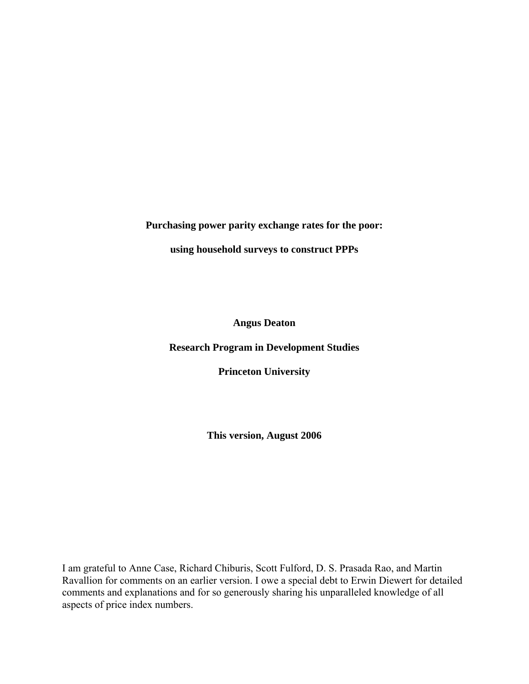**Purchasing power parity exchange rates for the poor:** 

**using household surveys to construct PPPs** 

**Angus Deaton** 

**Research Program in Development Studies** 

**Princeton University** 

**This version, August 2006**

I am grateful to Anne Case, Richard Chiburis, Scott Fulford, D. S. Prasada Rao, and Martin Ravallion for comments on an earlier version. I owe a special debt to Erwin Diewert for detailed comments and explanations and for so generously sharing his unparalleled knowledge of all aspects of price index numbers.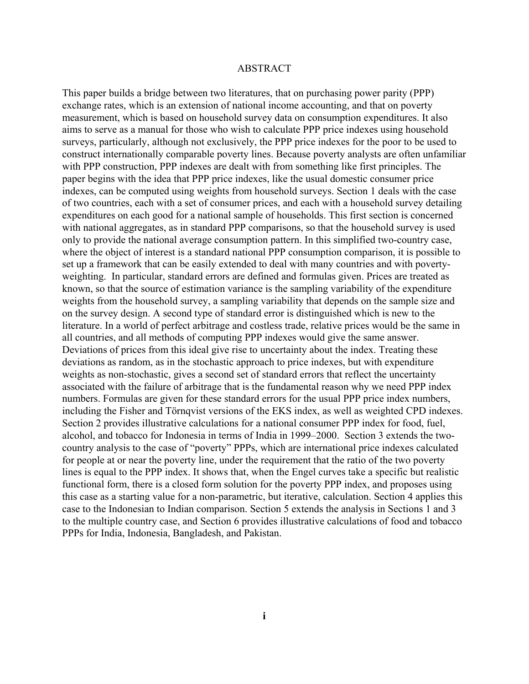# ABSTRACT

This paper builds a bridge between two literatures, that on purchasing power parity (PPP) exchange rates, which is an extension of national income accounting, and that on poverty measurement, which is based on household survey data on consumption expenditures. It also aims to serve as a manual for those who wish to calculate PPP price indexes using household surveys, particularly, although not exclusively, the PPP price indexes for the poor to be used to construct internationally comparable poverty lines. Because poverty analysts are often unfamiliar with PPP construction, PPP indexes are dealt with from something like first principles. The paper begins with the idea that PPP price indexes, like the usual domestic consumer price indexes, can be computed using weights from household surveys. Section 1 deals with the case of two countries, each with a set of consumer prices, and each with a household survey detailing expenditures on each good for a national sample of households. This first section is concerned with national aggregates, as in standard PPP comparisons, so that the household survey is used only to provide the national average consumption pattern. In this simplified two-country case, where the object of interest is a standard national PPP consumption comparison, it is possible to set up a framework that can be easily extended to deal with many countries and with povertyweighting. In particular, standard errors are defined and formulas given. Prices are treated as known, so that the source of estimation variance is the sampling variability of the expenditure weights from the household survey, a sampling variability that depends on the sample size and on the survey design. A second type of standard error is distinguished which is new to the literature. In a world of perfect arbitrage and costless trade, relative prices would be the same in all countries, and all methods of computing PPP indexes would give the same answer. Deviations of prices from this ideal give rise to uncertainty about the index. Treating these deviations as random, as in the stochastic approach to price indexes, but with expenditure weights as non-stochastic, gives a second set of standard errors that reflect the uncertainty associated with the failure of arbitrage that is the fundamental reason why we need PPP index numbers. Formulas are given for these standard errors for the usual PPP price index numbers, including the Fisher and Törnqvist versions of the EKS index, as well as weighted CPD indexes. Section 2 provides illustrative calculations for a national consumer PPP index for food, fuel, alcohol, and tobacco for Indonesia in terms of India in 1999–2000. Section 3 extends the twocountry analysis to the case of "poverty" PPPs, which are international price indexes calculated for people at or near the poverty line, under the requirement that the ratio of the two poverty lines is equal to the PPP index. It shows that, when the Engel curves take a specific but realistic functional form, there is a closed form solution for the poverty PPP index, and proposes using this case as a starting value for a non-parametric, but iterative, calculation. Section 4 applies this case to the Indonesian to Indian comparison. Section 5 extends the analysis in Sections 1 and 3 to the multiple country case, and Section 6 provides illustrative calculations of food and tobacco PPPs for India, Indonesia, Bangladesh, and Pakistan.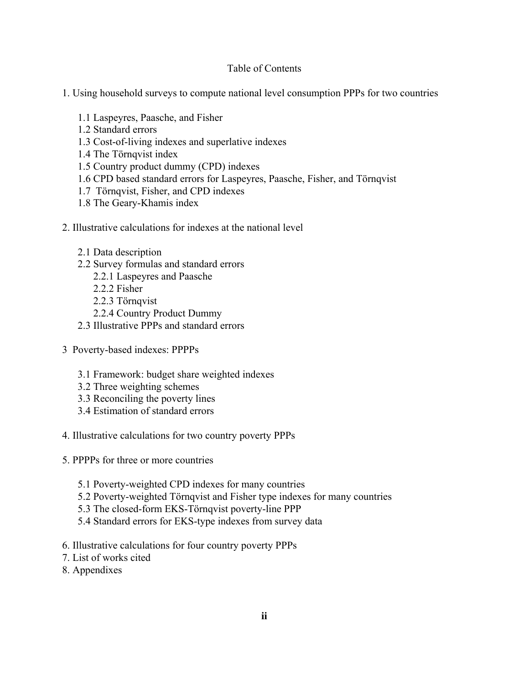# Table of Contents

- 1. Using household surveys to compute national level consumption PPPs for two countries
	- 1.1 Laspeyres, Paasche, and Fisher
	- 1.2 Standard errors
	- 1.3 Cost-of-living indexes and superlative indexes
	- 1.4 The Törnqvist index
	- 1.5 Country product dummy (CPD) indexes
	- 1.6 CPD based standard errors for Laspeyres, Paasche, Fisher, and Törnqvist
	- 1.7 Törnqvist, Fisher, and CPD indexes
	- 1.8 The Geary-Khamis index
- 2. Illustrative calculations for indexes at the national level
	- 2.1 Data description
	- 2.2 Survey formulas and standard errors
		- 2.2.1 Laspeyres and Paasche
		- 2.2.2 Fisher
		- 2.2.3 Törnqvist
		- 2.2.4 Country Product Dummy
	- 2.3 Illustrative PPPs and standard errors
- 3 Poverty-based indexes: PPPPs
	- 3.1 Framework: budget share weighted indexes
	- 3.2 Three weighting schemes
	- 3.3 Reconciling the poverty lines
	- 3.4 Estimation of standard errors
- 4. Illustrative calculations for two country poverty PPPs
- 5. PPPPs for three or more countries
	- 5.1 Poverty-weighted CPD indexes for many countries
	- 5.2 Poverty-weighted Törnqvist and Fisher type indexes for many countries
	- 5.3 The closed-form EKS-Törnqvist poverty-line PPP
	- 5.4 Standard errors for EKS-type indexes from survey data
- 6. Illustrative calculations for four country poverty PPPs
- 7. List of works cited
- 8. Appendixes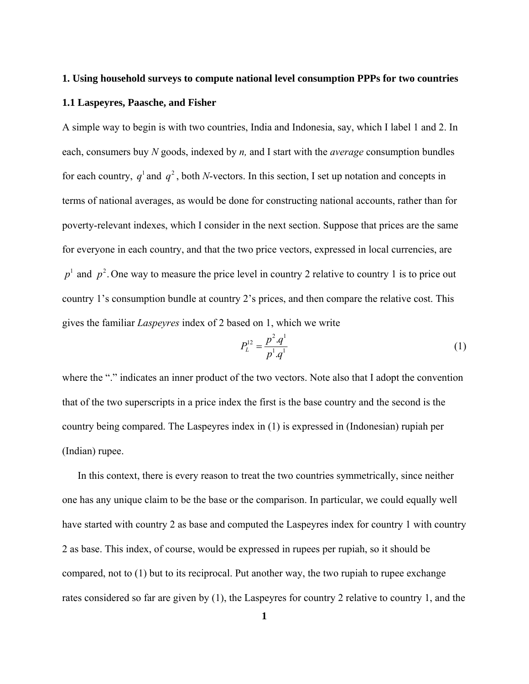# **1. Using household surveys to compute national level consumption PPPs for two countries 1.1 Laspeyres, Paasche, and Fisher**

A simple way to begin is with two countries, India and Indonesia, say, which I label 1 and 2. In each, consumers buy *N* goods, indexed by *n,* and I start with the *average* consumption bundles for each country,  $q^1$  and  $q^2$ , both *N*-vectors. In this section, I set up notation and concepts in terms of national averages, as would be done for constructing national accounts, rather than for poverty-relevant indexes, which I consider in the next section. Suppose that prices are the same for everyone in each country, and that the two price vectors, expressed in local currencies, are  $p<sup>1</sup>$  and  $p<sup>2</sup>$ . One way to measure the price level in country 2 relative to country 1 is to price out country 1's consumption bundle at country 2's prices, and then compare the relative cost. This gives the familiar *Laspeyres* index of 2 based on 1, which we write

$$
P_L^{12} = \frac{p^2 \cdot q^1}{p^1 \cdot q^1} \tag{1}
$$

where the "." indicates an inner product of the two vectors. Note also that I adopt the convention that of the two superscripts in a price index the first is the base country and the second is the country being compared. The Laspeyres index in (1) is expressed in (Indonesian) rupiah per (Indian) rupee.

 In this context, there is every reason to treat the two countries symmetrically, since neither one has any unique claim to be the base or the comparison. In particular, we could equally well have started with country 2 as base and computed the Laspeyres index for country 1 with country 2 as base. This index, of course, would be expressed in rupees per rupiah, so it should be compared, not to (1) but to its reciprocal. Put another way, the two rupiah to rupee exchange rates considered so far are given by (1), the Laspeyres for country 2 relative to country 1, and the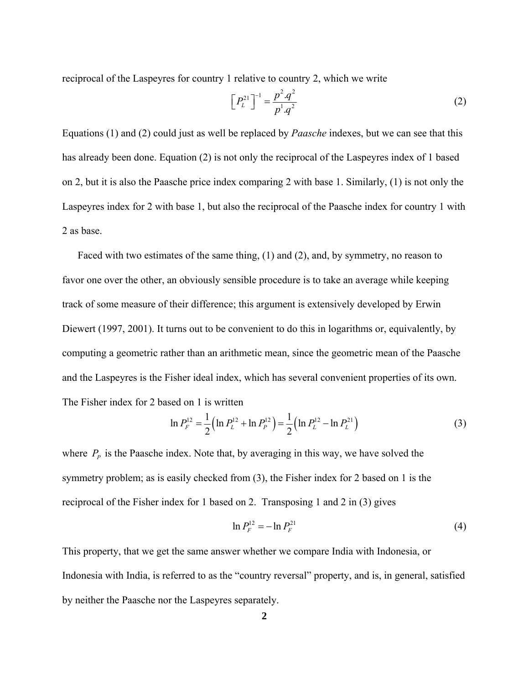reciprocal of the Laspeyres for country 1 relative to country 2, which we write

$$
\left[P_L^{21}\right]^{-1} = \frac{p^2.q^2}{p^1.q^2} \tag{2}
$$

Equations (1) and (2) could just as well be replaced by *Paasche* indexes, but we can see that this has already been done. Equation (2) is not only the reciprocal of the Laspeyres index of 1 based on 2, but it is also the Paasche price index comparing 2 with base 1. Similarly, (1) is not only the Laspeyres index for 2 with base 1, but also the reciprocal of the Paasche index for country 1 with 2 as base.

 Faced with two estimates of the same thing, (1) and (2), and, by symmetry, no reason to favor one over the other, an obviously sensible procedure is to take an average while keeping track of some measure of their difference; this argument is extensively developed by Erwin Diewert (1997, 2001). It turns out to be convenient to do this in logarithms or, equivalently, by computing a geometric rather than an arithmetic mean, since the geometric mean of the Paasche and the Laspeyres is the Fisher ideal index, which has several convenient properties of its own. The Fisher index for 2 based on 1 is written

$$
\ln P_F^{12} = \frac{1}{2} \left( \ln P_L^{12} + \ln P_P^{12} \right) = \frac{1}{2} \left( \ln P_L^{12} - \ln P_L^{21} \right)
$$
 (3)

where  $P_p$  is the Paasche index. Note that, by averaging in this way, we have solved the symmetry problem; as is easily checked from (3), the Fisher index for 2 based on 1 is the reciprocal of the Fisher index for 1 based on 2. Transposing 1 and 2 in (3) gives

$$
\ln P_F^{12} = -\ln P_F^{21} \tag{4}
$$

This property, that we get the same answer whether we compare India with Indonesia, or Indonesia with India, is referred to as the "country reversal" property, and is, in general, satisfied by neither the Paasche nor the Laspeyres separately.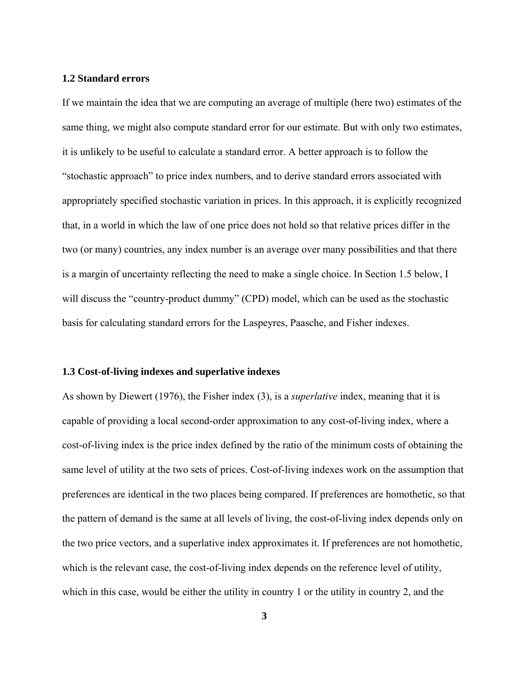# **1.2 Standard errors**

If we maintain the idea that we are computing an average of multiple (here two) estimates of the same thing, we might also compute standard error for our estimate. But with only two estimates, it is unlikely to be useful to calculate a standard error. A better approach is to follow the "stochastic approach" to price index numbers, and to derive standard errors associated with appropriately specified stochastic variation in prices. In this approach, it is explicitly recognized that, in a world in which the law of one price does not hold so that relative prices differ in the two (or many) countries, any index number is an average over many possibilities and that there is a margin of uncertainty reflecting the need to make a single choice. In Section 1.5 below, I will discuss the "country-product dummy" (CPD) model, which can be used as the stochastic basis for calculating standard errors for the Laspeyres, Paasche, and Fisher indexes.

## **1.3 Cost-of-living indexes and superlative indexes**

As shown by Diewert (1976), the Fisher index (3), is a *superlative* index, meaning that it is capable of providing a local second-order approximation to any cost-of-living index, where a cost-of-living index is the price index defined by the ratio of the minimum costs of obtaining the same level of utility at the two sets of prices. Cost-of-living indexes work on the assumption that preferences are identical in the two places being compared. If preferences are homothetic, so that the pattern of demand is the same at all levels of living, the cost-of-living index depends only on the two price vectors, and a superlative index approximates it. If preferences are not homothetic, which is the relevant case, the cost-of-living index depends on the reference level of utility, which in this case, would be either the utility in country 1 or the utility in country 2, and the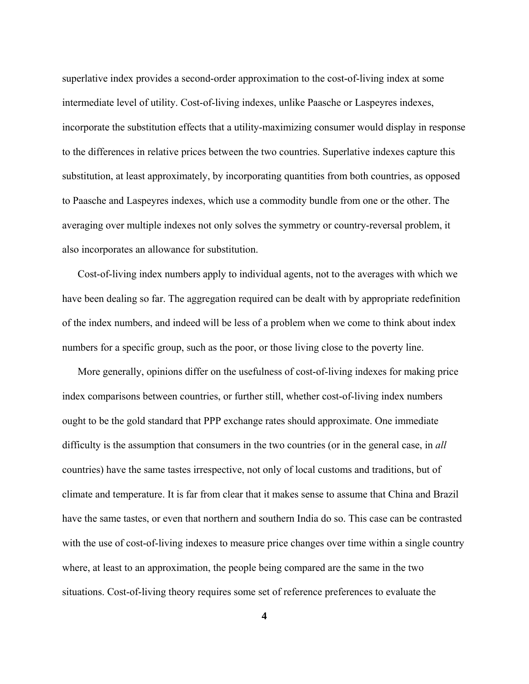superlative index provides a second-order approximation to the cost-of-living index at some intermediate level of utility. Cost-of-living indexes, unlike Paasche or Laspeyres indexes, incorporate the substitution effects that a utility-maximizing consumer would display in response to the differences in relative prices between the two countries. Superlative indexes capture this substitution, at least approximately, by incorporating quantities from both countries, as opposed to Paasche and Laspeyres indexes, which use a commodity bundle from one or the other. The averaging over multiple indexes not only solves the symmetry or country-reversal problem, it also incorporates an allowance for substitution.

 Cost-of-living index numbers apply to individual agents, not to the averages with which we have been dealing so far. The aggregation required can be dealt with by appropriate redefinition of the index numbers, and indeed will be less of a problem when we come to think about index numbers for a specific group, such as the poor, or those living close to the poverty line.

 More generally, opinions differ on the usefulness of cost-of-living indexes for making price index comparisons between countries, or further still, whether cost-of-living index numbers ought to be the gold standard that PPP exchange rates should approximate. One immediate difficulty is the assumption that consumers in the two countries (or in the general case, in *all* countries) have the same tastes irrespective, not only of local customs and traditions, but of climate and temperature. It is far from clear that it makes sense to assume that China and Brazil have the same tastes, or even that northern and southern India do so. This case can be contrasted with the use of cost-of-living indexes to measure price changes over time within a single country where, at least to an approximation, the people being compared are the same in the two situations. Cost-of-living theory requires some set of reference preferences to evaluate the

**4**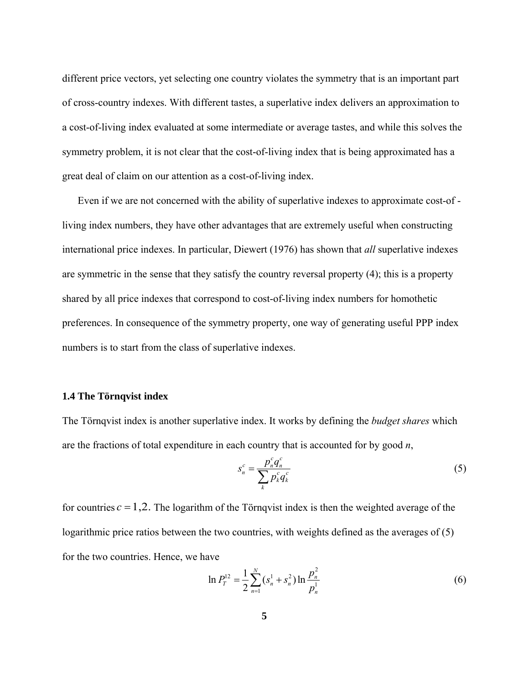different price vectors, yet selecting one country violates the symmetry that is an important part of cross-country indexes. With different tastes, a superlative index delivers an approximation to a cost-of-living index evaluated at some intermediate or average tastes, and while this solves the symmetry problem, it is not clear that the cost-of-living index that is being approximated has a great deal of claim on our attention as a cost-of-living index.

 Even if we are not concerned with the ability of superlative indexes to approximate cost-of living index numbers, they have other advantages that are extremely useful when constructing international price indexes. In particular, Diewert (1976) has shown that *all* superlative indexes are symmetric in the sense that they satisfy the country reversal property (4); this is a property shared by all price indexes that correspond to cost-of-living index numbers for homothetic preferences. In consequence of the symmetry property, one way of generating useful PPP index numbers is to start from the class of superlative indexes.

# **1.4 The Törnqvist index**

The Törnqvist index is another superlative index. It works by defining the *budget shares* which are the fractions of total expenditure in each country that is accounted for by good *n*,

$$
s_n^c = \frac{p_n^c q_n^c}{\sum_k p_k^c q_k^c} \tag{5}
$$

for countries  $c = 1, 2$ . The logarithm of the Törnqvist index is then the weighted average of the logarithmic price ratios between the two countries, with weights defined as the averages of (5) for the two countries. Hence, we have

$$
\ln P_T^{12} = \frac{1}{2} \sum_{n=1}^N (s_n^1 + s_n^2) \ln \frac{p_n^2}{p_n^1}
$$
 (6)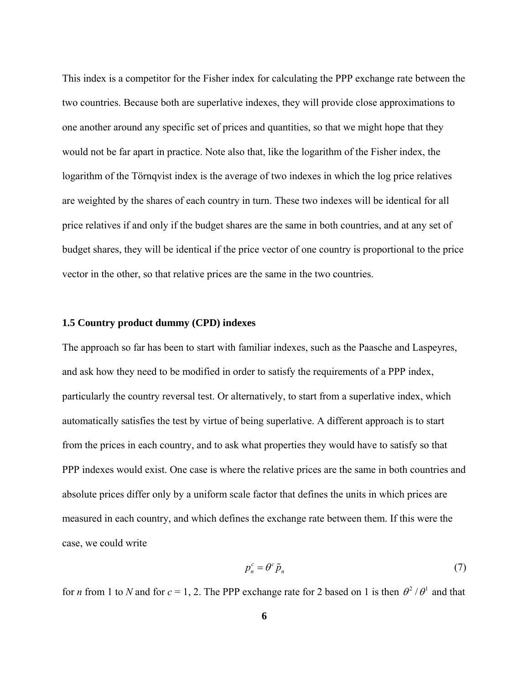This index is a competitor for the Fisher index for calculating the PPP exchange rate between the two countries. Because both are superlative indexes, they will provide close approximations to one another around any specific set of prices and quantities, so that we might hope that they would not be far apart in practice. Note also that, like the logarithm of the Fisher index, the logarithm of the Törnqvist index is the average of two indexes in which the log price relatives are weighted by the shares of each country in turn. These two indexes will be identical for all price relatives if and only if the budget shares are the same in both countries, and at any set of budget shares, they will be identical if the price vector of one country is proportional to the price vector in the other, so that relative prices are the same in the two countries.

# **1.5 Country product dummy (CPD) indexes**

The approach so far has been to start with familiar indexes, such as the Paasche and Laspeyres, and ask how they need to be modified in order to satisfy the requirements of a PPP index, particularly the country reversal test. Or alternatively, to start from a superlative index, which automatically satisfies the test by virtue of being superlative. A different approach is to start from the prices in each country, and to ask what properties they would have to satisfy so that PPP indexes would exist. One case is where the relative prices are the same in both countries and absolute prices differ only by a uniform scale factor that defines the units in which prices are measured in each country, and which defines the exchange rate between them. If this were the case, we could write

$$
p_n^c = \theta^c \tilde{p}_n \tag{7}
$$

for *n* from 1 to *N* and for  $c = 1, 2$ . The PPP exchange rate for 2 based on 1 is then  $\theta^2/\theta^1$  and that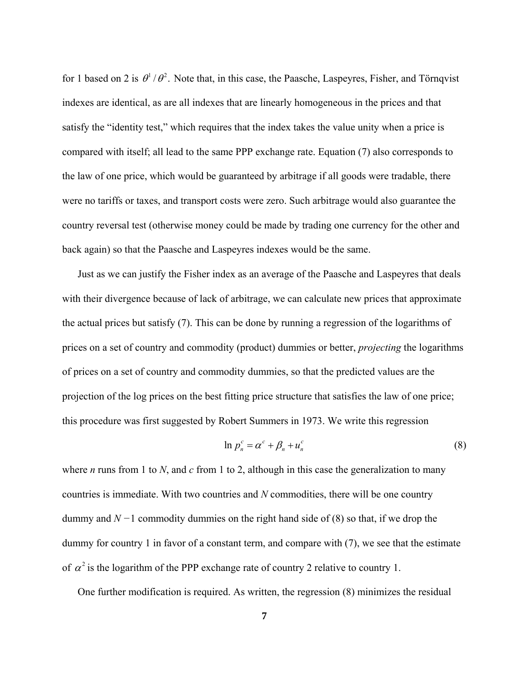for 1 based on 2 is  $\theta^1/\theta^2$ . Note that, in this case, the Paasche, Laspeyres, Fisher, and Törnqvist indexes are identical, as are all indexes that are linearly homogeneous in the prices and that satisfy the "identity test," which requires that the index takes the value unity when a price is compared with itself; all lead to the same PPP exchange rate. Equation (7) also corresponds to the law of one price, which would be guaranteed by arbitrage if all goods were tradable, there were no tariffs or taxes, and transport costs were zero. Such arbitrage would also guarantee the country reversal test (otherwise money could be made by trading one currency for the other and back again) so that the Paasche and Laspeyres indexes would be the same.

 Just as we can justify the Fisher index as an average of the Paasche and Laspeyres that deals with their divergence because of lack of arbitrage, we can calculate new prices that approximate the actual prices but satisfy (7). This can be done by running a regression of the logarithms of prices on a set of country and commodity (product) dummies or better, *projecting* the logarithms of prices on a set of country and commodity dummies, so that the predicted values are the projection of the log prices on the best fitting price structure that satisfies the law of one price; this procedure was first suggested by Robert Summers in 1973. We write this regression

$$
\ln p_n^c = \alpha^c + \beta_n + u_n^c \tag{8}
$$

where *n* runs from 1 to *N*, and *c* from 1 to 2, although in this case the generalization to many countries is immediate. With two countries and *N* commodities, there will be one country dummy and *N −*1 commodity dummies on the right hand side of (8) so that, if we drop the dummy for country 1 in favor of a constant term, and compare with (7), we see that the estimate of  $\alpha^2$  is the logarithm of the PPP exchange rate of country 2 relative to country 1.

One further modification is required. As written, the regression (8) minimizes the residual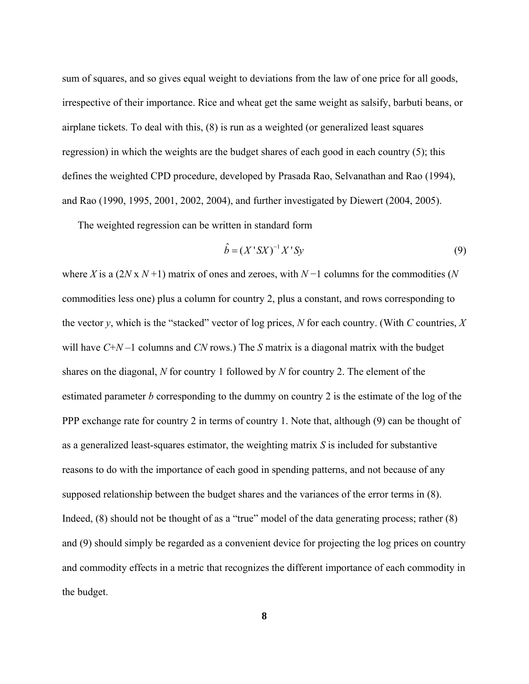sum of squares, and so gives equal weight to deviations from the law of one price for all goods, irrespective of their importance. Rice and wheat get the same weight as salsify, barbuti beans, or airplane tickets. To deal with this, (8) is run as a weighted (or generalized least squares regression) in which the weights are the budget shares of each good in each country (5); this defines the weighted CPD procedure, developed by Prasada Rao, Selvanathan and Rao (1994), and Rao (1990, 1995, 2001, 2002, 2004), and further investigated by Diewert (2004, 2005).

The weighted regression can be written in standard form

$$
\hat{b} = (X'SX)^{-1}X'Sy
$$
\n(9)

where *X* is a (2*N* x *N* +1) matrix of ones and zeroes, with *N* −1 columns for the commodities (*N* commodities less one) plus a column for country 2, plus a constant, and rows corresponding to the vector *y*, which is the "stacked" vector of log prices, *N* for each country. (With *C* countries, *X* will have *C*+*N* –1 columns and *CN* rows.) The *S* matrix is a diagonal matrix with the budget shares on the diagonal, *N* for country 1 followed by *N* for country 2. The element of the estimated parameter *b* corresponding to the dummy on country 2 is the estimate of the log of the PPP exchange rate for country 2 in terms of country 1. Note that, although (9) can be thought of as a generalized least-squares estimator, the weighting matrix *S* is included for substantive reasons to do with the importance of each good in spending patterns, and not because of any supposed relationship between the budget shares and the variances of the error terms in (8). Indeed, (8) should not be thought of as a "true" model of the data generating process; rather (8) and (9) should simply be regarded as a convenient device for projecting the log prices on country and commodity effects in a metric that recognizes the different importance of each commodity in the budget.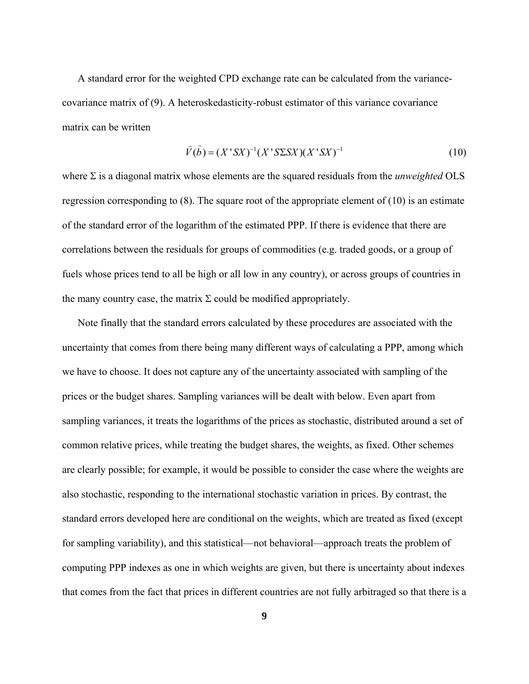A standard error for the weighted CPD exchange rate can be calculated from the variancecovariance matrix of (9). A heteroskedasticity-robust estimator of this variance covariance matrix can be written

$$
\widehat{V}(\widehat{b}) = (X'SX)^{-1}(X'S\Sigma SX)(X'SX)^{-1}
$$
\n(10)

where Σ is a diagonal matrix whose elements are the squared residuals from the *unweighted* OLS regression corresponding to  $(8)$ . The square root of the appropriate element of  $(10)$  is an estimate of the standard error of the logarithm of the estimated PPP. If there is evidence that there are correlations between the residuals for groups of commodities (e.g. traded goods, or a group of fuels whose prices tend to all be high or all low in any country), or across groups of countries in the many country case, the matrix  $\Sigma$  could be modified appropriately.

 Note finally that the standard errors calculated by these procedures are associated with the uncertainty that comes from there being many different ways of calculating a PPP, among which we have to choose. It does not capture any of the uncertainty associated with sampling of the prices or the budget shares. Sampling variances will be dealt with below. Even apart from sampling variances, it treats the logarithms of the prices as stochastic, distributed around a set of common relative prices, while treating the budget shares, the weights, as fixed. Other schemes are clearly possible; for example, it would be possible to consider the case where the weights are also stochastic, responding to the international stochastic variation in prices. By contrast, the standard errors developed here are conditional on the weights, which are treated as fixed (except for sampling variability), and this statistical—not behavioral—approach treats the problem of computing PPP indexes as one in which weights are given, but there is uncertainty about indexes that comes from the fact that prices in different countries are not fully arbitraged so that there is a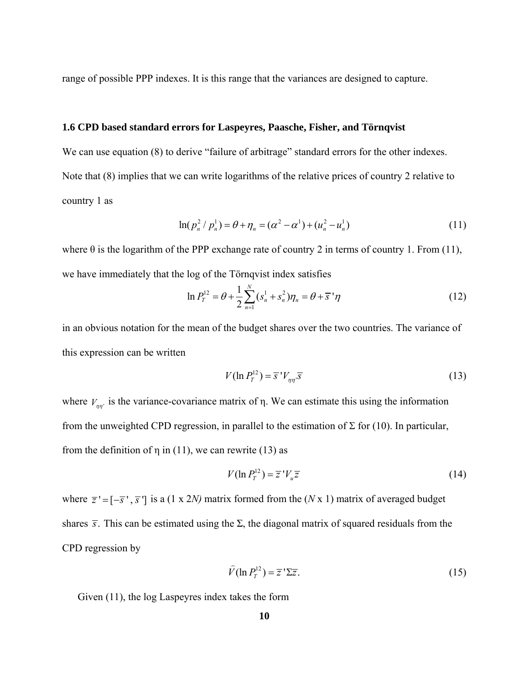range of possible PPP indexes. It is this range that the variances are designed to capture.

# **1.6 CPD based standard errors for Laspeyres, Paasche, Fisher, and Törnqvist**

We can use equation (8) to derive "failure of arbitrage" standard errors for the other indexes. Note that (8) implies that we can write logarithms of the relative prices of country 2 relative to country 1 as

$$
\ln(p_n^2 / p_n^1) = \theta + \eta_n = (\alpha^2 - \alpha^1) + (u_n^2 - u_n^1) \tag{11}
$$

where  $\theta$  is the logarithm of the PPP exchange rate of country 2 in terms of country 1. From (11), we have immediately that the log of the Törnqvist index satisfies

$$
\ln P_T^{12} = \theta + \frac{1}{2} \sum_{n=1}^N (s_n^1 + s_n^2) \eta_n = \theta + \overline{s}^{\,1} \eta \tag{12}
$$

in an obvious notation for the mean of the budget shares over the two countries. The variance of this expression can be written

$$
V(\ln P_T^{12}) = \overline{s}^{\prime} V_{\eta\eta} \overline{s}
$$
 (13)

where  $V_{\eta\eta'}$  is the variance-covariance matrix of  $\eta$ . We can estimate this using the information from the unweighted CPD regression, in parallel to the estimation of  $\Sigma$  for (10). In particular, from the definition of  $\eta$  in (11), we can rewrite (13) as

$$
V(\ln P_T^{12}) = \overline{z}^{\,\prime} V_u \overline{z} \tag{14}
$$

where  $\overline{z}$  ' =  $[-\overline{s}$ ',  $\overline{s}$ '] is a (1 x 2*N)* matrix formed from the (*N* x 1) matrix of averaged budget shares  $\bar{s}$ . This can be estimated using the  $\Sigma$ , the diagonal matrix of squared residuals from the CPD regression by

$$
\widehat{V}(\ln P_T^{12}) = \overline{z}^{\,\prime}\Sigma\overline{z}.\tag{15}
$$

Given (11), the log Laspeyres index takes the form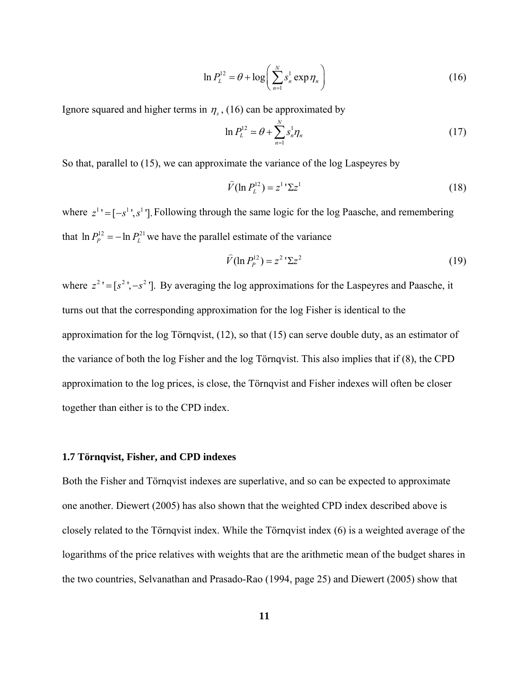$$
\ln P_L^{12} = \theta + \log \left( \sum_{n=1}^N s_n^1 \exp \eta_n \right) \tag{16}
$$

Ignore squared and higher terms in  $\eta_s$ , (16) can be approximated by

$$
\ln P_L^{12} \simeq \theta + \sum_{n=1}^N s_n^1 \eta_n \tag{17}
$$

So that, parallel to (15), we can approximate the variance of the log Laspeyres by

$$
\widehat{V}(\ln P_L^{12}) = z^1 \Sigma z^1 \tag{18}
$$

where  $z^1 = [-s^1, s^1]$ . Following through the same logic for the log Paasche, and remembering that  $\ln P_P^{12} = -\ln P_L^{21}$  we have the parallel estimate of the variance

$$
\widehat{V}(\ln P_P^{12}) = z^2 \, ^1\Sigma z^2 \tag{19}
$$

where  $z^2 = [s^2, -s^2]$ . By averaging the log approximations for the Laspeyres and Paasche, it turns out that the corresponding approximation for the log Fisher is identical to the approximation for the log Törnqvist, (12), so that (15) can serve double duty, as an estimator of the variance of both the log Fisher and the log Törnqvist. This also implies that if (8), the CPD approximation to the log prices, is close, the Törnqvist and Fisher indexes will often be closer together than either is to the CPD index.

## **1.7 Törnqvist, Fisher, and CPD indexes**

Both the Fisher and Törnqvist indexes are superlative, and so can be expected to approximate one another. Diewert (2005) has also shown that the weighted CPD index described above is closely related to the Törnqvist index. While the Törnqvist index (6) is a weighted average of the logarithms of the price relatives with weights that are the arithmetic mean of the budget shares in the two countries, Selvanathan and Prasado-Rao (1994, page 25) and Diewert (2005) show that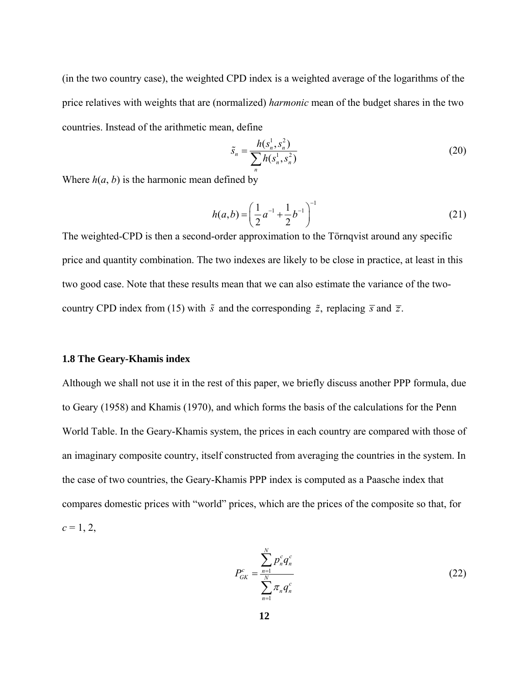(in the two country case), the weighted CPD index is a weighted average of the logarithms of the price relatives with weights that are (normalized) *harmonic* mean of the budget shares in the two countries. Instead of the arithmetic mean, define

$$
\tilde{s}_n = \frac{h(s_n^1, s_n^2)}{\sum_n h(s_n^1, s_n^2)}
$$
\n(20)

Where  $h(a, b)$  is the harmonic mean defined by

$$
h(a,b) = \left(\frac{1}{2}a^{-1} + \frac{1}{2}b^{-1}\right)^{-1}
$$
 (21)

The weighted-CPD is then a second-order approximation to the Törnqvist around any specific price and quantity combination. The two indexes are likely to be close in practice, at least in this two good case. Note that these results mean that we can also estimate the variance of the twocountry CPD index from (15) with  $\tilde{s}$  and the corresponding  $\tilde{z}$ , replacing  $\overline{s}$  and  $\overline{z}$ .

## **1.8 The Geary-Khamis index**

Although we shall not use it in the rest of this paper, we briefly discuss another PPP formula, due to Geary (1958) and Khamis (1970), and which forms the basis of the calculations for the Penn World Table. In the Geary-Khamis system, the prices in each country are compared with those of an imaginary composite country, itself constructed from averaging the countries in the system. In the case of two countries, the Geary-Khamis PPP index is computed as a Paasche index that compares domestic prices with "world" prices, which are the prices of the composite so that, for  $c = 1, 2,$ 

$$
P_{GK}^{c} = \frac{\sum_{n=1}^{N} p_n^c q_n^c}{\sum_{n=1}^{N} \pi_n q_n^c}
$$
 (22)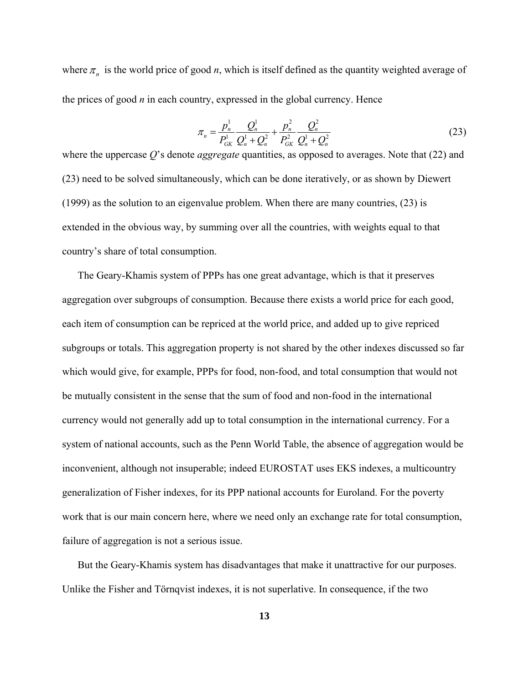where  $\pi_n$  is the world price of good *n*, which is itself defined as the quantity weighted average of the prices of good *n* in each country, expressed in the global currency. Hence

$$
\pi_n = \frac{p_n^1}{P_{GK}^1} \frac{Q_n^1}{Q_n^1 + Q_n^2} + \frac{p_n^2}{P_{GK}^2} \frac{Q_n^2}{Q_n^1 + Q_n^2}
$$
(23)

where the uppercase *Q*'s denote *aggregate* quantities, as opposed to averages. Note that (22) and (23) need to be solved simultaneously, which can be done iteratively, or as shown by Diewert (1999) as the solution to an eigenvalue problem. When there are many countries, (23) is extended in the obvious way, by summing over all the countries, with weights equal to that country's share of total consumption.

 The Geary-Khamis system of PPPs has one great advantage, which is that it preserves aggregation over subgroups of consumption. Because there exists a world price for each good, each item of consumption can be repriced at the world price, and added up to give repriced subgroups or totals. This aggregation property is not shared by the other indexes discussed so far which would give, for example, PPPs for food, non-food, and total consumption that would not be mutually consistent in the sense that the sum of food and non-food in the international currency would not generally add up to total consumption in the international currency. For a system of national accounts, such as the Penn World Table, the absence of aggregation would be inconvenient, although not insuperable; indeed EUROSTAT uses EKS indexes, a multicountry generalization of Fisher indexes, for its PPP national accounts for Euroland. For the poverty work that is our main concern here, where we need only an exchange rate for total consumption, failure of aggregation is not a serious issue.

 But the Geary-Khamis system has disadvantages that make it unattractive for our purposes. Unlike the Fisher and Törnqvist indexes, it is not superlative. In consequence, if the two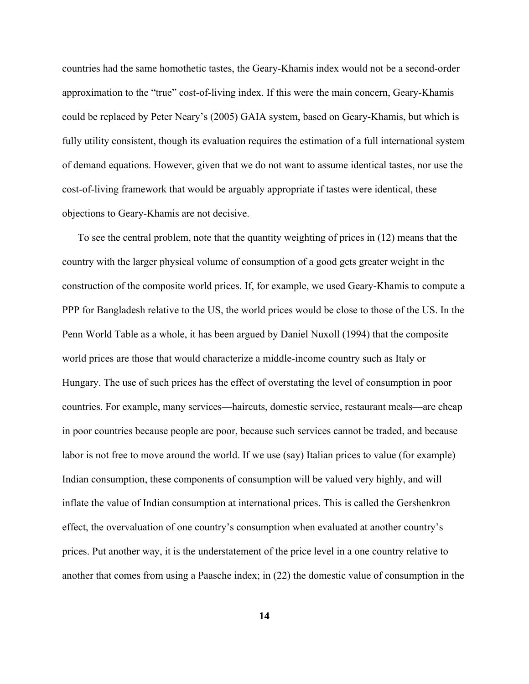countries had the same homothetic tastes, the Geary-Khamis index would not be a second-order approximation to the "true" cost-of-living index. If this were the main concern, Geary-Khamis could be replaced by Peter Neary's (2005) GAIA system, based on Geary-Khamis, but which is fully utility consistent, though its evaluation requires the estimation of a full international system of demand equations. However, given that we do not want to assume identical tastes, nor use the cost-of-living framework that would be arguably appropriate if tastes were identical, these objections to Geary-Khamis are not decisive.

 To see the central problem, note that the quantity weighting of prices in (12) means that the country with the larger physical volume of consumption of a good gets greater weight in the construction of the composite world prices. If, for example, we used Geary-Khamis to compute a PPP for Bangladesh relative to the US, the world prices would be close to those of the US. In the Penn World Table as a whole, it has been argued by Daniel Nuxoll (1994) that the composite world prices are those that would characterize a middle-income country such as Italy or Hungary. The use of such prices has the effect of overstating the level of consumption in poor countries. For example, many services—haircuts, domestic service, restaurant meals—are cheap in poor countries because people are poor, because such services cannot be traded, and because labor is not free to move around the world. If we use (say) Italian prices to value (for example) Indian consumption, these components of consumption will be valued very highly, and will inflate the value of Indian consumption at international prices. This is called the Gershenkron effect, the overvaluation of one country's consumption when evaluated at another country's prices. Put another way, it is the understatement of the price level in a one country relative to another that comes from using a Paasche index; in (22) the domestic value of consumption in the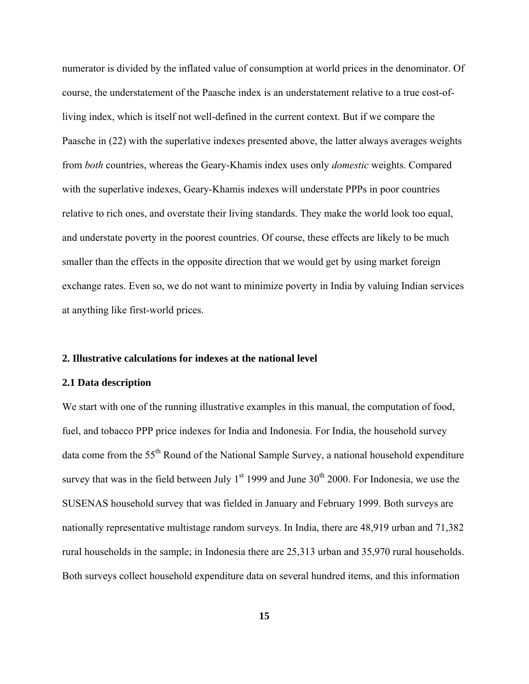numerator is divided by the inflated value of consumption at world prices in the denominator. Of course, the understatement of the Paasche index is an understatement relative to a true cost-ofliving index, which is itself not well-defined in the current context. But if we compare the Paasche in (22) with the superlative indexes presented above, the latter always averages weights from *both* countries, whereas the Geary-Khamis index uses only *domestic* weights. Compared with the superlative indexes, Geary-Khamis indexes will understate PPPs in poor countries relative to rich ones, and overstate their living standards. They make the world look too equal, and understate poverty in the poorest countries. Of course, these effects are likely to be much smaller than the effects in the opposite direction that we would get by using market foreign exchange rates. Even so, we do not want to minimize poverty in India by valuing Indian services at anything like first-world prices.

## **2. Illustrative calculations for indexes at the national level**

#### **2.1 Data description**

We start with one of the running illustrative examples in this manual, the computation of food, fuel, and tobacco PPP price indexes for India and Indonesia. For India, the household survey data come from the 55<sup>th</sup> Round of the National Sample Survey, a national household expenditure survey that was in the field between July  $1<sup>st</sup>$  1999 and June 30<sup>th</sup> 2000. For Indonesia, we use the SUSENAS household survey that was fielded in January and February 1999. Both surveys are nationally representative multistage random surveys. In India, there are 48,919 urban and 71,382 rural households in the sample; in Indonesia there are 25,313 urban and 35,970 rural households. Both surveys collect household expenditure data on several hundred items, and this information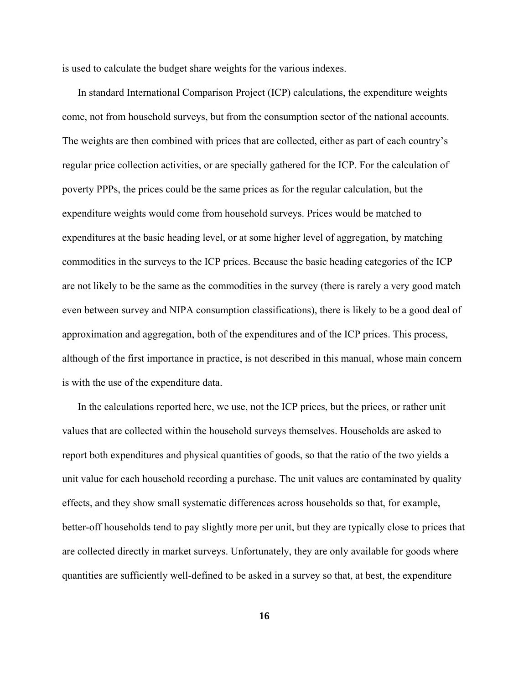is used to calculate the budget share weights for the various indexes.

 In standard International Comparison Project (ICP) calculations, the expenditure weights come, not from household surveys, but from the consumption sector of the national accounts. The weights are then combined with prices that are collected, either as part of each country's regular price collection activities, or are specially gathered for the ICP. For the calculation of poverty PPPs, the prices could be the same prices as for the regular calculation, but the expenditure weights would come from household surveys. Prices would be matched to expenditures at the basic heading level, or at some higher level of aggregation, by matching commodities in the surveys to the ICP prices. Because the basic heading categories of the ICP are not likely to be the same as the commodities in the survey (there is rarely a very good match even between survey and NIPA consumption classifications), there is likely to be a good deal of approximation and aggregation, both of the expenditures and of the ICP prices. This process, although of the first importance in practice, is not described in this manual, whose main concern is with the use of the expenditure data.

 In the calculations reported here, we use, not the ICP prices, but the prices, or rather unit values that are collected within the household surveys themselves. Households are asked to report both expenditures and physical quantities of goods, so that the ratio of the two yields a unit value for each household recording a purchase. The unit values are contaminated by quality effects, and they show small systematic differences across households so that, for example, better-off households tend to pay slightly more per unit, but they are typically close to prices that are collected directly in market surveys. Unfortunately, they are only available for goods where quantities are sufficiently well-defined to be asked in a survey so that, at best, the expenditure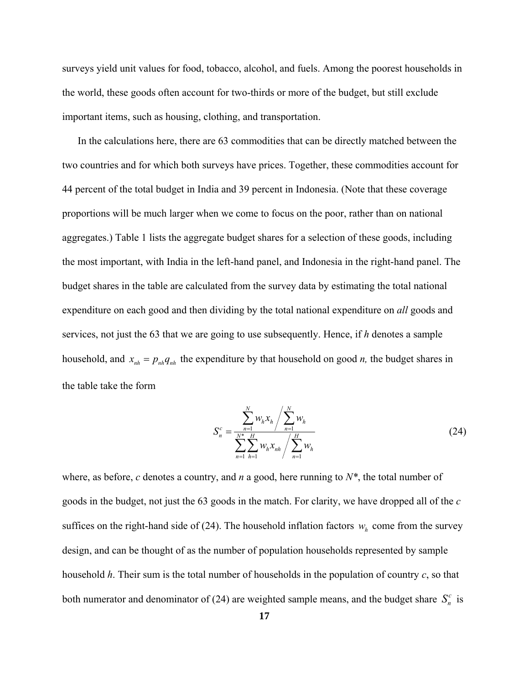surveys yield unit values for food, tobacco, alcohol, and fuels. Among the poorest households in the world, these goods often account for two-thirds or more of the budget, but still exclude important items, such as housing, clothing, and transportation.

 In the calculations here, there are 63 commodities that can be directly matched between the two countries and for which both surveys have prices. Together, these commodities account for 44 percent of the total budget in India and 39 percent in Indonesia. (Note that these coverage proportions will be much larger when we come to focus on the poor, rather than on national aggregates.) Table 1 lists the aggregate budget shares for a selection of these goods, including the most important, with India in the left-hand panel, and Indonesia in the right-hand panel. The budget shares in the table are calculated from the survey data by estimating the total national expenditure on each good and then dividing by the total national expenditure on *all* goods and services, not just the 63 that we are going to use subsequently. Hence, if *h* denotes a sample household, and  $x_{nh} = p_{nh} q_{nh}$  the expenditure by that household on good *n*, the budget shares in the table take the form

$$
S_n^c = \frac{\sum_{n=1}^N w_n x_h}{\sum_{n=1}^N \sum_{h=1}^H w_h x_{nh}} / \sum_{n=1}^N w_h
$$
\n(24)

where, as before, *c* denotes a country, and *n* a good, here running to *N\**, the total number of goods in the budget, not just the 63 goods in the match. For clarity, we have dropped all of the *c*  suffices on the right-hand side of (24). The household inflation factors  $w_h$  come from the survey design, and can be thought of as the number of population households represented by sample household *h*. Their sum is the total number of households in the population of country *c*, so that both numerator and denominator of (24) are weighted sample means, and the budget share  $S_n^c$  is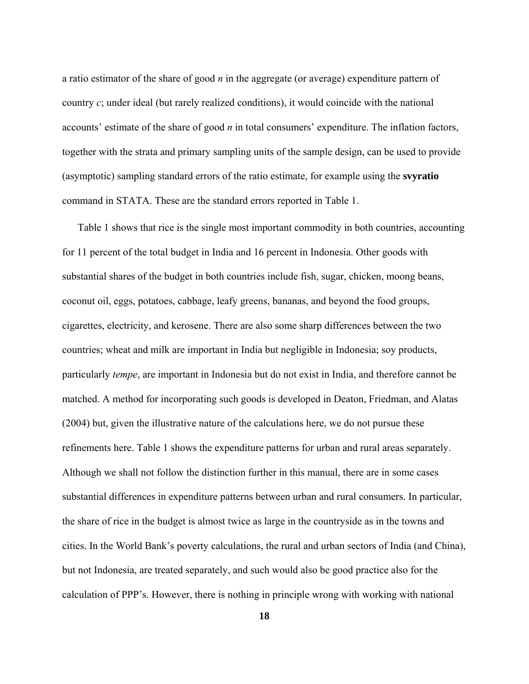a ratio estimator of the share of good *n* in the aggregate (or average) expenditure pattern of country *c*; under ideal (but rarely realized conditions), it would coincide with the national accounts' estimate of the share of good *n* in total consumers' expenditure. The inflation factors, together with the strata and primary sampling units of the sample design, can be used to provide (asymptotic) sampling standard errors of the ratio estimate, for example using the **svyratio** command in STATA. These are the standard errors reported in Table 1.

 Table 1 shows that rice is the single most important commodity in both countries, accounting for 11 percent of the total budget in India and 16 percent in Indonesia. Other goods with substantial shares of the budget in both countries include fish, sugar, chicken, moong beans, coconut oil, eggs, potatoes, cabbage, leafy greens, bananas, and beyond the food groups, cigarettes, electricity, and kerosene. There are also some sharp differences between the two countries; wheat and milk are important in India but negligible in Indonesia; soy products, particularly *tempe*, are important in Indonesia but do not exist in India, and therefore cannot be matched. A method for incorporating such goods is developed in Deaton, Friedman, and Alatas (2004) but, given the illustrative nature of the calculations here, we do not pursue these refinements here. Table 1 shows the expenditure patterns for urban and rural areas separately. Although we shall not follow the distinction further in this manual, there are in some cases substantial differences in expenditure patterns between urban and rural consumers. In particular, the share of rice in the budget is almost twice as large in the countryside as in the towns and cities. In the World Bank's poverty calculations, the rural and urban sectors of India (and China), but not Indonesia, are treated separately, and such would also be good practice also for the calculation of PPP's. However, there is nothing in principle wrong with working with national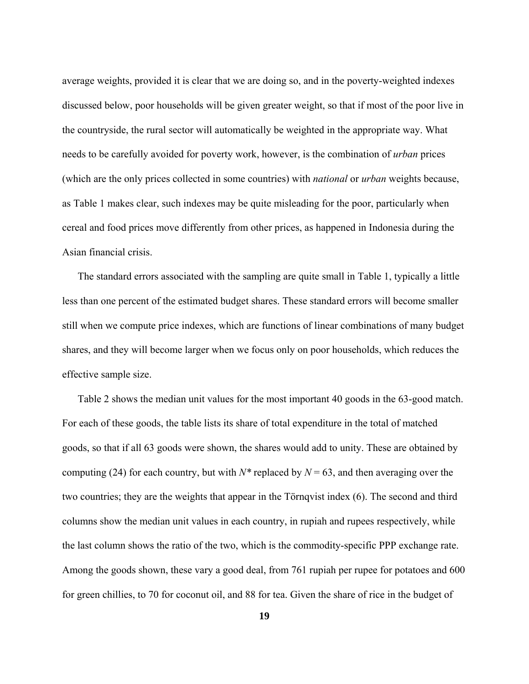average weights, provided it is clear that we are doing so, and in the poverty-weighted indexes discussed below, poor households will be given greater weight, so that if most of the poor live in the countryside, the rural sector will automatically be weighted in the appropriate way. What needs to be carefully avoided for poverty work, however, is the combination of *urban* prices (which are the only prices collected in some countries) with *national* or *urban* weights because, as Table 1 makes clear, such indexes may be quite misleading for the poor, particularly when cereal and food prices move differently from other prices, as happened in Indonesia during the Asian financial crisis.

 The standard errors associated with the sampling are quite small in Table 1, typically a little less than one percent of the estimated budget shares. These standard errors will become smaller still when we compute price indexes, which are functions of linear combinations of many budget shares, and they will become larger when we focus only on poor households, which reduces the effective sample size.

 Table 2 shows the median unit values for the most important 40 goods in the 63-good match. For each of these goods, the table lists its share of total expenditure in the total of matched goods, so that if all 63 goods were shown, the shares would add to unity. These are obtained by computing (24) for each country, but with  $N^*$  replaced by  $N = 63$ , and then averaging over the two countries; they are the weights that appear in the Törnqvist index (6). The second and third columns show the median unit values in each country, in rupiah and rupees respectively, while the last column shows the ratio of the two, which is the commodity-specific PPP exchange rate. Among the goods shown, these vary a good deal, from 761 rupiah per rupee for potatoes and 600 for green chillies, to 70 for coconut oil, and 88 for tea. Given the share of rice in the budget of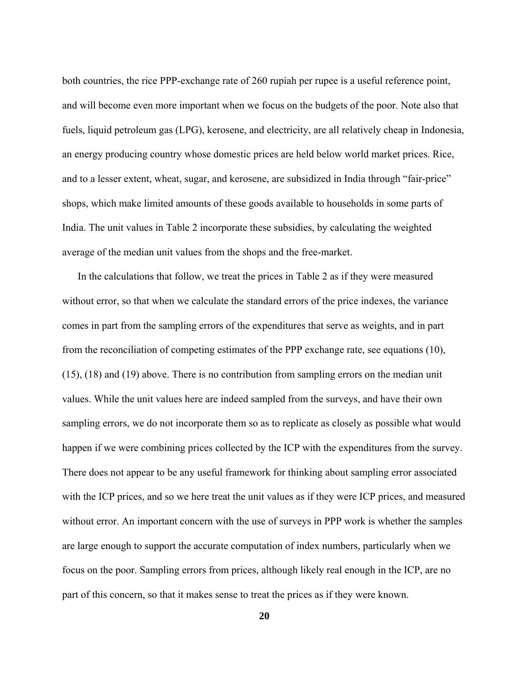both countries, the rice PPP-exchange rate of 260 rupiah per rupee is a useful reference point, and will become even more important when we focus on the budgets of the poor. Note also that fuels, liquid petroleum gas (LPG), kerosene, and electricity, are all relatively cheap in Indonesia, an energy producing country whose domestic prices are held below world market prices. Rice, and to a lesser extent, wheat, sugar, and kerosene, are subsidized in India through "fair-price" shops, which make limited amounts of these goods available to households in some parts of India. The unit values in Table 2 incorporate these subsidies, by calculating the weighted average of the median unit values from the shops and the free-market.

 In the calculations that follow, we treat the prices in Table 2 as if they were measured without error, so that when we calculate the standard errors of the price indexes, the variance comes in part from the sampling errors of the expenditures that serve as weights, and in part from the reconciliation of competing estimates of the PPP exchange rate, see equations (10), (15), (18) and (19) above. There is no contribution from sampling errors on the median unit values. While the unit values here are indeed sampled from the surveys, and have their own sampling errors, we do not incorporate them so as to replicate as closely as possible what would happen if we were combining prices collected by the ICP with the expenditures from the survey. There does not appear to be any useful framework for thinking about sampling error associated with the ICP prices, and so we here treat the unit values as if they were ICP prices, and measured without error. An important concern with the use of surveys in PPP work is whether the samples are large enough to support the accurate computation of index numbers, particularly when we focus on the poor. Sampling errors from prices, although likely real enough in the ICP, are no part of this concern, so that it makes sense to treat the prices as if they were known.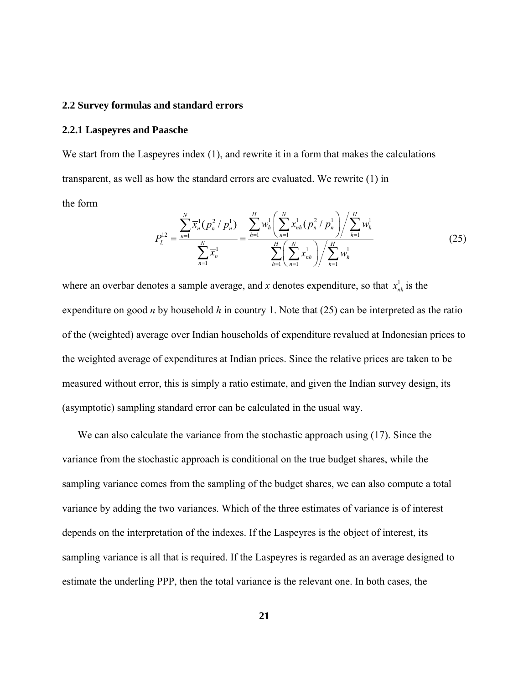#### **2.2 Survey formulas and standard errors**

#### **2.2.1 Laspeyres and Paasche**

We start from the Laspeyres index (1), and rewrite it in a form that makes the calculations transparent, as well as how the standard errors are evaluated. We rewrite (1) in the form

$$
P_{L}^{12} = \frac{\sum_{n=1}^{N} \overline{x}_{n}^{1} (p_{n}^{2} / p_{n}^{1})}{\sum_{n=1}^{N} \overline{x}_{n}^{1}} = \frac{\sum_{h=1}^{H} w_{h}^{1} \left(\sum_{n=1}^{N} x_{nh}^{1} (p_{n}^{2} / p_{n}^{1})\right) / \sum_{h=1}^{H} w_{h}^{1}}{\sum_{h=1}^{H} \left(\sum_{n=1}^{N} x_{nh}^{1}\right) / \sum_{h=1}^{H} w_{h}^{1}}
$$
(25)

where an overbar denotes a sample average, and *x* denotes expenditure, so that  $x_{nh}^1$  is the expenditure on good *n* by household *h* in country 1. Note that (25) can be interpreted as the ratio of the (weighted) average over Indian households of expenditure revalued at Indonesian prices to the weighted average of expenditures at Indian prices. Since the relative prices are taken to be measured without error, this is simply a ratio estimate, and given the Indian survey design, its (asymptotic) sampling standard error can be calculated in the usual way.

 We can also calculate the variance from the stochastic approach using (17). Since the variance from the stochastic approach is conditional on the true budget shares, while the sampling variance comes from the sampling of the budget shares, we can also compute a total variance by adding the two variances. Which of the three estimates of variance is of interest depends on the interpretation of the indexes. If the Laspeyres is the object of interest, its sampling variance is all that is required. If the Laspeyres is regarded as an average designed to estimate the underling PPP, then the total variance is the relevant one. In both cases, the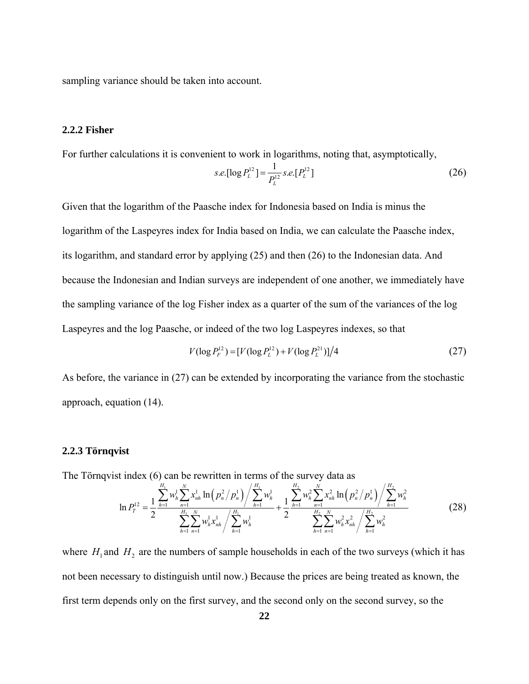sampling variance should be taken into account.

# **2.2.2 Fisher**

For further calculations it is convenient to work in logarithms, noting that, asymptotically,

$$
s.e. [\log P_L^{12}] = \frac{1}{P_L^{12}} s.e. [P_L^{12}]
$$
\n(26)

Given that the logarithm of the Paasche index for Indonesia based on India is minus the logarithm of the Laspeyres index for India based on India, we can calculate the Paasche index, its logarithm, and standard error by applying (25) and then (26) to the Indonesian data. And because the Indonesian and Indian surveys are independent of one another, we immediately have the sampling variance of the log Fisher index as a quarter of the sum of the variances of the log Laspeyres and the log Paasche, or indeed of the two log Laspeyres indexes, so that

$$
V(\log P_F^{12}) = [V(\log P_L^{12}) + V(\log P_L^{21})]/4 \tag{27}
$$

As before, the variance in (27) can be extended by incorporating the variance from the stochastic approach, equation (14).

# **2.2.3 Törnqvist**

The Törnqvist index (6) can be rewritten in terms of the survey data as

$$
\ln P_T^{12} = \frac{1}{2} \frac{\sum_{h=1}^{H_1} w_h^1 \sum_{n=1}^N x_{nh}^1 \ln (p_n^2 / p_n^1) / \sum_{h=1}^{H_1} w_h^1}{\sum_{h=1}^{H_1} \sum_{n=1}^N w_h^1 x_{hh}^1 / \sum_{h=1}^{H_1} w_h^1} + \frac{1}{2} \frac{\sum_{h=1}^{H_2} w_h^2 \sum_{n=1}^N x_{nh}^2 \ln (p_n^2 / p_n^1) / \sum_{h=1}^{H_2} w_h^2}{\sum_{h=1}^{H_2} \sum_{n=1}^N w_h^2 x_{hh}^2 / \sum_{h=1}^{H_2} w_h^2}
$$
(28)

where  $H_1$  and  $H_2$  are the numbers of sample households in each of the two surveys (which it has not been necessary to distinguish until now.) Because the prices are being treated as known, the first term depends only on the first survey, and the second only on the second survey, so the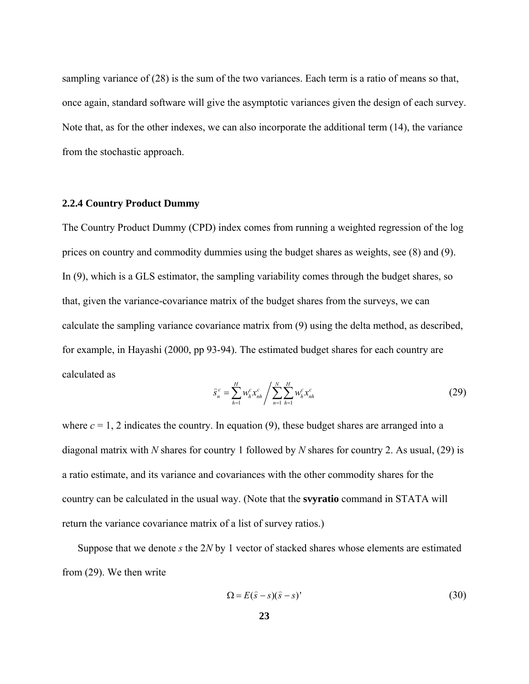sampling variance of (28) is the sum of the two variances. Each term is a ratio of means so that, once again, standard software will give the asymptotic variances given the design of each survey. Note that, as for the other indexes, we can also incorporate the additional term (14), the variance from the stochastic approach.

# **2.2.4 Country Product Dummy**

The Country Product Dummy (CPD) index comes from running a weighted regression of the log prices on country and commodity dummies using the budget shares as weights, see (8) and (9). In (9), which is a GLS estimator, the sampling variability comes through the budget shares, so that, given the variance-covariance matrix of the budget shares from the surveys, we can calculate the sampling variance covariance matrix from (9) using the delta method, as described, for example, in Hayashi (2000, pp 93-94). The estimated budget shares for each country are calculated as

$$
\hat{s}_n^c = \sum_{h=1}^H w_h^c x_{nh}^c / \sum_{n=1}^N \sum_{h=1}^H w_h^c x_{nh}^c
$$
\n(29)

where  $c = 1$ , 2 indicates the country. In equation (9), these budget shares are arranged into a diagonal matrix with *N* shares for country 1 followed by *N* shares for country 2. As usual, (29) is a ratio estimate, and its variance and covariances with the other commodity shares for the country can be calculated in the usual way. (Note that the **svyratio** command in STATA will return the variance covariance matrix of a list of survey ratios.)

 Suppose that we denote *s* the 2*N* by 1 vector of stacked shares whose elements are estimated from (29). We then write

$$
\Omega = E(\hat{s} - s)(\hat{s} - s)'
$$
\n(30)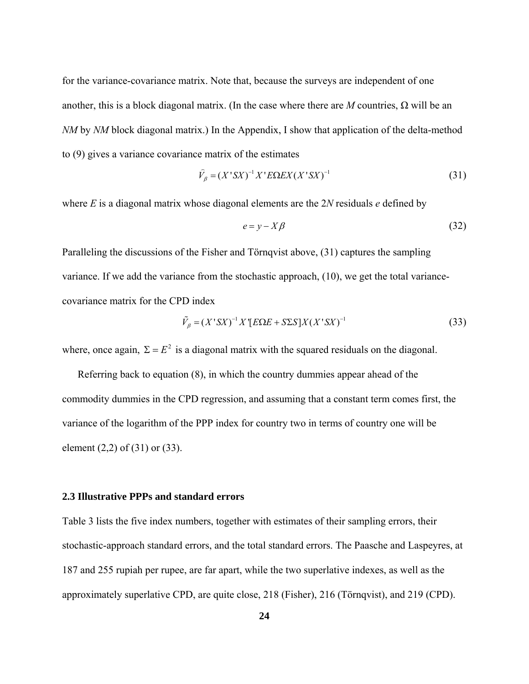for the variance-covariance matrix. Note that, because the surveys are independent of one another, this is a block diagonal matrix. (In the case where there are *M* countries,  $\Omega$  will be an *NM* by *NM* block diagonal matrix.) In the Appendix, I show that application of the delta-method to (9) gives a variance covariance matrix of the estimates

$$
\widehat{V}_{\beta} = (X^{\dagger}SX)^{-1}X^{\dagger}E\Omega EX(X^{\dagger}SX)^{-1}
$$
\n(31)

where *E* is a diagonal matrix whose diagonal elements are the 2*N* residuals *e* defined by

$$
e = y - X\beta \tag{32}
$$

Paralleling the discussions of the Fisher and Törnqvist above, (31) captures the sampling variance. If we add the variance from the stochastic approach, (10), we get the total variancecovariance matrix for the CPD index

$$
\tilde{V}_{\beta} = (X' S X)^{-1} X' [E\Omega E + S\Sigma S] X (X' S X)^{-1}
$$
\n(33)

where, once again,  $\Sigma = E^2$  is a diagonal matrix with the squared residuals on the diagonal.

 Referring back to equation (8), in which the country dummies appear ahead of the commodity dummies in the CPD regression, and assuming that a constant term comes first, the variance of the logarithm of the PPP index for country two in terms of country one will be element (2,2) of (31) or (33).

# **2.3 Illustrative PPPs and standard errors**

Table 3 lists the five index numbers, together with estimates of their sampling errors, their stochastic-approach standard errors, and the total standard errors. The Paasche and Laspeyres, at 187 and 255 rupiah per rupee, are far apart, while the two superlative indexes, as well as the approximately superlative CPD, are quite close, 218 (Fisher), 216 (Törnqvist), and 219 (CPD).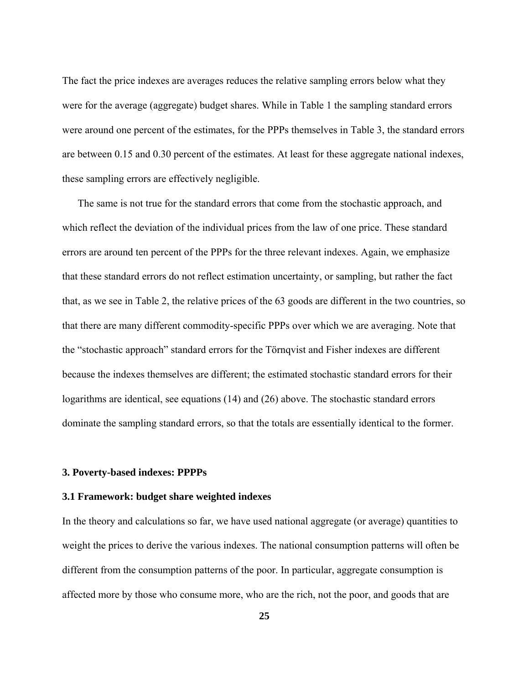The fact the price indexes are averages reduces the relative sampling errors below what they were for the average (aggregate) budget shares. While in Table 1 the sampling standard errors were around one percent of the estimates, for the PPPs themselves in Table 3, the standard errors are between 0.15 and 0.30 percent of the estimates. At least for these aggregate national indexes, these sampling errors are effectively negligible.

 The same is not true for the standard errors that come from the stochastic approach, and which reflect the deviation of the individual prices from the law of one price. These standard errors are around ten percent of the PPPs for the three relevant indexes. Again, we emphasize that these standard errors do not reflect estimation uncertainty, or sampling, but rather the fact that, as we see in Table 2, the relative prices of the 63 goods are different in the two countries, so that there are many different commodity-specific PPPs over which we are averaging. Note that the "stochastic approach" standard errors for the Törnqvist and Fisher indexes are different because the indexes themselves are different; the estimated stochastic standard errors for their logarithms are identical, see equations (14) and (26) above. The stochastic standard errors dominate the sampling standard errors, so that the totals are essentially identical to the former.

#### **3. Poverty-based indexes: PPPPs**

# **3.1 Framework: budget share weighted indexes**

In the theory and calculations so far, we have used national aggregate (or average) quantities to weight the prices to derive the various indexes. The national consumption patterns will often be different from the consumption patterns of the poor. In particular, aggregate consumption is affected more by those who consume more, who are the rich, not the poor, and goods that are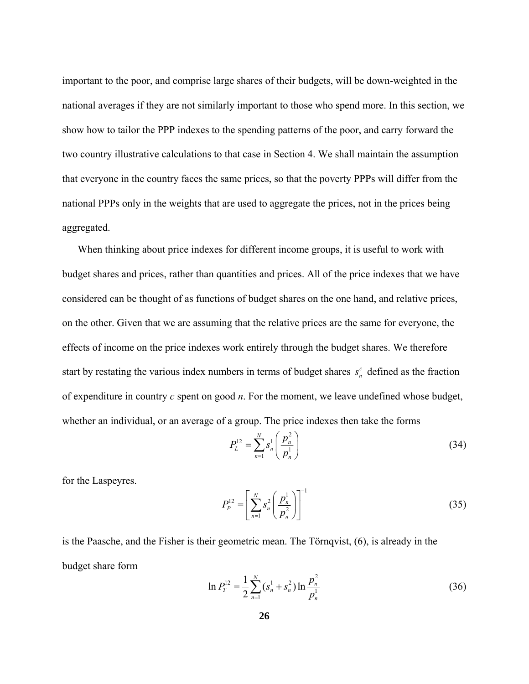important to the poor, and comprise large shares of their budgets, will be down-weighted in the national averages if they are not similarly important to those who spend more. In this section, we show how to tailor the PPP indexes to the spending patterns of the poor, and carry forward the two country illustrative calculations to that case in Section 4. We shall maintain the assumption that everyone in the country faces the same prices, so that the poverty PPPs will differ from the national PPPs only in the weights that are used to aggregate the prices, not in the prices being aggregated.

start by restating the various index numbers in terms of budget shares  $s_n^c$  defined as the fraction When thinking about price indexes for different income groups, it is useful to work with budget shares and prices, rather than quantities and prices. All of the price indexes that we have considered can be thought of as functions of budget shares on the one hand, and relative prices, on the other. Given that we are assuming that the relative prices are the same for everyone, the effects of income on the price indexes work entirely through the budget shares. We therefore of expenditure in country *c* spent on good *n*. For the moment, we leave undefined whose budget, whether an individual, or an average of a group. The price indexes then take the forms

$$
P_L^{12} = \sum_{n=1}^N s_n^1 \left( \frac{p_n^2}{p_n^1} \right) \tag{34}
$$

for the Laspeyres.

$$
P_P^{12} = \left[ \sum_{n=1}^N s_n^2 \left( \frac{p_n^1}{p_n^2} \right) \right]^{-1} \tag{35}
$$

is the Paasche, and the Fisher is their geometric mean. The Törnqvist, (6), is already in the budget share form

$$
\ln P_r^{12} = \frac{1}{2} \sum_{n=1}^N (s_n^1 + s_n^2) \ln \frac{p_n^2}{p_n^1}
$$
 (36)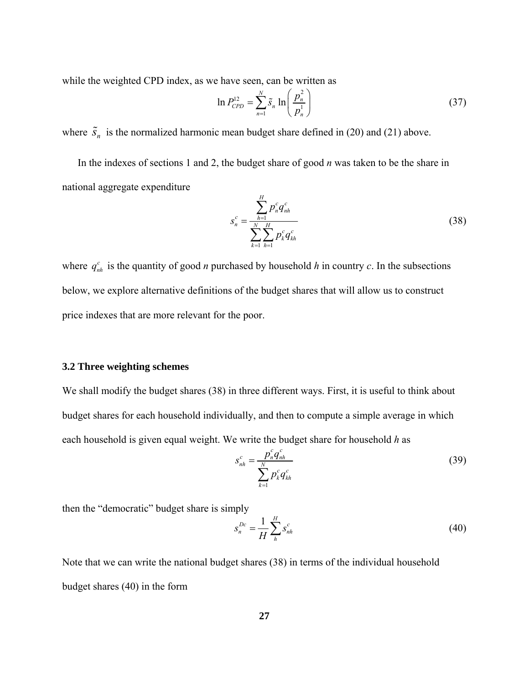while the weighted CPD index, as we have seen, can be written as

$$
\ln P_{CPD}^{12} = \sum_{n=1}^{N} \tilde{s}_n \ln \left( \frac{p_n^2}{p_n^1} \right) \tag{37}
$$

where  $\tilde{s}_n$  is the normalized harmonic mean budget share defined in (20) and (21) above.

 In the indexes of sections 1 and 2, the budget share of good *n* was taken to be the share in national aggregate expenditure

$$
s_n^c = \frac{\sum_{h=1}^H p_n^c q_{nh}^c}{\sum_{k=1}^N \sum_{h=1}^H p_k^c q_{kh}^c}
$$
 (38)

where  $q_{nh}^c$  is the quantity of good *n* purchased by household *h* in country *c*. In the subsections below, we explore alternative definitions of the budget shares that will allow us to construct price indexes that are more relevant for the poor.

# **3.2 Three weighting schemes**

We shall modify the budget shares (38) in three different ways. First, it is useful to think about budget shares for each household individually, and then to compute a simple average in which each household is given equal weight. We write the budget share for household *h* as

$$
s_{nh}^c = \frac{p_n^c q_{hh}^c}{\sum_{k=1}^N p_k^c q_{kh}^c}
$$
 (39)

then the "democratic" budget share is simply

$$
s_n^{Dc} = \frac{1}{H} \sum_{h}^{H} s_{nh}^c
$$
 (40)

Note that we can write the national budget shares (38) in terms of the individual household budget shares (40) in the form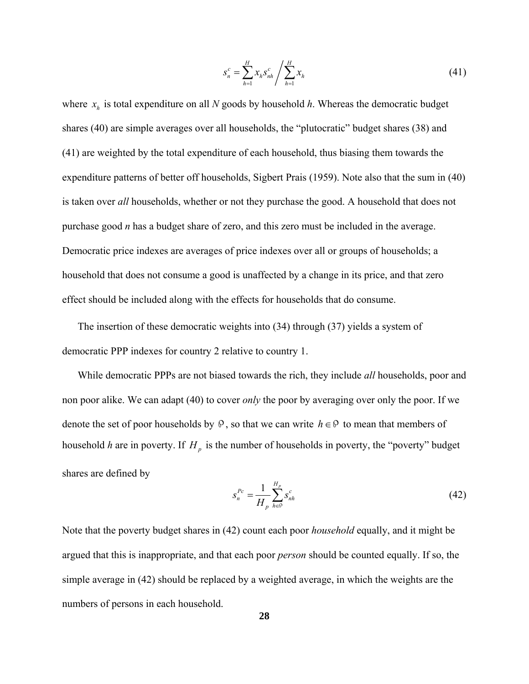$$
s_n^c = \sum_{h=1}^H x_h s_{nh}^c / \sum_{h=1}^H x_h
$$
 (41)

where  $x<sub>h</sub>$  is total expenditure on all *N* goods by household *h*. Whereas the democratic budget shares (40) are simple averages over all households, the "plutocratic" budget shares (38) and (41) are weighted by the total expenditure of each household, thus biasing them towards the expenditure patterns of better off households, Sigbert Prais (1959). Note also that the sum in (40) is taken over *all* households, whether or not they purchase the good. A household that does not purchase good *n* has a budget share of zero, and this zero must be included in the average. Democratic price indexes are averages of price indexes over all or groups of households; a household that does not consume a good is unaffected by a change in its price, and that zero effect should be included along with the effects for households that do consume.

 The insertion of these democratic weights into (34) through (37) yields a system of democratic PPP indexes for country 2 relative to country 1.

 While democratic PPPs are not biased towards the rich, they include *all* households, poor and non poor alike. We can adapt (40) to cover *only* the poor by averaging over only the poor. If we denote the set of poor households by  $\varphi$ , so that we can write  $h \in \varphi$  to mean that members of household *h* are in poverty. If  $H_p$  is the number of households in poverty, the "poverty" budget shares are defined by

$$
s_n^{Pc} = \frac{1}{H_p} \sum_{h \in \mathcal{P}}^{H_p} s_{nh}^c
$$
 (42)

Note that the poverty budget shares in (42) count each poor *household* equally, and it might be argued that this is inappropriate, and that each poor *person* should be counted equally. If so, the simple average in (42) should be replaced by a weighted average, in which the weights are the numbers of persons in each household.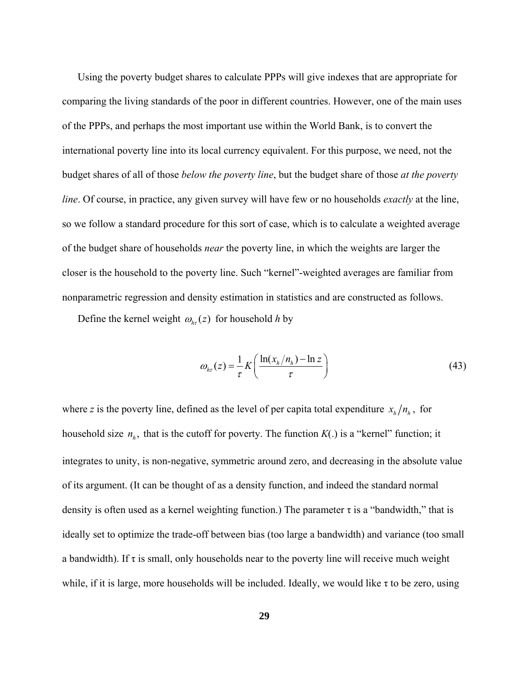Using the poverty budget shares to calculate PPPs will give indexes that are appropriate for comparing the living standards of the poor in different countries. However, one of the main uses of the PPPs, and perhaps the most important use within the World Bank, is to convert the international poverty line into its local currency equivalent. For this purpose, we need, not the budget shares of all of those *below the poverty line*, but the budget share of those *at the poverty line*. Of course, in practice, any given survey will have few or no households *exactly* at the line, so we follow a standard procedure for this sort of case, which is to calculate a weighted average of the budget share of households *near* the poverty line, in which the weights are larger the closer is the household to the poverty line. Such "kernel"-weighted averages are familiar from nonparametric regression and density estimation in statistics and are constructed as follows.

Define the kernel weight  $\omega_{h\tau}(z)$  for household *h* by

$$
\omega_{hr}(z) = \frac{1}{\tau} K \left( \frac{\ln(x_h/n_h) - \ln z}{\tau} \right) \tag{43}
$$

where *z* is the poverty line, defined as the level of per capita total expenditure  $x_h/n_h$ , for household size  $n_h$ , that is the cutoff for poverty. The function  $K(.)$  is a "kernel" function; it integrates to unity, is non-negative, symmetric around zero, and decreasing in the absolute value of its argument. (It can be thought of as a density function, and indeed the standard normal density is often used as a kernel weighting function.) The parameter  $\tau$  is a "bandwidth," that is ideally set to optimize the trade-off between bias (too large a bandwidth) and variance (too small a bandwidth). If  $\tau$  is small, only households near to the poverty line will receive much weight while, if it is large, more households will be included. Ideally, we would like  $\tau$  to be zero, using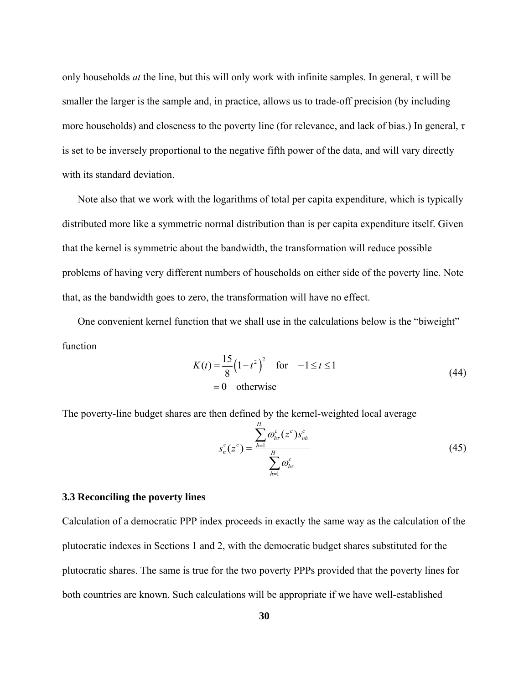only households  $at$  the line, but this will only work with infinite samples. In general,  $\tau$  will be smaller the larger is the sample and, in practice, allows us to trade-off precision (by including more households) and closeness to the poverty line (for relevance, and lack of bias.) In general,  $\tau$ is set to be inversely proportional to the negative fifth power of the data, and will vary directly with its standard deviation.

 Note also that we work with the logarithms of total per capita expenditure, which is typically distributed more like a symmetric normal distribution than is per capita expenditure itself. Given that the kernel is symmetric about the bandwidth, the transformation will reduce possible problems of having very different numbers of households on either side of the poverty line. Note that, as the bandwidth goes to zero, the transformation will have no effect.

 One convenient kernel function that we shall use in the calculations below is the "biweight" function

$$
K(t) = \frac{15}{8} (1 - t^2)^2 \quad \text{for} \quad -1 \le t \le 1
$$
  
= 0 otherwise (44)

The poverty-line budget shares are then defined by the kernel-weighted local average

$$
s_n^c(z^c) = \frac{\sum_{h=1}^H \omega_{hr}^c(z^c) s_{nh}^c}{\sum_{h=1}^H \omega_{hr}^c}
$$
 (45)

## **3.3 Reconciling the poverty lines**

Calculation of a democratic PPP index proceeds in exactly the same way as the calculation of the plutocratic indexes in Sections 1 and 2, with the democratic budget shares substituted for the plutocratic shares. The same is true for the two poverty PPPs provided that the poverty lines for both countries are known. Such calculations will be appropriate if we have well-established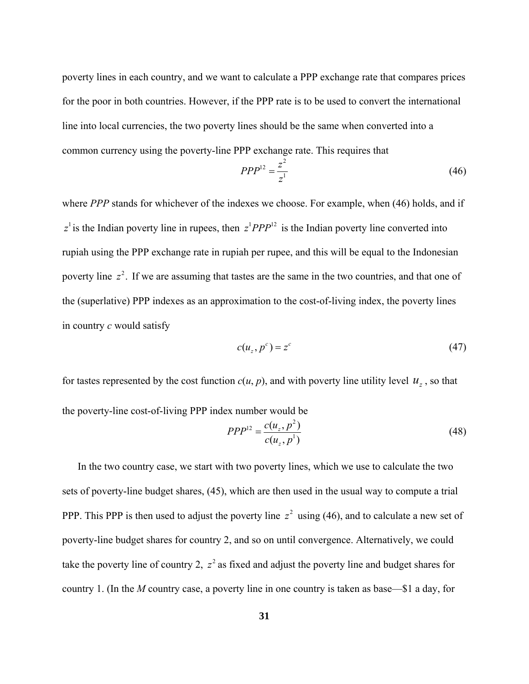poverty lines in each country, and we want to calculate a PPP exchange rate that compares prices for the poor in both countries. However, if the PPP rate is to be used to convert the international line into local currencies, the two poverty lines should be the same when converted into a common currency using the poverty-line PPP exchange rate. This requires that

$$
PPP^{12} = \frac{z^2}{z^1} \tag{46}
$$

where *PPP* stands for whichever of the indexes we choose. For example, when (46) holds, and if  $z^1$  is the Indian poverty line in rupees, then  $z^1 P P P^{12}$  is the Indian poverty line converted into rupiah using the PPP exchange rate in rupiah per rupee, and this will be equal to the Indonesian poverty line  $z^2$ . If we are assuming that tastes are the same in the two countries, and that one of the (superlative) PPP indexes as an approximation to the cost-of-living index, the poverty lines in country *c* would satisfy

$$
c(u_z, p^c) = z^c \tag{47}
$$

for tastes represented by the cost function  $c(u, p)$ , and with poverty line utility level  $u_z$ , so that the poverty-line cost-of-living PPP index number would be

$$
PPP^{12} = \frac{c(u_z, p^2)}{c(u_z, p^1)}
$$
\n(48)

 In the two country case, we start with two poverty lines, which we use to calculate the two sets of poverty-line budget shares, (45), which are then used in the usual way to compute a trial PPP. This PPP is then used to adjust the poverty line  $z^2$  using (46), and to calculate a new set of poverty-line budget shares for country 2, and so on until convergence. Alternatively, we could take the poverty line of country 2,  $z^2$  as fixed and adjust the poverty line and budget shares for country 1. (In the *M* country case, a poverty line in one country is taken as base—\$1 a day, for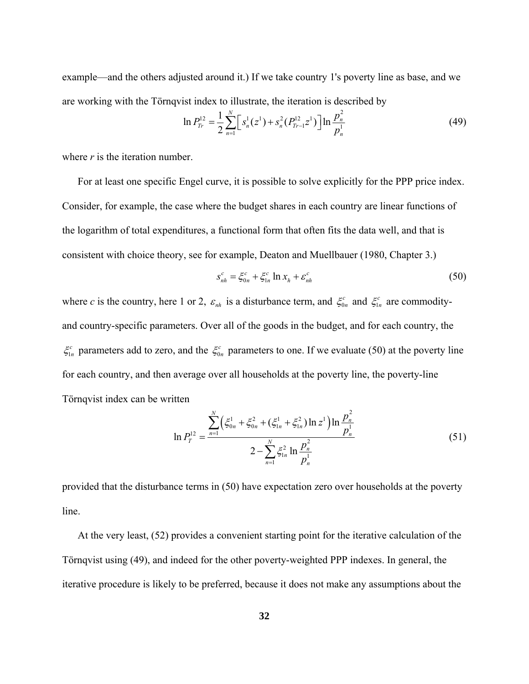example—and the others adjusted around it.) If we take country 1's poverty line as base, and we are working with the Törnqvist index to illustrate, the iteration is described by

$$
\ln P_{Tr}^{12} = \frac{1}{2} \sum_{n=1}^{N} \left[ s_n^1(z^1) + s_n^2(P_{Tr-1}^{12} z^1) \right] \ln \frac{p_n^2}{p_n^1}
$$
 (49)

where *r* is the iteration number.

 For at least one specific Engel curve, it is possible to solve explicitly for the PPP price index. Consider, for example, the case where the budget shares in each country are linear functions of the logarithm of total expenditures, a functional form that often fits the data well, and that is consistent with choice theory, see for example, Deaton and Muellbauer (1980, Chapter 3.)

$$
s_{nh}^c = \xi_{0n}^c + \xi_{1n}^c \ln x_h + \varepsilon_{nh}^c
$$
 (50)

where *c* is the country, here 1 or 2,  $\varepsilon_{nh}$  is a disturbance term, and  $\xi_{0n}^c$  and  $\xi_{1n}^c$  are commodityand country-specific parameters. Over all of the goods in the budget, and for each country, the  $\xi_{1n}^c$  parameters add to zero, and the  $\xi_{0n}^c$  parameters to one. If we evaluate (50) at the poverty line for each country, and then average over all households at the poverty line, the poverty-line Törnqvist index can be written

$$
\ln P_T^{12} = \frac{\sum_{n=1}^N \left(\xi_{0n}^1 + \xi_{0n}^2 + (\xi_{1n}^1 + \xi_{1n}^2) \ln z^1\right) \ln \frac{p_n^2}{p_n^1}}{2 - \sum_{n=1}^N \xi_{1n}^2 \ln \frac{p_n^2}{p_n^1}}
$$
(51)

provided that the disturbance terms in (50) have expectation zero over households at the poverty line.

 At the very least, (52) provides a convenient starting point for the iterative calculation of the Törnqvist using (49), and indeed for the other poverty-weighted PPP indexes. In general, the iterative procedure is likely to be preferred, because it does not make any assumptions about the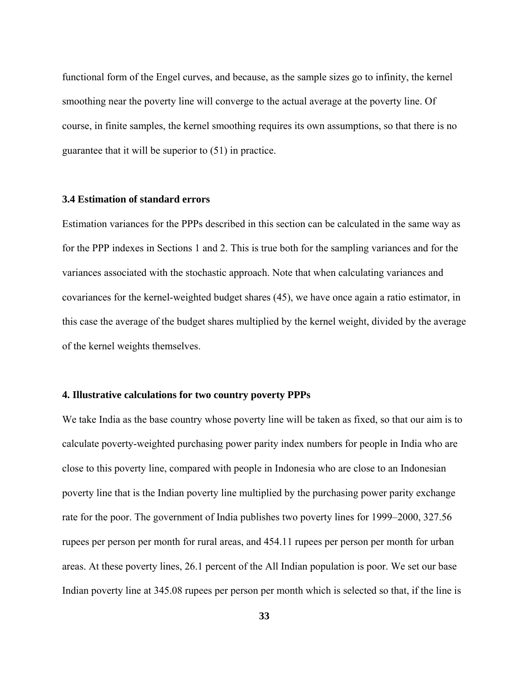functional form of the Engel curves, and because, as the sample sizes go to infinity, the kernel smoothing near the poverty line will converge to the actual average at the poverty line. Of course, in finite samples, the kernel smoothing requires its own assumptions, so that there is no guarantee that it will be superior to (51) in practice.

# **3.4 Estimation of standard errors**

Estimation variances for the PPPs described in this section can be calculated in the same way as for the PPP indexes in Sections 1 and 2. This is true both for the sampling variances and for the variances associated with the stochastic approach. Note that when calculating variances and covariances for the kernel-weighted budget shares (45), we have once again a ratio estimator, in this case the average of the budget shares multiplied by the kernel weight, divided by the average of the kernel weights themselves.

# **4. Illustrative calculations for two country poverty PPPs**

We take India as the base country whose poverty line will be taken as fixed, so that our aim is to calculate poverty-weighted purchasing power parity index numbers for people in India who are close to this poverty line, compared with people in Indonesia who are close to an Indonesian poverty line that is the Indian poverty line multiplied by the purchasing power parity exchange rate for the poor. The government of India publishes two poverty lines for 1999–2000, 327.56 rupees per person per month for rural areas, and 454.11 rupees per person per month for urban areas. At these poverty lines, 26.1 percent of the All Indian population is poor. We set our base Indian poverty line at 345.08 rupees per person per month which is selected so that, if the line is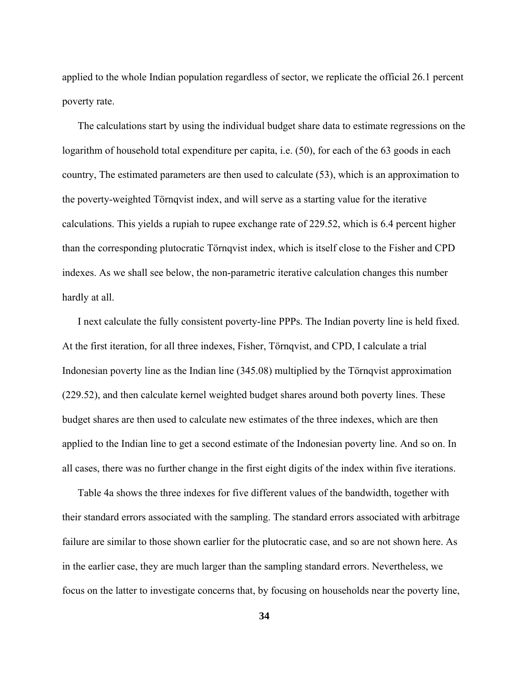applied to the whole Indian population regardless of sector, we replicate the official 26.1 percent poverty rate.

 The calculations start by using the individual budget share data to estimate regressions on the logarithm of household total expenditure per capita, i.e. (50), for each of the 63 goods in each country, The estimated parameters are then used to calculate (53), which is an approximation to the poverty-weighted Törnqvist index, and will serve as a starting value for the iterative calculations. This yields a rupiah to rupee exchange rate of 229.52, which is 6.4 percent higher than the corresponding plutocratic Törnqvist index, which is itself close to the Fisher and CPD indexes. As we shall see below, the non-parametric iterative calculation changes this number hardly at all.

 I next calculate the fully consistent poverty-line PPPs. The Indian poverty line is held fixed. At the first iteration, for all three indexes, Fisher, Törnqvist, and CPD, I calculate a trial Indonesian poverty line as the Indian line (345.08) multiplied by the Törnqvist approximation (229.52), and then calculate kernel weighted budget shares around both poverty lines. These budget shares are then used to calculate new estimates of the three indexes, which are then applied to the Indian line to get a second estimate of the Indonesian poverty line. And so on. In all cases, there was no further change in the first eight digits of the index within five iterations.

 Table 4a shows the three indexes for five different values of the bandwidth, together with their standard errors associated with the sampling. The standard errors associated with arbitrage failure are similar to those shown earlier for the plutocratic case, and so are not shown here. As in the earlier case, they are much larger than the sampling standard errors. Nevertheless, we focus on the latter to investigate concerns that, by focusing on households near the poverty line,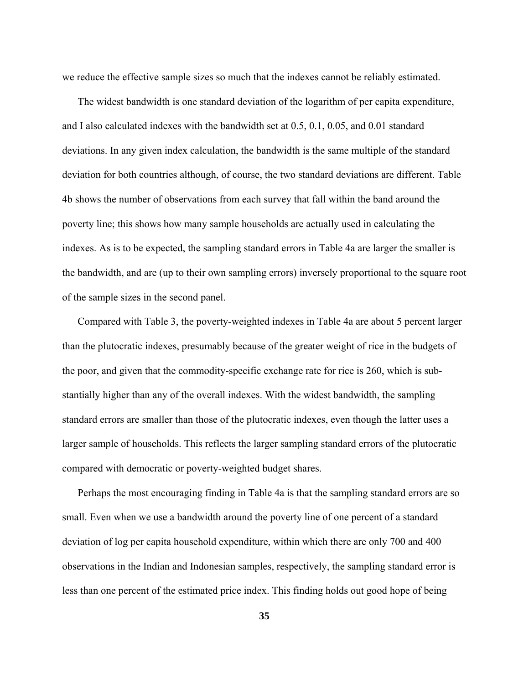we reduce the effective sample sizes so much that the indexes cannot be reliably estimated.

 The widest bandwidth is one standard deviation of the logarithm of per capita expenditure, and I also calculated indexes with the bandwidth set at 0.5, 0.1, 0.05, and 0.01 standard deviations. In any given index calculation, the bandwidth is the same multiple of the standard deviation for both countries although, of course, the two standard deviations are different. Table 4b shows the number of observations from each survey that fall within the band around the poverty line; this shows how many sample households are actually used in calculating the indexes. As is to be expected, the sampling standard errors in Table 4a are larger the smaller is the bandwidth, and are (up to their own sampling errors) inversely proportional to the square root of the sample sizes in the second panel.

 Compared with Table 3, the poverty-weighted indexes in Table 4a are about 5 percent larger than the plutocratic indexes, presumably because of the greater weight of rice in the budgets of the poor, and given that the commodity-specific exchange rate for rice is 260, which is substantially higher than any of the overall indexes. With the widest bandwidth, the sampling standard errors are smaller than those of the plutocratic indexes, even though the latter uses a larger sample of households. This reflects the larger sampling standard errors of the plutocratic compared with democratic or poverty-weighted budget shares.

 Perhaps the most encouraging finding in Table 4a is that the sampling standard errors are so small. Even when we use a bandwidth around the poverty line of one percent of a standard deviation of log per capita household expenditure, within which there are only 700 and 400 observations in the Indian and Indonesian samples, respectively, the sampling standard error is less than one percent of the estimated price index. This finding holds out good hope of being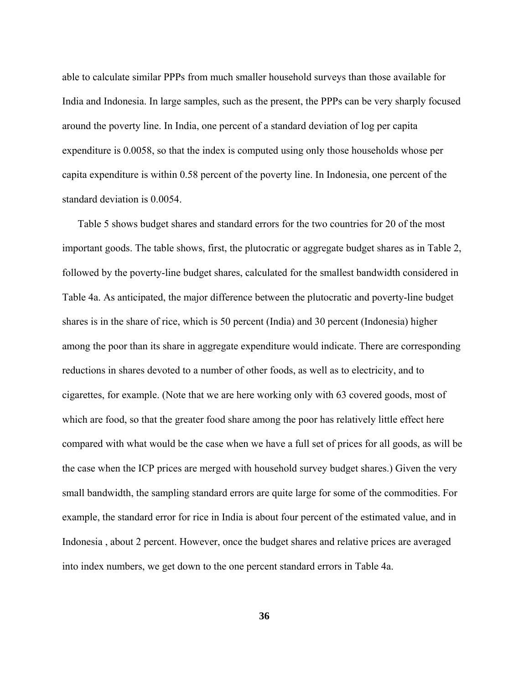able to calculate similar PPPs from much smaller household surveys than those available for India and Indonesia. In large samples, such as the present, the PPPs can be very sharply focused around the poverty line. In India, one percent of a standard deviation of log per capita expenditure is 0.0058, so that the index is computed using only those households whose per capita expenditure is within 0.58 percent of the poverty line. In Indonesia, one percent of the standard deviation is 0.0054.

 Table 5 shows budget shares and standard errors for the two countries for 20 of the most important goods. The table shows, first, the plutocratic or aggregate budget shares as in Table 2, followed by the poverty-line budget shares, calculated for the smallest bandwidth considered in Table 4a. As anticipated, the major difference between the plutocratic and poverty-line budget shares is in the share of rice, which is 50 percent (India) and 30 percent (Indonesia) higher among the poor than its share in aggregate expenditure would indicate. There are corresponding reductions in shares devoted to a number of other foods, as well as to electricity, and to cigarettes, for example. (Note that we are here working only with 63 covered goods, most of which are food, so that the greater food share among the poor has relatively little effect here compared with what would be the case when we have a full set of prices for all goods, as will be the case when the ICP prices are merged with household survey budget shares.) Given the very small bandwidth, the sampling standard errors are quite large for some of the commodities. For example, the standard error for rice in India is about four percent of the estimated value, and in Indonesia , about 2 percent. However, once the budget shares and relative prices are averaged into index numbers, we get down to the one percent standard errors in Table 4a.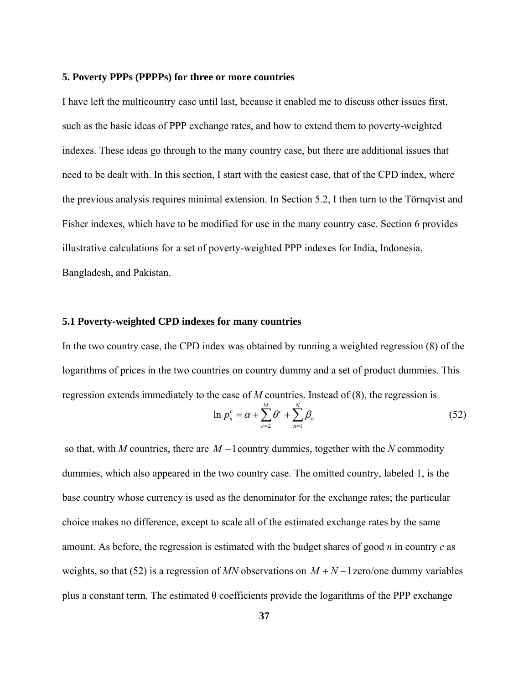#### **5. Poverty PPPs (PPPPs) for three or more countries**

I have left the multicountry case until last, because it enabled me to discuss other issues first, such as the basic ideas of PPP exchange rates, and how to extend them to poverty-weighted indexes. These ideas go through to the many country case, but there are additional issues that need to be dealt with. In this section, I start with the easiest case, that of the CPD index, where the previous analysis requires minimal extension. In Section 5.2, I then turn to the Törnqvist and Fisher indexes, which have to be modified for use in the many country case. Section 6 provides illustrative calculations for a set of poverty-weighted PPP indexes for India, Indonesia, Bangladesh, and Pakistan.

### **5.1 Poverty-weighted CPD indexes for many countries**

In the two country case, the CPD index was obtained by running a weighted regression (8) of the logarithms of prices in the two countries on country dummy and a set of product dummies. This regression extends immediately to the case of *M* countries. Instead of (8), the regression is

$$
\ln p_n^c = \alpha + \sum_{c=2}^M \theta^c + \sum_{n=1}^N \beta_n \tag{52}
$$

 so that, with *M* countries, there are *M* −1country dummies, together with the *N* commodity dummies, which also appeared in the two country case. The omitted country, labeled 1, is the base country whose currency is used as the denominator for the exchange rates; the particular choice makes no difference, except to scale all of the estimated exchange rates by the same amount. As before, the regression is estimated with the budget shares of good *n* in country *c* as weights, so that (52) is a regression of *MN* observations on  $M + N - 1$  zero/one dummy variables plus a constant term. The estimated θ coefficients provide the logarithms of the PPP exchange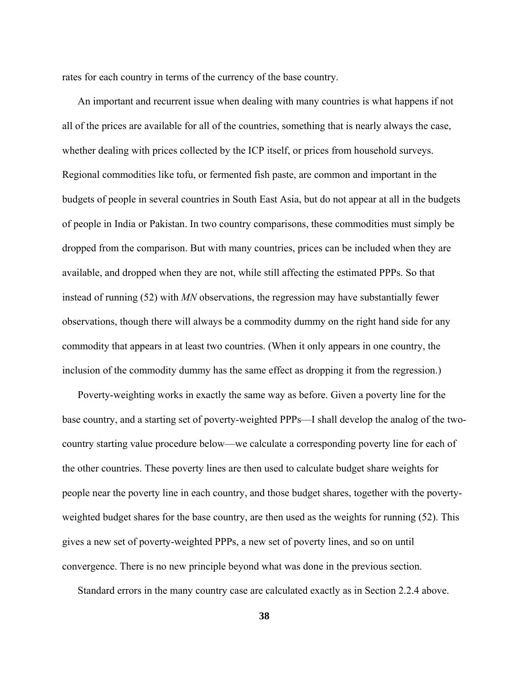rates for each country in terms of the currency of the base country.

 An important and recurrent issue when dealing with many countries is what happens if not all of the prices are available for all of the countries, something that is nearly always the case, whether dealing with prices collected by the ICP itself, or prices from household surveys. Regional commodities like tofu, or fermented fish paste, are common and important in the budgets of people in several countries in South East Asia, but do not appear at all in the budgets of people in India or Pakistan. In two country comparisons, these commodities must simply be dropped from the comparison. But with many countries, prices can be included when they are available, and dropped when they are not, while still affecting the estimated PPPs. So that instead of running (52) with *MN* observations, the regression may have substantially fewer observations, though there will always be a commodity dummy on the right hand side for any commodity that appears in at least two countries. (When it only appears in one country, the inclusion of the commodity dummy has the same effect as dropping it from the regression.)

 Poverty-weighting works in exactly the same way as before. Given a poverty line for the base country, and a starting set of poverty-weighted PPPs—I shall develop the analog of the twocountry starting value procedure below—we calculate a corresponding poverty line for each of the other countries. These poverty lines are then used to calculate budget share weights for people near the poverty line in each country, and those budget shares, together with the povertyweighted budget shares for the base country, are then used as the weights for running (52). This gives a new set of poverty-weighted PPPs, a new set of poverty lines, and so on until convergence. There is no new principle beyond what was done in the previous section.

Standard errors in the many country case are calculated exactly as in Section 2.2.4 above.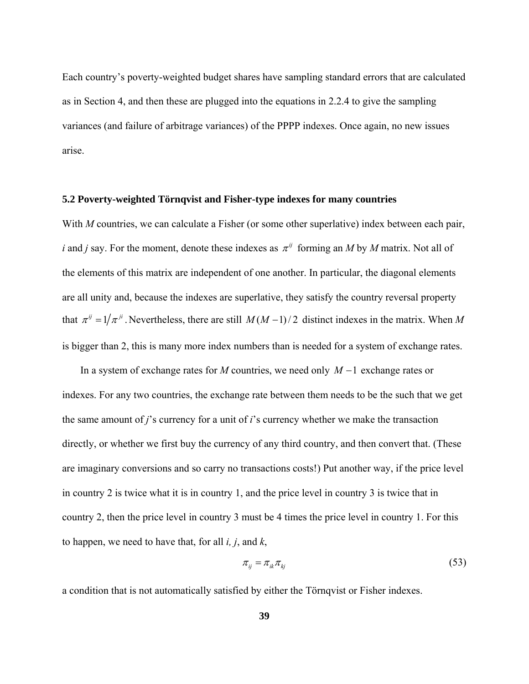Each country's poverty-weighted budget shares have sampling standard errors that are calculated as in Section 4, and then these are plugged into the equations in 2.2.4 to give the sampling variances (and failure of arbitrage variances) of the PPPP indexes. Once again, no new issues arise.

### **5.2 Poverty-weighted Törnqvist and Fisher-type indexes for many countries**

With *M* countries, we can calculate a Fisher (or some other superlative) index between each pair, *i* and *j* say. For the moment, denote these indexes as  $\pi^{ij}$  forming an *M* by *M* matrix. Not all of the elements of this matrix are independent of one another. In particular, the diagonal elements are all unity and, because the indexes are superlative, they satisfy the country reversal property that  $\pi^{ij} = 1/\pi^{ji}$ . Nevertheless, there are still *M*(*M* - 1)/2 distinct indexes in the matrix. When *M* is bigger than 2, this is many more index numbers than is needed for a system of exchange rates.

 In a system of exchange rates for *M* countries, we need only *M* −1 exchange rates or indexes. For any two countries, the exchange rate between them needs to be the such that we get the same amount of *j*'s currency for a unit of *i*'s currency whether we make the transaction directly, or whether we first buy the currency of any third country, and then convert that. (These are imaginary conversions and so carry no transactions costs!) Put another way, if the price level in country 2 is twice what it is in country 1, and the price level in country 3 is twice that in country 2, then the price level in country 3 must be 4 times the price level in country 1. For this to happen, we need to have that, for all *i, j*, and *k*,

$$
\pi_{ij} = \pi_{ik}\pi_{kj} \tag{53}
$$

a condition that is not automatically satisfied by either the Törnqvist or Fisher indexes.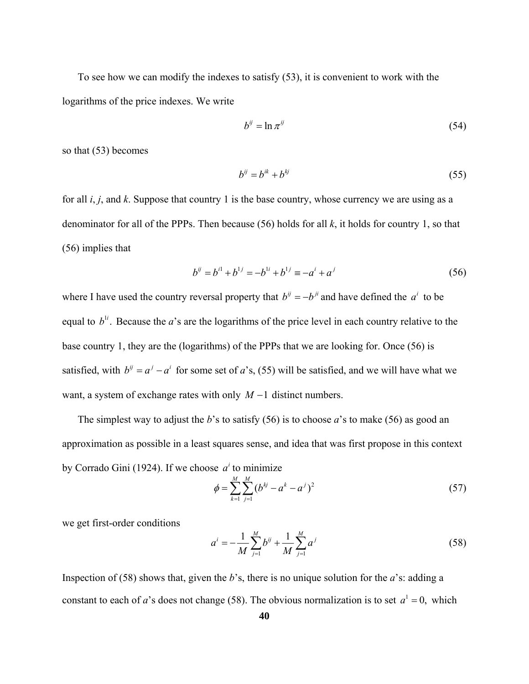To see how we can modify the indexes to satisfy (53), it is convenient to work with the logarithms of the price indexes. We write

$$
b^{ij} = \ln \pi^{ij} \tag{54}
$$

so that (53) becomes

$$
b^{ij} = b^{ik} + b^{kj} \tag{55}
$$

for all *i*, *j*, and *k*. Suppose that country 1 is the base country, whose currency we are using as a denominator for all of the PPPs. Then because (56) holds for all *k*, it holds for country 1, so that (56) implies that

$$
b^{ij} = b^{i1} + b^{1j} = -b^{1i} + b^{1j} \equiv -a^i + a^j \tag{56}
$$

where I have used the country reversal property that  $b^{ij} = -b^{ji}$  and have defined the  $a^i$  to be equal to  $b^{\text{li}}$ . Because the *a*'s are the logarithms of the price level in each country relative to the base country 1, they are the (logarithms) of the PPPs that we are looking for. Once (56) is satisfied, with  $b^{ij} = a^j - a^i$  for some set of *a*'s, (55) will be satisfied, and we will have what we want, a system of exchange rates with only *M* −1 distinct numbers.

 The simplest way to adjust the *b*'s to satisfy (56) is to choose *a*'s to make (56) as good an approximation as possible in a least squares sense, and idea that was first propose in this context by Corrado Gini (1924). If we choose  $a^i$  to minimize

$$
\phi = \sum_{k=1}^{M} \sum_{j=1}^{M} (b^{kj} - a^k - a^j)^2
$$
\n(57)

we get first-order conditions

$$
a^{i} = -\frac{1}{M} \sum_{j=1}^{M} b^{ij} + \frac{1}{M} \sum_{j=1}^{M} a^{j}
$$
 (58)

Inspection of (58) shows that, given the *b*'s, there is no unique solution for the *a*'s: adding a constant to each of *a*'s does not change (58). The obvious normalization is to set  $a^1 = 0$ , which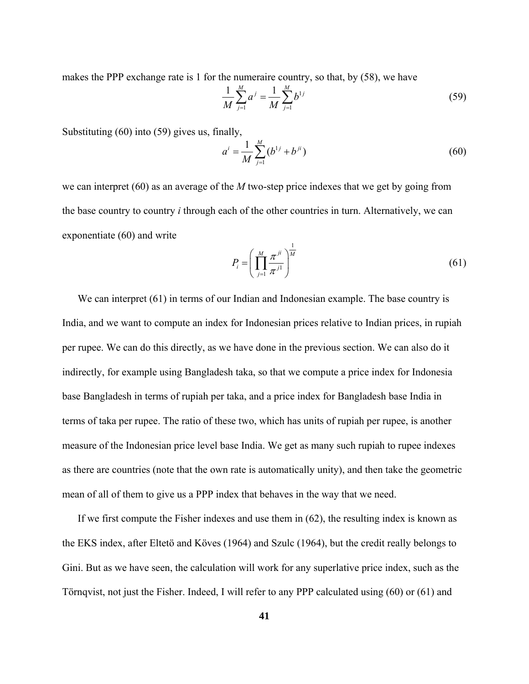makes the PPP exchange rate is 1 for the numeraire country, so that, by (58), we have

$$
\frac{1}{M} \sum_{j=1}^{M} a^j = \frac{1}{M} \sum_{j=1}^{M} b^{1j}
$$
 (59)

Substituting (60) into (59) gives us, finally,

$$
a^{i} = \frac{1}{M} \sum_{j=1}^{M} (b^{1j} + b^{ji})
$$
 (60)

we can interpret (60) as an average of the *M* two-step price indexes that we get by going from the base country to country *i* through each of the other countries in turn. Alternatively, we can exponentiate (60) and write

$$
P_i = \left(\prod_{j=1}^{M} \frac{\pi^{ji}}{\pi^{j1}}\right)^{\frac{1}{M}}
$$
\n(61)

We can interpret (61) in terms of our Indian and Indonesian example. The base country is India, and we want to compute an index for Indonesian prices relative to Indian prices, in rupiah per rupee. We can do this directly, as we have done in the previous section. We can also do it indirectly, for example using Bangladesh taka, so that we compute a price index for Indonesia base Bangladesh in terms of rupiah per taka, and a price index for Bangladesh base India in terms of taka per rupee. The ratio of these two, which has units of rupiah per rupee, is another measure of the Indonesian price level base India. We get as many such rupiah to rupee indexes as there are countries (note that the own rate is automatically unity), and then take the geometric mean of all of them to give us a PPP index that behaves in the way that we need.

 If we first compute the Fisher indexes and use them in (62), the resulting index is known as the EKS index, after Eltetö and Köves (1964) and Szulc (1964), but the credit really belongs to Gini. But as we have seen, the calculation will work for any superlative price index, such as the Törnqvist, not just the Fisher. Indeed, I will refer to any PPP calculated using (60) or (61) and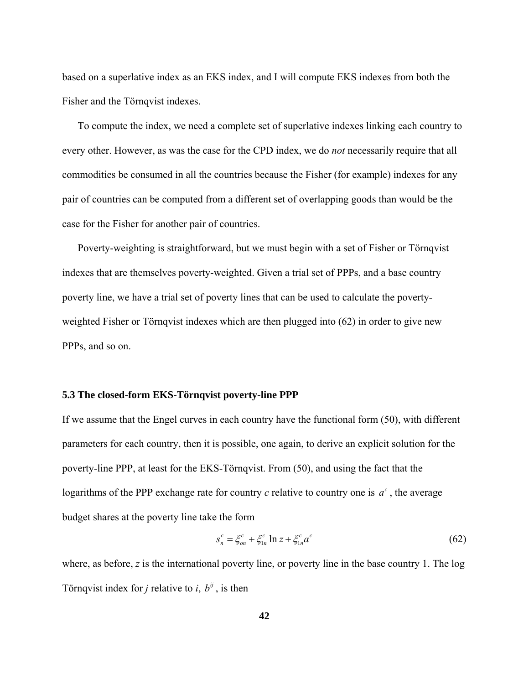based on a superlative index as an EKS index, and I will compute EKS indexes from both the Fisher and the Törnqvist indexes.

 To compute the index, we need a complete set of superlative indexes linking each country to every other. However, as was the case for the CPD index, we do *not* necessarily require that all commodities be consumed in all the countries because the Fisher (for example) indexes for any pair of countries can be computed from a different set of overlapping goods than would be the case for the Fisher for another pair of countries.

 Poverty-weighting is straightforward, but we must begin with a set of Fisher or Törnqvist indexes that are themselves poverty-weighted. Given a trial set of PPPs, and a base country poverty line, we have a trial set of poverty lines that can be used to calculate the povertyweighted Fisher or Törnqvist indexes which are then plugged into (62) in order to give new PPPs, and so on.

### **5.3 The closed-form EKS-Törnqvist poverty-line PPP**

If we assume that the Engel curves in each country have the functional form (50), with different parameters for each country, then it is possible, one again, to derive an explicit solution for the poverty-line PPP, at least for the EKS-Törnqvist. From (50), and using the fact that the logarithms of the PPP exchange rate for country  $c$  relative to country one is  $a^c$ , the average budget shares at the poverty line take the form

$$
s_n^c = \xi_{on}^c + \xi_{1n}^c \ln z + \xi_{1n}^c a^c \tag{62}
$$

where, as before, *z* is the international poverty line, or poverty line in the base country 1. The log Törnqvist index for *j* relative to *i*,  $b^{ij}$ , is then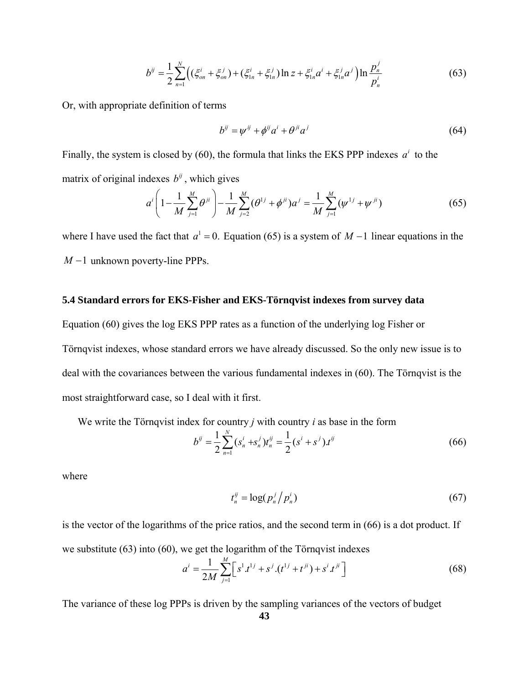$$
b^{ij} = \frac{1}{2} \sum_{n=1}^{N} \Big( (\xi_{on}^{i} + \xi_{on}^{j}) + (\xi_{1n}^{i} + \xi_{1n}^{j}) \ln z + \xi_{1n}^{i} a^{i} + \xi_{1n}^{j} a^{j} \Big) \ln \frac{p_{n}^{j}}{p_{n}^{i}}
$$
(63)

Or, with appropriate definition of terms

$$
b^{ij} = \psi^{ij} + \phi^{ij} a^i + \theta^{ji} a^j \tag{64}
$$

Finally, the system is closed by (60), the formula that links the EKS PPP indexes  $a^i$  to the matrix of original indexes  $b^{ij}$ , which gives

$$
a^{i}\left(1-\frac{1}{M}\sum_{j=1}^{M}\theta^{ji}\right)-\frac{1}{M}\sum_{j=2}^{M}(\theta^{1j}+\phi^{ji})a^{j}=\frac{1}{M}\sum_{j=1}^{M}(\psi^{1j}+\psi^{ji})
$$
(65)

where I have used the fact that  $a^1 = 0$ . Equation (65) is a system of  $M - 1$  linear equations in the *M* −1 unknown poverty-line PPPs.

## **5.4 Standard errors for EKS-Fisher and EKS-Törnqvist indexes from survey data**

Equation (60) gives the log EKS PPP rates as a function of the underlying log Fisher or Törnqvist indexes, whose standard errors we have already discussed. So the only new issue is to deal with the covariances between the various fundamental indexes in (60). The Törnqvist is the most straightforward case, so I deal with it first.

We write the Törnqvist index for country *j* with country *i* as base in the form

$$
b^{ij} = \frac{1}{2} \sum_{n=1}^{N} (s_n^i + s_n^j) t_n^{ij} = \frac{1}{2} (s^i + s^j) t^{ij}
$$
 (66)

where

$$
t_n^{ij} = \log(p_n^j/p_n^i) \tag{67}
$$

is the vector of the logarithms of the price ratios, and the second term in (66) is a dot product. If we substitute (63) into (60), we get the logarithm of the Törnqvist indexes

$$
a^{i} = \frac{1}{2M} \sum_{j=1}^{M} \left[ s^{1} t^{1j} + s^{j} (t^{1j} + t^{ji}) + s^{i} t^{ji} \right]
$$
(68)

The variance of these log PPPs is driven by the sampling variances of the vectors of budget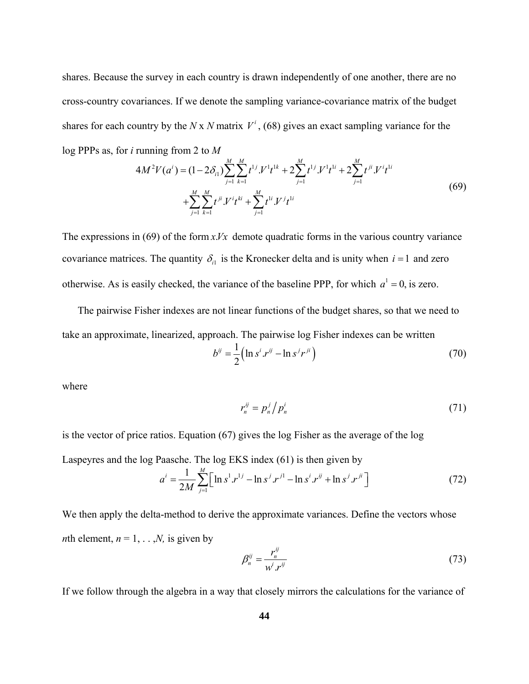shares. Because the survey in each country is drawn independently of one another, there are no cross-country covariances. If we denote the sampling variance-covariance matrix of the budget shares for each country by the *N* x *N* matrix  $V^i$ , (68) gives an exact sampling variance for the log PPPs as, for *i* running from 2 to *M* 

$$
4M^{2}V(a^{i}) = (1 - 2\delta_{i1})\sum_{j=1}^{M} \sum_{k=1}^{M} t^{1j} N^{1}t^{1k} + 2\sum_{j=1}^{M} t^{1j} N^{1}t^{1i} + 2\sum_{j=1}^{M} t^{ji} N^{i}t^{1i} + \sum_{j=1}^{M} \sum_{k=1}^{M} t^{ji} N^{i}t^{ki} + \sum_{j=1}^{M} t^{1i} N^{j}t^{1i}
$$
\n
$$
(69)
$$

The expressions in (69) of the form  $x$ *.Vx* demote quadratic forms in the various country variance covariance matrices. The quantity  $\delta_{i1}$  is the Kronecker delta and is unity when  $i = 1$  and zero otherwise. As is easily checked, the variance of the baseline PPP, for which  $a^1 = 0$ , is zero.

 The pairwise Fisher indexes are not linear functions of the budget shares, so that we need to take an approximate, linearized, approach. The pairwise log Fisher indexes can be written

$$
b^{ij} = \frac{1}{2} \left( \ln s^i \, r^{ij} - \ln s^j r^{ji} \right) \tag{70}
$$

where

$$
r_n^{ij} = p_n^j \Big/ p_n^i \tag{71}
$$

is the vector of price ratios. Equation (67) gives the log Fisher as the average of the log

Laspeyres and the log Paasche. The log EKS index (61) is then given by

$$
a^{i} = \frac{1}{2M} \sum_{j=1}^{M} \Big[ \ln s^{1} r^{1j} - \ln s^{j} r^{j1} - \ln s^{i} r^{ij} + \ln s^{j} r^{ji} \Big] \tag{72}
$$

We then apply the delta-method to derive the approximate variances. Define the vectors whose *n*th element,  $n = 1, \ldots, N$ , is given by

$$
\beta_n^{ij} = \frac{r_n^{ij}}{w^i \cdot r^{ij}} \tag{73}
$$

If we follow through the algebra in a way that closely mirrors the calculations for the variance of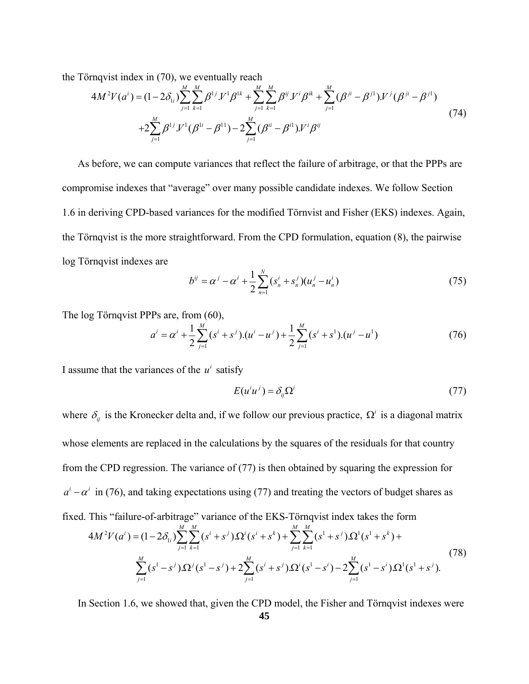the Törnqvist index in (70), we eventually reach

$$
4M^{2}V(a^{i}) = (1 - 2\delta_{1i})\sum_{j=1}^{M}\sum_{k=1}^{M}\beta^{1j}V^{1}\beta^{1k} + \sum_{j=1}^{M}\sum_{k=1}^{M}\beta^{ij}V^{i}\beta^{ik} + \sum_{j=1}^{M}(\beta^{ji} - \beta^{j1})V^{j}(\beta^{ji} - \beta^{j1})
$$
  
+2 $\sum_{j=1}^{M}\beta^{1j}V^{1}(\beta^{1i} - \beta^{11}) - 2\sum_{j=1}^{M}(\beta^{ii} - \beta^{i1})V^{i}\beta^{ij}$  (74)

 As before, we can compute variances that reflect the failure of arbitrage, or that the PPPs are compromise indexes that "average" over many possible candidate indexes. We follow Section 1.6 in deriving CPD-based variances for the modified Törnvist and Fisher (EKS) indexes. Again, the Törnqvist is the more straightforward. From the CPD formulation, equation (8), the pairwise log Törnqvist indexes are

$$
b^{ij} = \alpha^j - \alpha^i + \frac{1}{2} \sum_{n=1}^{N} (s_n^i + s_n^j)(u_n^j - u_n^i)
$$
 (75)

The log Törnqvist PPPs are, from (60),

$$
a^{i} = \alpha^{i} + \frac{1}{2} \sum_{j=1}^{M} (s^{i} + s^{j}).(u^{i} - u^{j}) + \frac{1}{2} \sum_{j=1}^{M} (s^{i} + s^{1}).(u^{j} - u^{1})
$$
(76)

I assume that the variances of the  $u^i$  satisfy

$$
E(u^i u^j) = \delta_{ij} \Omega^i \tag{77}
$$

where  $\delta_{ij}$  is the Kronecker delta and, if we follow our previous practice,  $\Omega^i$  is a diagonal matrix whose elements are replaced in the calculations by the squares of the residuals for that country from the CPD regression. The variance of (77) is then obtained by squaring the expression for  $a^{i} - \alpha^{i}$  in (76), and taking expectations using (77) and treating the vectors of budget shares as fixed. This "failure-of-arbitrage" variance of the EKS-Törnqvist index takes the form

$$
4M^{2}V(a^{i}) = (1 - 2\delta_{1i})\sum_{j=1}^{M} \sum_{k=1}^{M} (s^{i} + s^{j})\Omega^{i}(s^{i} + s^{k}) + \sum_{j=1}^{M} \sum_{k=1}^{M} (s^{1} + s^{j})\Omega^{1}(s^{1} + s^{k}) + \sum_{j=1}^{M} (s^{1} - s^{j})\Omega^{j}(s^{1} - s^{j}) + 2\sum_{j=1}^{M} (s^{i} + s^{j})\Omega^{i}(s^{1} - s^{i}) - 2\sum_{j=1}^{M} (s^{1} - s^{i})\Omega^{1}(s^{1} + s^{j}).
$$
\n(78)

In Section 1.6, we showed that, given the CPD model, the Fisher and Törnqvist indexes were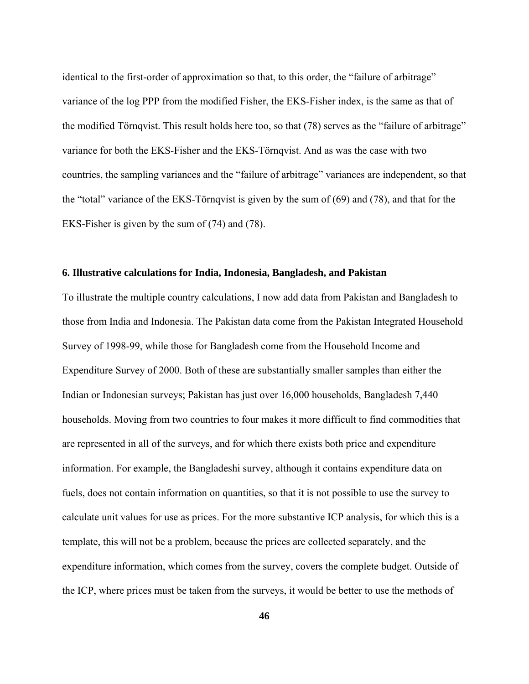identical to the first-order of approximation so that, to this order, the "failure of arbitrage" variance of the log PPP from the modified Fisher, the EKS-Fisher index, is the same as that of the modified Törnqvist. This result holds here too, so that (78) serves as the "failure of arbitrage" variance for both the EKS-Fisher and the EKS-Törnqvist. And as was the case with two countries, the sampling variances and the "failure of arbitrage" variances are independent, so that the "total" variance of the EKS-Törnqvist is given by the sum of (69) and (78), and that for the EKS-Fisher is given by the sum of (74) and (78).

### **6. Illustrative calculations for India, Indonesia, Bangladesh, and Pakistan**

To illustrate the multiple country calculations, I now add data from Pakistan and Bangladesh to those from India and Indonesia. The Pakistan data come from the Pakistan Integrated Household Survey of 1998-99, while those for Bangladesh come from the Household Income and Expenditure Survey of 2000. Both of these are substantially smaller samples than either the Indian or Indonesian surveys; Pakistan has just over 16,000 households, Bangladesh 7,440 households. Moving from two countries to four makes it more difficult to find commodities that are represented in all of the surveys, and for which there exists both price and expenditure information. For example, the Bangladeshi survey, although it contains expenditure data on fuels, does not contain information on quantities, so that it is not possible to use the survey to calculate unit values for use as prices. For the more substantive ICP analysis, for which this is a template, this will not be a problem, because the prices are collected separately, and the expenditure information, which comes from the survey, covers the complete budget. Outside of the ICP, where prices must be taken from the surveys, it would be better to use the methods of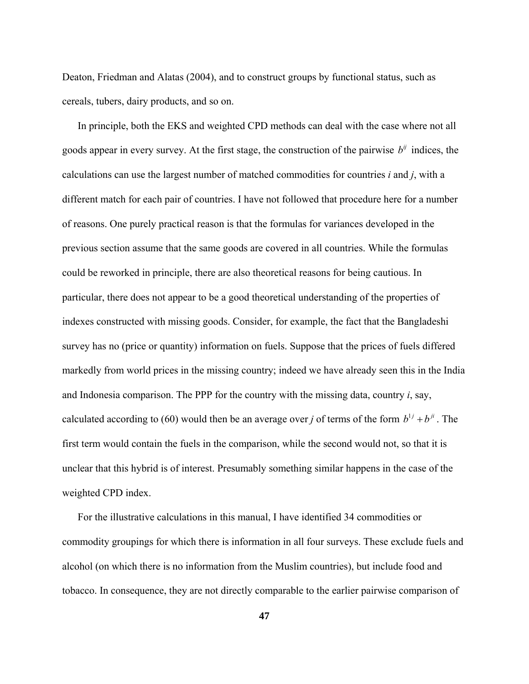Deaton, Friedman and Alatas (2004), and to construct groups by functional status, such as cereals, tubers, dairy products, and so on.

calculated according to (60) would then be an average over *j* of terms of the form  $b^{1j} + b^{ji}$ . The In principle, both the EKS and weighted CPD methods can deal with the case where not all goods appear in every survey. At the first stage, the construction of the pairwise  $b^{ij}$  indices, the calculations can use the largest number of matched commodities for countries *i* and *j*, with a different match for each pair of countries. I have not followed that procedure here for a number of reasons. One purely practical reason is that the formulas for variances developed in the previous section assume that the same goods are covered in all countries. While the formulas could be reworked in principle, there are also theoretical reasons for being cautious. In particular, there does not appear to be a good theoretical understanding of the properties of indexes constructed with missing goods. Consider, for example, the fact that the Bangladeshi survey has no (price or quantity) information on fuels. Suppose that the prices of fuels differed markedly from world prices in the missing country; indeed we have already seen this in the India and Indonesia comparison. The PPP for the country with the missing data, country *i*, say, first term would contain the fuels in the comparison, while the second would not, so that it is unclear that this hybrid is of interest. Presumably something similar happens in the case of the weighted CPD index.

 For the illustrative calculations in this manual, I have identified 34 commodities or commodity groupings for which there is information in all four surveys. These exclude fuels and alcohol (on which there is no information from the Muslim countries), but include food and tobacco. In consequence, they are not directly comparable to the earlier pairwise comparison of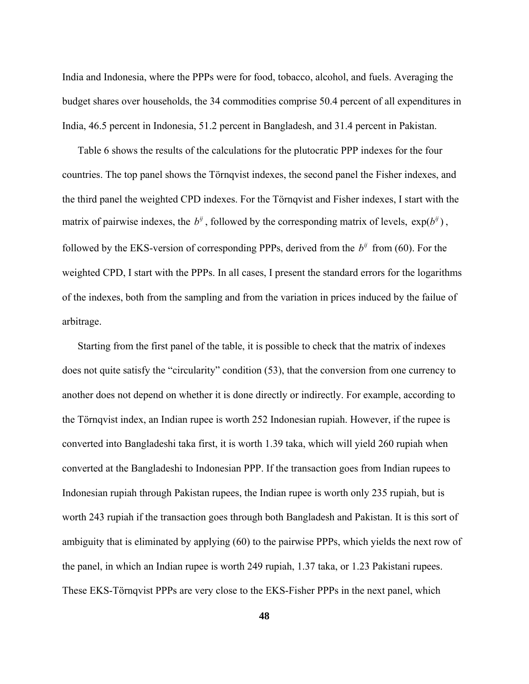India and Indonesia, where the PPPs were for food, tobacco, alcohol, and fuels. Averaging the budget shares over households, the 34 commodities comprise 50.4 percent of all expenditures in India, 46.5 percent in Indonesia, 51.2 percent in Bangladesh, and 31.4 percent in Pakistan.

followed by the EKS-version of corresponding PPPs, derived from the  $b^{ij}$  from (60). For the Table 6 shows the results of the calculations for the plutocratic PPP indexes for the four countries. The top panel shows the Törnqvist indexes, the second panel the Fisher indexes, and the third panel the weighted CPD indexes. For the Törnqvist and Fisher indexes, I start with the matrix of pairwise indexes, the  $b^{ij}$ , followed by the corresponding matrix of levels,  $exp(b^{ij})$ , weighted CPD, I start with the PPPs. In all cases, I present the standard errors for the logarithms of the indexes, both from the sampling and from the variation in prices induced by the failue of arbitrage.

 Starting from the first panel of the table, it is possible to check that the matrix of indexes does not quite satisfy the "circularity" condition (53), that the conversion from one currency to another does not depend on whether it is done directly or indirectly. For example, according to the Törnqvist index, an Indian rupee is worth 252 Indonesian rupiah. However, if the rupee is converted into Bangladeshi taka first, it is worth 1.39 taka, which will yield 260 rupiah when converted at the Bangladeshi to Indonesian PPP. If the transaction goes from Indian rupees to Indonesian rupiah through Pakistan rupees, the Indian rupee is worth only 235 rupiah, but is worth 243 rupiah if the transaction goes through both Bangladesh and Pakistan. It is this sort of ambiguity that is eliminated by applying (60) to the pairwise PPPs, which yields the next row of the panel, in which an Indian rupee is worth 249 rupiah, 1.37 taka, or 1.23 Pakistani rupees. These EKS-Törnqvist PPPs are very close to the EKS-Fisher PPPs in the next panel, which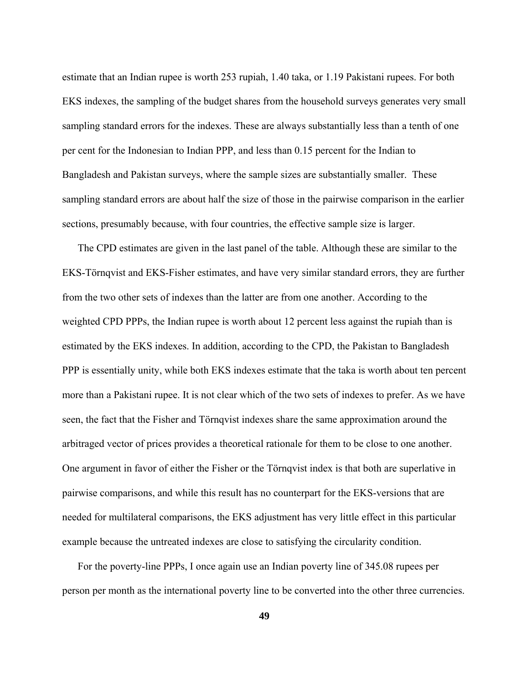estimate that an Indian rupee is worth 253 rupiah, 1.40 taka, or 1.19 Pakistani rupees. For both EKS indexes, the sampling of the budget shares from the household surveys generates very small sampling standard errors for the indexes. These are always substantially less than a tenth of one per cent for the Indonesian to Indian PPP, and less than 0.15 percent for the Indian to Bangladesh and Pakistan surveys, where the sample sizes are substantially smaller. These sampling standard errors are about half the size of those in the pairwise comparison in the earlier sections, presumably because, with four countries, the effective sample size is larger.

 The CPD estimates are given in the last panel of the table. Although these are similar to the EKS-Törnqvist and EKS-Fisher estimates, and have very similar standard errors, they are further from the two other sets of indexes than the latter are from one another. According to the weighted CPD PPPs, the Indian rupee is worth about 12 percent less against the rupiah than is estimated by the EKS indexes. In addition, according to the CPD, the Pakistan to Bangladesh PPP is essentially unity, while both EKS indexes estimate that the taka is worth about ten percent more than a Pakistani rupee. It is not clear which of the two sets of indexes to prefer. As we have seen, the fact that the Fisher and Törnqvist indexes share the same approximation around the arbitraged vector of prices provides a theoretical rationale for them to be close to one another. One argument in favor of either the Fisher or the Törnqvist index is that both are superlative in pairwise comparisons, and while this result has no counterpart for the EKS-versions that are needed for multilateral comparisons, the EKS adjustment has very little effect in this particular example because the untreated indexes are close to satisfying the circularity condition.

 For the poverty-line PPPs, I once again use an Indian poverty line of 345.08 rupees per person per month as the international poverty line to be converted into the other three currencies.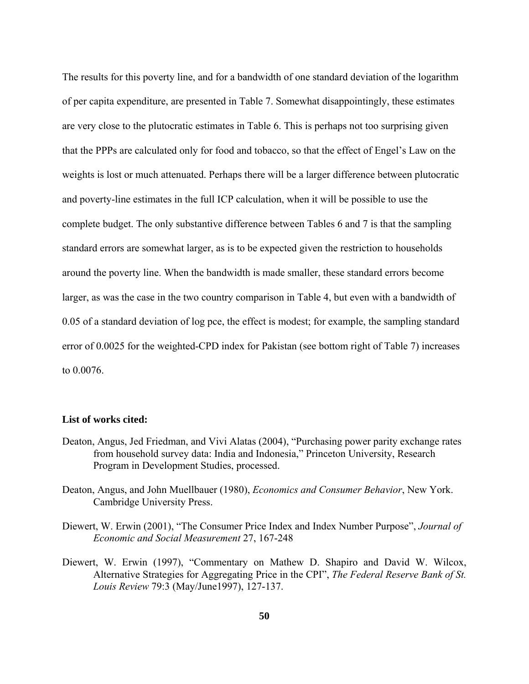The results for this poverty line, and for a bandwidth of one standard deviation of the logarithm of per capita expenditure, are presented in Table 7. Somewhat disappointingly, these estimates are very close to the plutocratic estimates in Table 6. This is perhaps not too surprising given that the PPPs are calculated only for food and tobacco, so that the effect of Engel's Law on the weights is lost or much attenuated. Perhaps there will be a larger difference between plutocratic and poverty-line estimates in the full ICP calculation, when it will be possible to use the complete budget. The only substantive difference between Tables 6 and 7 is that the sampling standard errors are somewhat larger, as is to be expected given the restriction to households around the poverty line. When the bandwidth is made smaller, these standard errors become larger, as was the case in the two country comparison in Table 4, but even with a bandwidth of 0.05 of a standard deviation of log pce, the effect is modest; for example, the sampling standard error of 0.0025 for the weighted-CPD index for Pakistan (see bottom right of Table 7) increases to 0.0076.

### **List of works cited:**

- Deaton, Angus, Jed Friedman, and Vivi Alatas (2004), "Purchasing power parity exchange rates from household survey data: India and Indonesia," Princeton University, Research Program in Development Studies, processed.
- Deaton, Angus, and John Muellbauer (1980), *Economics and Consumer Behavior*, New York. Cambridge University Press.
- Diewert, W. Erwin (2001), "The Consumer Price Index and Index Number Purpose", *Journal of Economic and Social Measurement* 27, 167-248
- Diewert, W. Erwin (1997), "Commentary on Mathew D. Shapiro and David W. Wilcox, Alternative Strategies for Aggregating Price in the CPI", *The Federal Reserve Bank of St. Louis Review* 79:3 (May/June1997), 127-137.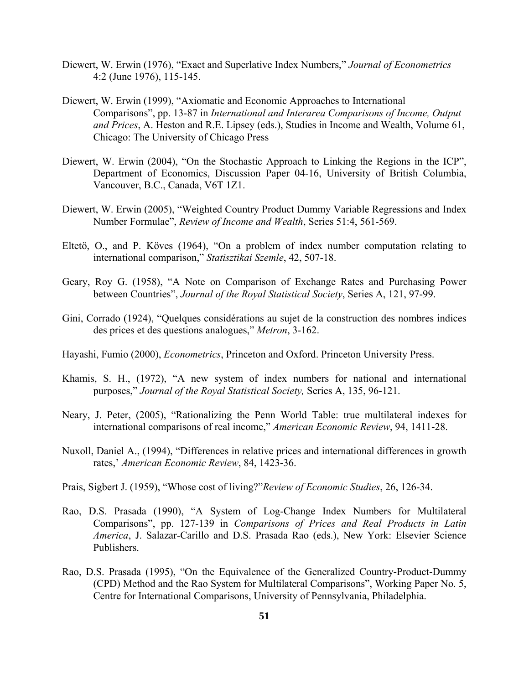- Diewert, W. Erwin (1976), "Exact and Superlative Index Numbers," *Journal of Econometrics* 4:2 (June 1976), 115-145.
- Diewert, W. Erwin (1999), "Axiomatic and Economic Approaches to International Comparisons", pp. 13-87 in *International and Interarea Comparisons of Income, Output and Prices*, A. Heston and R.E. Lipsey (eds.), Studies in Income and Wealth, Volume 61, Chicago: The University of Chicago Press
- Diewert, W. Erwin (2004), "On the Stochastic Approach to Linking the Regions in the ICP", Department of Economics, Discussion Paper 04-16, University of British Columbia, Vancouver, B.C., Canada, V6T 1Z1.
- Diewert, W. Erwin (2005), "Weighted Country Product Dummy Variable Regressions and Index Number Formulae", *Review of Income and Wealth*, Series 51:4, 561-569.
- Eltetö, O., and P. Köves (1964), "On a problem of index number computation relating to international comparison," *Statisztikai Szemle*, 42, 507-18.
- Geary, Roy G. (1958), "A Note on Comparison of Exchange Rates and Purchasing Power between Countries", *Journal of the Royal Statistical Society*, Series A, 121, 97-99.
- Gini, Corrado (1924), "Quelques considérations au sujet de la construction des nombres indices des prices et des questions analogues," *Metron*, 3-162.
- Hayashi, Fumio (2000), *Econometrics*, Princeton and Oxford. Princeton University Press.
- Khamis, S. H., (1972), "A new system of index numbers for national and international purposes," *Journal of the Royal Statistical Society,* Series A, 135, 96-121.
- Neary, J. Peter, (2005), "Rationalizing the Penn World Table: true multilateral indexes for international comparisons of real income," *American Economic Review*, 94, 1411-28.
- Nuxoll, Daniel A., (1994), "Differences in relative prices and international differences in growth rates,' *American Economic Review*, 84, 1423-36.
- Prais, Sigbert J. (1959), "Whose cost of living?"*Review of Economic Studies*, 26, 126-34.
- Rao, D.S. Prasada (1990), "A System of Log-Change Index Numbers for Multilateral Comparisons", pp. 127-139 in *Comparisons of Prices and Real Products in Latin America*, J. Salazar-Carillo and D.S. Prasada Rao (eds.), New York: Elsevier Science Publishers.
- Rao, D.S. Prasada (1995), "On the Equivalence of the Generalized Country-Product-Dummy (CPD) Method and the Rao System for Multilateral Comparisons", Working Paper No. 5, Centre for International Comparisons, University of Pennsylvania, Philadelphia.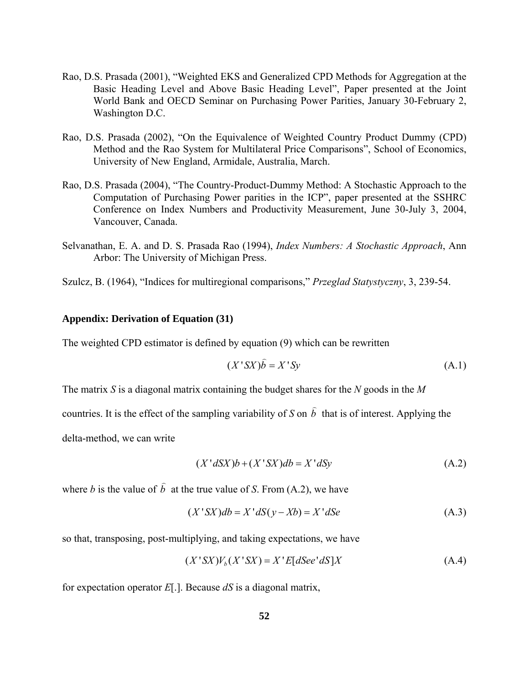- Rao, D.S. Prasada (2001), "Weighted EKS and Generalized CPD Methods for Aggregation at the Basic Heading Level and Above Basic Heading Level", Paper presented at the Joint World Bank and OECD Seminar on Purchasing Power Parities, January 30-February 2, Washington D.C.
- Rao, D.S. Prasada (2002), "On the Equivalence of Weighted Country Product Dummy (CPD) Method and the Rao System for Multilateral Price Comparisons", School of Economics, University of New England, Armidale, Australia, March.
- Rao, D.S. Prasada (2004), "The Country-Product-Dummy Method: A Stochastic Approach to the Computation of Purchasing Power parities in the ICP", paper presented at the SSHRC Conference on Index Numbers and Productivity Measurement, June 30-July 3, 2004, Vancouver, Canada.
- Selvanathan, E. A. and D. S. Prasada Rao (1994), *Index Numbers: A Stochastic Approach*, Ann Arbor: The University of Michigan Press.
- Szulcz, B. (1964), "Indices for multiregional comparisons," *Przeglad Statystyczny*, 3, 239-54.

### **Appendix: Derivation of Equation (31)**

The weighted CPD estimator is defined by equation (9) which can be rewritten

$$
(X'SX)\hat{b} = X'Sy \tag{A.1}
$$

The matrix *S* is a diagonal matrix containing the budget shares for the *N* goods in the *M*

countries. It is the effect of the sampling variability of *S* on *b*  $\overline{a}$ that is of interest. Applying the

delta-method, we can write

$$
(X' dSX)b + (X'SX)db = X'dSy
$$
\n
$$
(A.2)
$$

where *b* is the value of *b*  $\overline{a}$ at the true value of *S*. From (A.2), we have

$$
(X'SX)db = X'dS(y - Xb) = X'dSe
$$
 (A.3)

so that, transposing, post-multiplying, and taking expectations, we have

$$
(X'SX)Vb(X'SX) = X'E[dSee'dS]X
$$
 (A.4)

for expectation operator *E*[.]. Because *dS* is a diagonal matrix,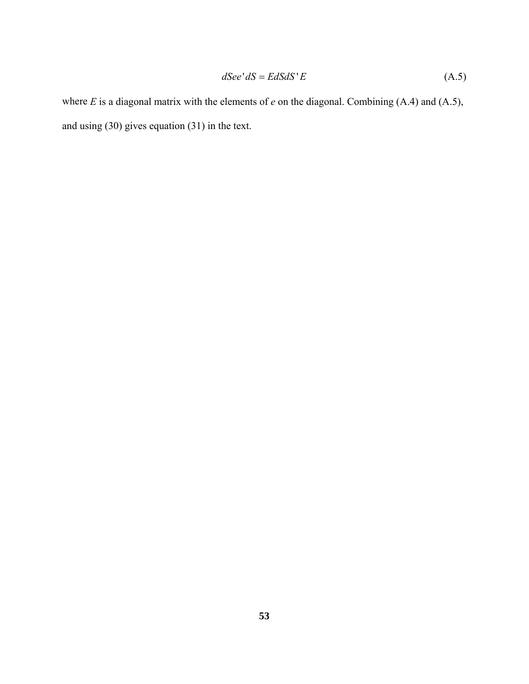$$
dSee' dS = EdS dS' E \tag{A.5}
$$

where *E* is a diagonal matrix with the elements of *e* on the diagonal. Combining (A.4) and (A.5), and using (30) gives equation (31) in the text.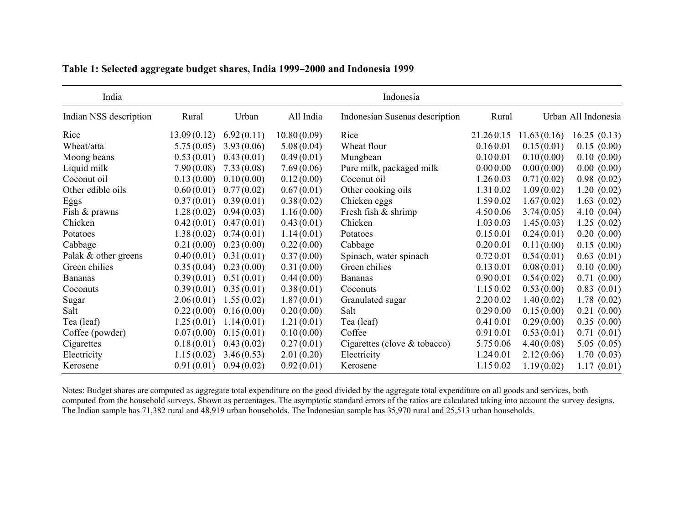| India                  |             |            |             | Indonesia                      |           |             |                     |
|------------------------|-------------|------------|-------------|--------------------------------|-----------|-------------|---------------------|
| Indian NSS description | Rural       | Urban      | All India   | Indonesian Susenas description | Rural     |             | Urban All Indonesia |
| Rice                   | 13.09(0.12) | 6.92(0.11) | 10.80(0.09) | Rice                           | 21.260.15 | 11.63(0.16) | 16.25(0.13)         |
| Wheat/atta             | 5.75(0.05)  | 3.93(0.06) | 5.08(0.04)  | Wheat flour                    | 0.160.01  | 0.15(0.01)  | 0.15(0.00)          |
| Moong beans            | 0.53(0.01)  | 0.43(0.01) | 0.49(0.01)  | Mungbean                       | 0.100.01  | 0.10(0.00)  | 0.10(0.00)          |
| Liquid milk            | 7.90(0.08)  | 7.33(0.08) | 7.69(0.06)  | Pure milk, packaged milk       | 0.000.00  | 0.00(0.00)  | 0.00(0.00)          |
| Coconut oil            | 0.13(0.00)  | 0.10(0.00) | 0.12(0.00)  | Coconut oil                    | 1.260.03  | 0.71(0.02)  | 0.98(0.02)          |
| Other edible oils      | 0.60(0.01)  | 0.77(0.02) | 0.67(0.01)  | Other cooking oils             | 1.310.02  | 1.09(0.02)  | 1.20(0.02)          |
| Eggs                   | 0.37(0.01)  | 0.39(0.01) | 0.38(0.02)  | Chicken eggs                   | 1.590.02  | 1.67(0.02)  | 1.63(0.02)          |
| Fish & prawns          | 1.28(0.02)  | 0.94(0.03) | 1.16(0.00)  | Fresh fish & shrimp            | 4.500.06  | 3.74(0.05)  | 4.10(0.04)          |
| Chicken                | 0.42(0.01)  | 0.47(0.01) | 0.43(0.01)  | Chicken                        | 1.030.03  | 1.45(0.03)  | 1.25(0.02)          |
| Potatoes               | 1.38(0.02)  | 0.74(0.01) | 1.14(0.01)  | Potatoes                       | 0.150.01  | 0.24(0.01)  | 0.20(0.00)          |
| Cabbage                | 0.21(0.00)  | 0.23(0.00) | 0.22(0.00)  | Cabbage                        | 0.200.01  | 0.11(0.00)  | 0.15(0.00)          |
| Palak & other greens   | 0.40(0.01)  | 0.31(0.01) | 0.37(0.00)  | Spinach, water spinach         | 0.720.01  | 0.54(0.01)  | 0.63(0.01)          |
| Green chilies          | 0.35(0.04)  | 0.23(0.00) | 0.31(0.00)  | Green chilies                  | 0.130.01  | 0.08(0.01)  | 0.10(0.00)          |
| <b>Bananas</b>         | 0.39(0.01)  | 0.51(0.01) | 0.44(0.00)  | <b>Bananas</b>                 | 0.900.01  | 0.54(0.02)  | 0.71(0.00)          |
| Coconuts               | 0.39(0.01)  | 0.35(0.01) | 0.38(0.01)  | Coconuts                       | 1.150.02  | 0.53(0.00)  | 0.83(0.01)          |
| Sugar                  | 2.06(0.01)  | 1.55(0.02) | 1.87(0.01)  | Granulated sugar               | 2.200.02  | 1.40(0.02)  | 1.78(0.02)          |
| Salt                   | 0.22(0.00)  | 0.16(0.00) | 0.20(0.00)  | Salt                           | 0.290.00  | 0.15(0.00)  | 0.21(0.00)          |
| Tea (leaf)             | 1.25(0.01)  | 1.14(0.01) | 1.21(0.01)  | Tea (leaf)                     | 0.410.01  | 0.29(0.00)  | 0.35(0.00)          |
| Coffee (powder)        | 0.07(0.00)  | 0.15(0.01) | 0.10(0.00)  | Coffee                         | 0.910.01  | 0.53(0.01)  | 0.71(0.01)          |
| Cigarettes             | 0.18(0.01)  | 0.43(0.02) | 0.27(0.01)  | Cigarettes (clove $&$ tobacco) | 5.750.06  | 4.40(0.08)  | 5.05(0.05)          |
| Electricity            | 1.15(0.02)  | 3.46(0.53) | 2.01(0.20)  | Electricity                    | 1.240.01  | 2.12(0.06)  | 1.70(0.03)          |
| Kerosene               | 0.91(0.01)  | 0.94(0.02) | 0.92(0.01)  | Kerosene                       | 1.150.02  | 1.19(0.02)  | 1.17(0.01)          |

**Table 1: Selected aggregate budget shares, India 1999** B**2000 and Indonesia 1999**

Notes: Budget shares are computed as aggregate total expenditure on the good divided by the aggregate total expenditure on all goods and services, both computed from the household surveys. Shown as percentages. The asymptotic standard errors of the ratios are calculated taking into account the survey designs. The Indian sample has 71,382 rural and 48,919 urban households. The Indonesian sample has 35,970 rural and 25,513 urban households.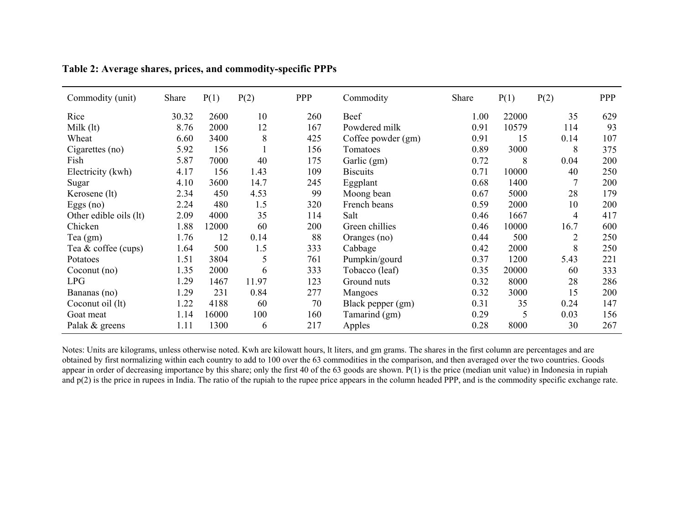| Commodity (unit)       | Share | P(1)  | P(2)  | <b>PPP</b> | Commodity          | Share | P(1)  | P(2)           | PPP |
|------------------------|-------|-------|-------|------------|--------------------|-------|-------|----------------|-----|
| Rice                   | 30.32 | 2600  | 10    | 260        | Beef               | 1.00  | 22000 | 35             | 629 |
| Milk $(lt)$            | 8.76  | 2000  | 12    | 167        | Powdered milk      | 0.91  | 10579 | 114            | 93  |
| Wheat                  | 6.60  | 3400  | 8     | 425        | Coffee powder (gm) | 0.91  | 15    | 0.14           | 107 |
| Cigarettes (no)        | 5.92  | 156   |       | 156        | Tomatoes           | 0.89  | 3000  | 8              | 375 |
| Fish                   | 5.87  | 7000  | 40    | 175        | Garlic (gm)        | 0.72  | 8     | 0.04           | 200 |
| Electricity (kwh)      | 4.17  | 156   | 1.43  | 109        | <b>Biscuits</b>    | 0.71  | 10000 | 40             | 250 |
| Sugar                  | 4.10  | 3600  | 14.7  | 245        | Eggplant           | 0.68  | 1400  | 7              | 200 |
| Kerosene (lt)          | 2.34  | 450   | 4.53  | 99         | Moong bean         | 0.67  | 5000  | 28             | 179 |
| Eggs $(no)$            | 2.24  | 480   | 1.5   | 320        | French beans       | 0.59  | 2000  | 10             | 200 |
| Other edible oils (lt) | 2.09  | 4000  | 35    | 114        | Salt               | 0.46  | 1667  | 4              | 417 |
| Chicken                | 1.88  | 12000 | 60    | 200        | Green chillies     | 0.46  | 10000 | 16.7           | 600 |
| Tea $(gm)$             | 1.76  | 12    | 0.14  | 88         | Oranges (no)       | 0.44  | 500   | $\overline{2}$ | 250 |
| Tea & coffee (cups)    | 1.64  | 500   | 1.5   | 333        | Cabbage            | 0.42  | 2000  | 8              | 250 |
| Potatoes               | 1.51  | 3804  | 5     | 761        | Pumpkin/gourd      | 0.37  | 1200  | 5.43           | 221 |
| Coconut $(no)$         | 1.35  | 2000  | 6     | 333        | Tobacco (leaf)     | 0.35  | 20000 | 60             | 333 |
| <b>LPG</b>             | 1.29  | 1467  | 11.97 | 123        | Ground nuts        | 0.32  | 8000  | 28             | 286 |
| Bananas (no)           | 1.29  | 231   | 0.84  | 277        | Mangoes            | 0.32  | 3000  | 15             | 200 |
| Coconut oil (lt)       | 1.22  | 4188  | 60    | 70         | Black pepper (gm)  | 0.31  | 35    | 0.24           | 147 |
| Goat meat              | 1.14  | 16000 | 100   | 160        | Tamarind (gm)      | 0.29  | 5     | 0.03           | 156 |
| Palak & greens         | 1.11  | 1300  | 6     | 217        | Apples             | 0.28  | 8000  | 30             | 267 |

| Table 2: Average shares, prices, and commodity-specific PPPs |  |  |  |
|--------------------------------------------------------------|--|--|--|
|                                                              |  |  |  |

Notes: Units are kilograms, unless otherwise noted. Kwh are kilowatt hours, lt liters, and gm grams. The shares in the first column are percentages and are obtained by first normalizing within each country to add to 100 over the 63 commodities in the comparison, and then averaged over the two countries. Goods appear in order of decreasing importance by this share; only the first 40 of the 63 goods are shown. P(1) is the price (median unit value) in Indonesia in rupiah and  $p(2)$  is the price in rupees in India. The ratio of the rupiah to the rupee price appears in the column headed PPP, and is the commodity specific exchange rate.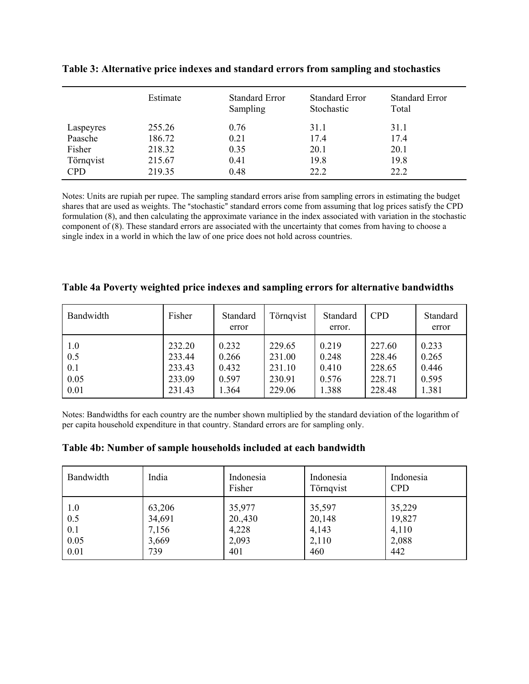|                      | Estimate         | <b>Standard Error</b><br>Sampling | <b>Standard Error</b><br>Stochastic | <b>Standard Error</b><br>Total |
|----------------------|------------------|-----------------------------------|-------------------------------------|--------------------------------|
| Laspeyres<br>Paasche | 255.26<br>186.72 | 0.76<br>0.21                      | 31.1<br>17.4                        | 31.1<br>17.4                   |
| Fisher               | 218.32           | 0.35                              | 20.1                                | 20.1                           |
| Törnqvist            | 215.67           | 0.41                              | 19.8                                | 19.8                           |
| <b>CPD</b>           | 219.35           | 0.48                              | 22.2                                | 22.2                           |

**Table 3: Alternative price indexes and standard errors from sampling and stochastics**

Notes: Units are rupiah per rupee. The sampling standard errors arise from sampling errors in estimating the budget shares that are used as weights. The "stochastic" standard errors come from assuming that log prices satisfy the CPD formulation (8), and then calculating the approximate variance in the index associated with variation in the stochastic component of (8). These standard errors are associated with the uncertainty that comes from having to choose a single index in a world in which the law of one price does not hold across countries.

| Bandwidth | Fisher | Standard<br>error | Törnqvist | Standard<br>error. | <b>CPD</b> | Standard<br>error |
|-----------|--------|-------------------|-----------|--------------------|------------|-------------------|
| 1.0       | 232.20 | 0.232             | 229.65    | 0.219              | 227.60     | 0.233             |
| 0.5       | 233.44 | 0.266             | 231.00    | 0.248              | 228.46     | 0.265             |
| 0.1       | 233.43 | 0.432             | 231.10    | 0.410              | 228.65     | 0.446             |
| 0.05      | 233.09 | 0.597             | 230.91    | 0.576              | 228.71     | 0.595             |
| 0.01      | 231.43 | 1.364             | 229.06    | 1.388              | 228.48     | 1.381             |

## **Table 4a Poverty weighted price indexes and sampling errors for alternative bandwidths**

Notes: Bandwidths for each country are the number shown multiplied by the standard deviation of the logarithm of per capita household expenditure in that country. Standard errors are for sampling only.

**Table 4b: Number of sample households included at each bandwidth**

| Bandwidth | India  | Indonesia<br>Fisher | Indonesia<br>Törnqvist | Indonesia<br><b>CPD</b> |
|-----------|--------|---------------------|------------------------|-------------------------|
| 1.0       | 63,206 | 35,977              | 35,597                 | 35,229                  |
| 0.5       | 34,691 | 20,430              | 20,148                 | 19,827                  |
| 0.1       | 7,156  | 4,228               | 4,143                  | 4,110                   |
| 0.05      | 3,669  | 2,093               | 2,110                  | 2,088                   |
| 0.01      | 739    | 401                 | 460                    | 442                     |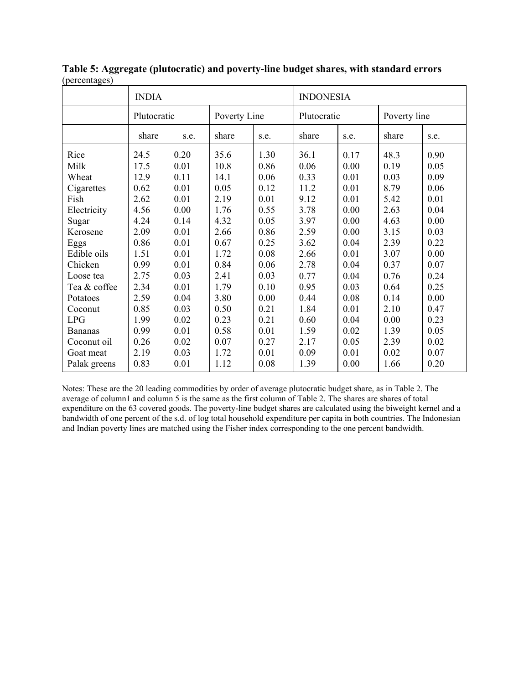| $(\mathsf{P}}^{\mathsf{S}}$           | <b>INDIA</b>         |                      |                      |                      | <b>INDONESIA</b>     |                      |                      |                      |  |
|---------------------------------------|----------------------|----------------------|----------------------|----------------------|----------------------|----------------------|----------------------|----------------------|--|
|                                       | Plutocratic          |                      | Poverty Line         |                      |                      | Plutocratic          |                      | Poverty line         |  |
|                                       | share                | s.e.                 | share                | s.e.                 | share                | s.e.                 | share                | s.e.                 |  |
| Rice                                  | 24.5                 | 0.20                 | 35.6                 | 1.30                 | 36.1                 | 0.17                 | 48.3                 | 0.90                 |  |
| Milk                                  | 17.5                 | 0.01                 | 10.8                 | 0.86                 | 0.06                 | 0.00                 | 0.19                 | 0.05                 |  |
| Wheat                                 | 12.9                 | 0.11                 | 14.1                 | 0.06                 | 0.33                 | 0.01                 | 0.03                 | 0.09                 |  |
| Cigarettes                            | 0.62                 | 0.01                 | 0.05                 | 0.12                 | 11.2                 | 0.01                 | 8.79                 | 0.06                 |  |
| Fish                                  | 2.62                 | 0.01                 | 2.19                 | 0.01                 | 9.12                 | 0.01                 | 5.42                 | 0.01                 |  |
| Electricity                           | 4.56                 | 0.00                 | 1.76                 | 0.55                 | 3.78                 | 0.00                 | 2.63                 | 0.04                 |  |
| Sugar                                 | 4.24                 | 0.14                 | 4.32                 | 0.05                 | 3.97                 | 0.00                 | 4.63                 | 0.00                 |  |
| Kerosene                              | 2.09                 | 0.01                 | 2.66                 | 0.86                 | 2.59                 | 0.00                 | 3.15                 | 0.03                 |  |
| Eggs                                  | 0.86                 | 0.01                 | 0.67                 | 0.25                 | 3.62                 | 0.04                 | 2.39                 | 0.22                 |  |
| Edible oils<br>Chicken                | 1.51<br>0.99<br>2.75 | 0.01<br>0.01<br>0.03 | 1.72<br>0.84<br>2.41 | 0.08<br>0.06<br>0.03 | 2.66<br>2.78<br>0.77 | 0.01<br>0.04<br>0.04 | 3.07<br>0.37         | 0.00<br>0.07<br>0.24 |  |
| Loose tea<br>Tea & coffee<br>Potatoes | 2.34<br>2.59         | 0.01<br>0.04         | 1.79<br>3.80         | 0.10<br>0.00         | 0.95<br>0.44         | 0.03<br>0.08         | 0.76<br>0.64<br>0.14 | 0.25<br>0.00         |  |
| Coconut                               | 0.85                 | 0.03                 | 0.50                 | 0.21                 | 1.84                 | 0.01                 | 2.10                 | 0.47                 |  |
| <b>LPG</b>                            | 1.99                 | 0.02                 | 0.23                 | 0.21                 | 0.60                 | 0.04                 | 0.00                 | 0.23                 |  |
| <b>Bananas</b>                        | 0.99                 | 0.01                 | 0.58                 | 0.01                 | 1.59                 | 0.02                 | 1.39                 | 0.05                 |  |
| Coconut oil                           | 0.26                 | 0.02                 | 0.07                 | 0.27                 | 2.17                 | 0.05                 | 2.39                 | 0.02                 |  |
| Goat meat                             | 2.19                 | 0.03                 | 1.72                 | 0.01                 | 0.09                 | 0.01                 | 0.02                 | 0.07                 |  |
| Palak greens                          | 0.83                 | 0.01                 | 1.12                 | 0.08                 | 1.39                 | 0.00                 | 1.66                 | 0.20                 |  |

**Table 5: Aggregate (plutocratic) and poverty-line budget shares, with standard errors** (percentages)

Notes: These are the 20 leading commodities by order of average plutocratic budget share, as in Table 2. The average of column1 and column 5 is the same as the first column of Table 2. The shares are shares of total expenditure on the 63 covered goods. The poverty-line budget shares are calculated using the biweight kernel and a bandwidth of one percent of the s.d. of log total household expenditure per capita in both countries. The Indonesian and Indian poverty lines are matched using the Fisher index corresponding to the one percent bandwidth.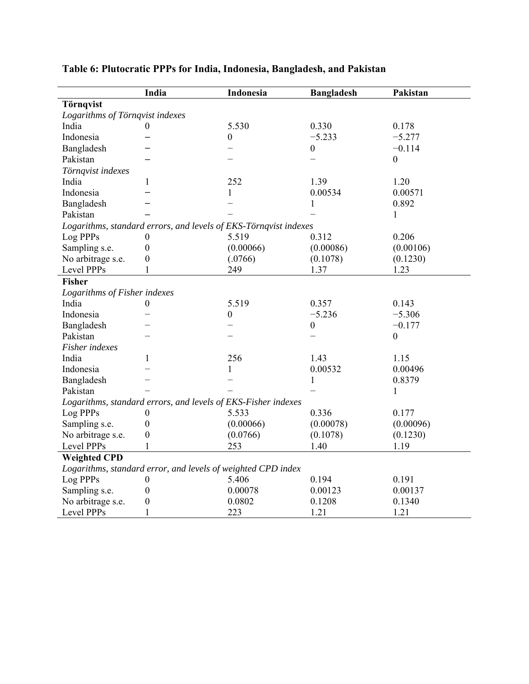|                                 | India                                                            | Indonesia        | <b>Bangladesh</b> | Pakistan         |
|---------------------------------|------------------------------------------------------------------|------------------|-------------------|------------------|
| Törnqvist                       |                                                                  |                  |                   |                  |
| Logarithms of Törnqvist indexes |                                                                  |                  |                   |                  |
| India                           | $^{(1)}$                                                         | 5.530            | 0.330             | 0.178            |
| Indonesia                       |                                                                  | $\boldsymbol{0}$ | $-5.233$          | $-5.277$         |
| Bangladesh                      |                                                                  |                  | $\boldsymbol{0}$  | $-0.114$         |
| Pakistan                        |                                                                  |                  |                   | $\boldsymbol{0}$ |
| Törnqvist indexes               |                                                                  |                  |                   |                  |
| India                           | 1                                                                | 252              | 1.39              | 1.20             |
| Indonesia                       |                                                                  | $\mathbf{1}$     | 0.00534           | 0.00571          |
| Bangladesh                      |                                                                  |                  | 1                 | 0.892            |
| Pakistan                        |                                                                  |                  |                   | 1                |
|                                 | Logarithms, standard errors, and levels of EKS-Törnqvist indexes |                  |                   |                  |
| Log PPPs                        | 0                                                                | 5.519            | 0.312             | 0.206            |
| Sampling s.e.                   | $\boldsymbol{0}$                                                 | (0.00066)        | (0.00086)         | (0.00106)        |
| No arbitrage s.e.               | $\boldsymbol{0}$                                                 | (.0766)          | (0.1078)          | (0.1230)         |
| Level PPPs                      | 1                                                                | 249              | 1.37              | 1.23             |
| <b>Fisher</b>                   |                                                                  |                  |                   |                  |
| Logarithms of Fisher indexes    |                                                                  |                  |                   |                  |
| India                           | $\boldsymbol{0}$                                                 | 5.519            | 0.357             | 0.143            |
| Indonesia                       |                                                                  | $\boldsymbol{0}$ | $-5.236$          | $-5.306$         |
| Bangladesh                      |                                                                  |                  | $\boldsymbol{0}$  | $-0.177$         |
| Pakistan                        |                                                                  |                  |                   | $\theta$         |
| Fisher indexes                  |                                                                  |                  |                   |                  |
| India                           | 1                                                                | 256              | 1.43              | 1.15             |
| Indonesia                       |                                                                  | 1                | 0.00532           | 0.00496          |
| Bangladesh                      |                                                                  |                  | 1                 | 0.8379           |
| Pakistan                        |                                                                  |                  |                   | 1                |
|                                 | Logarithms, standard errors, and levels of EKS-Fisher indexes    |                  |                   |                  |
| Log PPPs                        | 0                                                                | 5.533            | 0.336             | 0.177            |
| Sampling s.e.                   | $\boldsymbol{0}$                                                 | (0.00066)        | (0.00078)         | (0.00096)        |
| No arbitrage s.e.               | $\boldsymbol{0}$                                                 | (0.0766)         | (0.1078)          | (0.1230)         |
| Level PPPs                      | 1                                                                | 253              | 1.40              | 1.19             |
| <b>Weighted CPD</b>             |                                                                  |                  |                   |                  |
|                                 | Logarithms, standard error, and levels of weighted CPD index     |                  |                   |                  |
| Log PPPs                        | $\boldsymbol{0}$                                                 | 5.406            | 0.194             | 0.191            |
| Sampling s.e.                   | $\boldsymbol{0}$                                                 | 0.00078          | 0.00123           | 0.00137          |
| No arbitrage s.e.               | $\boldsymbol{0}$                                                 | 0.0802           | 0.1208            | 0.1340           |
| Level PPPs                      | $\mathbf{1}$                                                     | 223              | 1.21              | 1.21             |

# **Table 6: Plutocratic PPPs for India, Indonesia, Bangladesh, and Pakistan**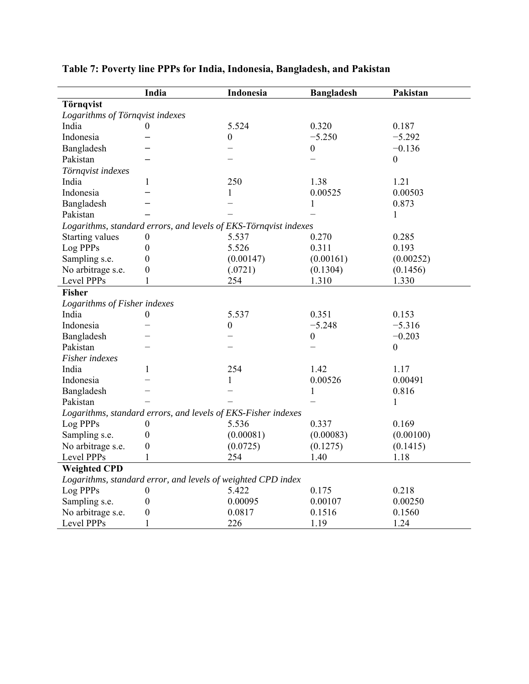|                                 | India            | Indonesia                                                        | <b>Bangladesh</b> | Pakistan         |
|---------------------------------|------------------|------------------------------------------------------------------|-------------------|------------------|
| Törnqvist                       |                  |                                                                  |                   |                  |
| Logarithms of Törnqvist indexes |                  |                                                                  |                   |                  |
| India                           | $\overline{0}$   | 5.524                                                            | 0.320             | 0.187            |
| Indonesia                       |                  | $\boldsymbol{0}$                                                 | $-5.250$          | $-5.292$         |
| Bangladesh                      |                  |                                                                  | $\boldsymbol{0}$  | $-0.136$         |
| Pakistan                        |                  |                                                                  |                   | $\boldsymbol{0}$ |
| Törnqvist indexes               |                  |                                                                  |                   |                  |
| India                           | 1                | 250                                                              | 1.38              | 1.21             |
| Indonesia                       |                  | $\mathbf{1}$                                                     | 0.00525           | 0.00503          |
| Bangladesh                      |                  |                                                                  | $\mathbf{1}$      | 0.873            |
| Pakistan                        |                  |                                                                  |                   | 1                |
|                                 |                  | Logarithms, standard errors, and levels of EKS-Törnqvist indexes |                   |                  |
| Starting values                 | $\boldsymbol{0}$ | 5.537                                                            | 0.270             | 0.285            |
| Log PPPs                        | $\boldsymbol{0}$ | 5.526                                                            | 0.311             | 0.193            |
| Sampling s.e.                   | $\boldsymbol{0}$ | (0.00147)                                                        | (0.00161)         | (0.00252)        |
| No arbitrage s.e.               | $\boldsymbol{0}$ | (.0721)                                                          | (0.1304)          | (0.1456)         |
| Level PPPs                      | 1                | 254                                                              | 1.310             | 1.330            |
| <b>Fisher</b>                   |                  |                                                                  |                   |                  |
| Logarithms of Fisher indexes    |                  |                                                                  |                   |                  |
| India                           | $\boldsymbol{0}$ | 5.537                                                            | 0.351             | 0.153            |
| Indonesia                       |                  | $\boldsymbol{0}$                                                 | $-5.248$          | $-5.316$         |
| Bangladesh                      |                  |                                                                  | $\boldsymbol{0}$  | $-0.203$         |
| Pakistan                        |                  |                                                                  |                   | $\mathbf{0}$     |
| Fisher indexes                  |                  |                                                                  |                   |                  |
| India                           | 1                | 254                                                              | 1.42              | 1.17             |
| Indonesia                       |                  | 1                                                                | 0.00526           | 0.00491          |
| Bangladesh                      |                  |                                                                  | $\mathbf{1}$      | 0.816            |
| Pakistan                        |                  |                                                                  |                   | 1                |
|                                 |                  | Logarithms, standard errors, and levels of EKS-Fisher indexes    |                   |                  |
| Log PPPs                        | $\boldsymbol{0}$ | 5.536                                                            | 0.337             | 0.169            |
| Sampling s.e.                   | $\boldsymbol{0}$ | (0.00081)                                                        | (0.00083)         | (0.00100)        |
| No arbitrage s.e.               | $\boldsymbol{0}$ | (0.0725)                                                         | (0.1275)          | (0.1415)         |
| Level PPPs                      | 1                | 254                                                              | 1.40              | 1.18             |
| <b>Weighted CPD</b>             |                  |                                                                  |                   |                  |
|                                 |                  | Logarithms, standard error, and levels of weighted CPD index     |                   |                  |
| Log PPPs                        | $\theta$         | 5.422                                                            | 0.175             | 0.218            |
| Sampling s.e.                   | $\boldsymbol{0}$ | 0.00095                                                          | 0.00107           | 0.00250          |
| No arbitrage s.e.               | $\boldsymbol{0}$ | 0.0817                                                           | 0.1516            | 0.1560           |
| Level PPPs                      | 1                | 226                                                              | 1.19              | 1.24             |

# **Table 7: Poverty line PPPs for India, Indonesia, Bangladesh, and Pakistan**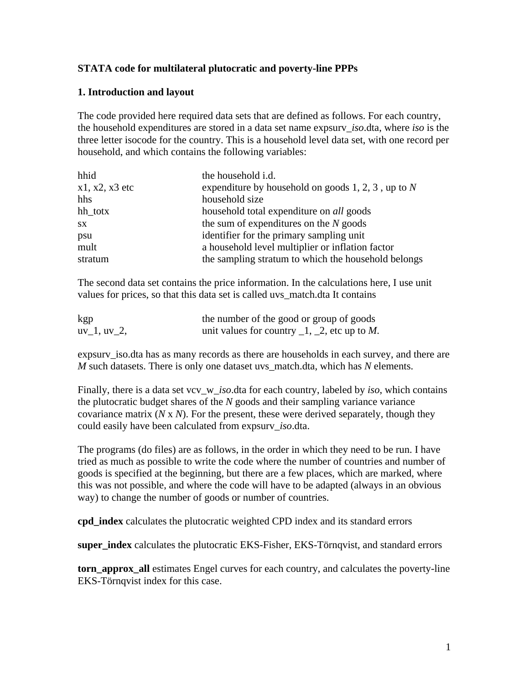## **STATA code for multilateral plutocratic and poverty-line PPPs**

## **1. Introduction and layout**

The code provided here required data sets that are defined as follows. For each country, the household expenditures are stored in a data set name expsurv\_*iso*.dta, where *iso* is the three letter isocode for the country. This is a household level data set, with one record per household, and which contains the following variables:

| hhid             | the household i.d.                                   |
|------------------|------------------------------------------------------|
| $x1, x2, x3$ etc | expenditure by household on goods 1, 2, 3, up to $N$ |
| hhs              | household size                                       |
| hh_totx          | household total expenditure on <i>all</i> goods      |
| SX               | the sum of expenditures on the $N$ goods             |
| psu              | identifier for the primary sampling unit             |
| mult             | a household level multiplier or inflation factor     |
| stratum          | the sampling stratum to which the household belongs  |

The second data set contains the price information. In the calculations here, I use unit values for prices, so that this data set is called uvs\_match.dta It contains

| kgp           | the number of the good or group of goods             |
|---------------|------------------------------------------------------|
| $uv_1, uv_2,$ | unit values for country $\_1$ , $\_2$ , etc up to M. |

expsurv\_iso.dta has as many records as there are households in each survey, and there are *M* such datasets. There is only one dataset uvs\_match.dta, which has *N* elements.

Finally, there is a data set vcv\_w\_*iso*.dta for each country, labeled by *iso*, which contains the plutocratic budget shares of the *N* goods and their sampling variance variance covariance matrix (*N* x *N*). For the present, these were derived separately, though they could easily have been calculated from expsurv\_*iso*.dta.

The programs (do files) are as follows, in the order in which they need to be run. I have tried as much as possible to write the code where the number of countries and number of goods is specified at the beginning, but there are a few places, which are marked, where this was not possible, and where the code will have to be adapted (always in an obvious way) to change the number of goods or number of countries.

**cpd\_index** calculates the plutocratic weighted CPD index and its standard errors

**super\_index** calculates the plutocratic EKS-Fisher, EKS-Törnqvist, and standard errors

**torn\_approx\_all** estimates Engel curves for each country, and calculates the poverty-line EKS-Törnqvist index for this case.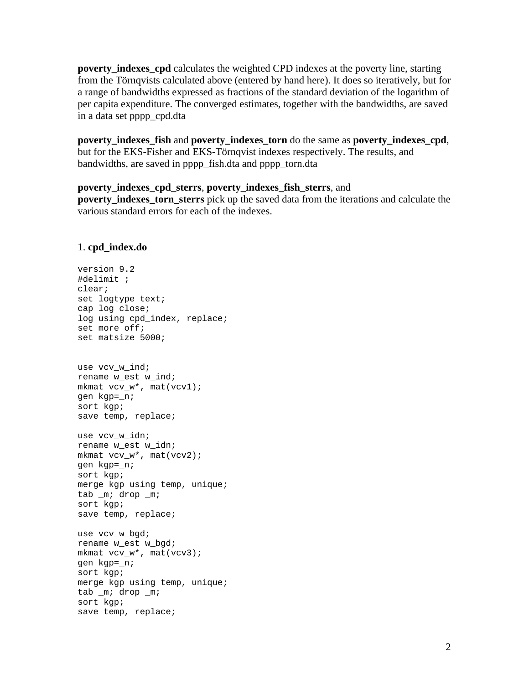**poverty\_indexes\_cpd** calculates the weighted CPD indexes at the poverty line, starting from the Törnqvists calculated above (entered by hand here). It does so iteratively, but for a range of bandwidths expressed as fractions of the standard deviation of the logarithm of per capita expenditure. The converged estimates, together with the bandwidths, are saved in a data set pppp\_cpd.dta

**poverty\_indexes\_fish** and **poverty\_indexes\_torn** do the same as **poverty\_indexes\_cpd**, but for the EKS-Fisher and EKS-Törnqvist indexes respectively. The results, and bandwidths, are saved in pppp\_fish.dta and pppp\_torn.dta

### **poverty\_indexes\_cpd\_sterrs**, **poverty\_indexes\_fish\_sterrs**, and

**poverty\_indexes\_torn\_sterrs** pick up the saved data from the iterations and calculate the various standard errors for each of the indexes.

### 1. **cpd\_index.do**

```
version 9.2 
#delimit ; 
clear; 
set logtype text; 
cap log close; 
log using cpd_index, replace; 
set more off; 
set matsize 5000; 
use vcv w ind;
rename w est w ind;
mkmat vcv w*, mat(vcv1);
gen kgp=_n; 
sort kgp; 
save temp, replace; 
use vcv w idn;
rename w est w idn;
mkmat vcv w*, mat(vcv2);
gen kgp=_n; 
sort kgp; 
merge kgp using temp, unique; 
tab _m; drop _m; 
sort kgp; 
save temp, replace; 
use vcv w bgd;
rename w est w bgd;
mkmat vcv_w*, mat(vcv3); 
gen kgp=_n; 
sort kgp; 
merge kgp using temp, unique; 
tab _m; drop _m; 
sort kgp; 
save temp, replace;
```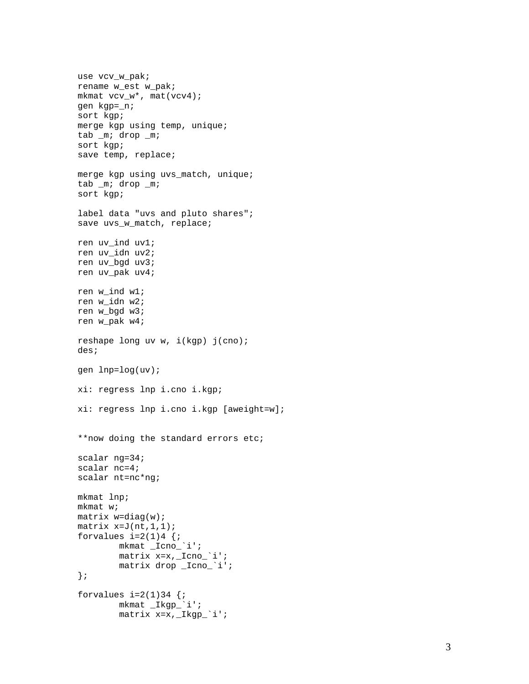```
use vcv_w_pak; 
rename w_est w_pak; 
mkmat vcv_w*, mat(vcv4);
gen kgp=_n; 
sort kgp; 
merge kgp using temp, unique; 
tab _m; drop _m; 
sort kgp; 
save temp, replace; 
merge kgp using uvs_match, unique; 
tab _m; drop _m; 
sort kgp; 
label data "uvs and pluto shares";
save uvs_w_match, replace;
ren uv_ind uv1; 
ren uv_idn uv2; 
ren uv_bgd uv3; 
ren uv_pak uv4; 
ren w_ind w1; 
ren w_idn w2; 
ren w_bgd w3; 
ren w_pak w4; 
reshape long uv w, i(kgp) j(cno); 
des; 
gen lnp=log(uv); 
xi: regress lnp i.cno i.kgp; 
xi: regress lnp i.cno i.kgp [aweight=w]; 
**now doing the standard errors etc; 
scalar ng=34; 
scalar nc=4; 
scalar nt=nc*ng; 
mkmat lnp; 
mkmat w; 
matrix w=diag(w);
matrix x=J(nt,1,1);forvalues i=2(1)4 {;
         mkmat _Icno_`i'; 
         matrix x=x,_Icno_`i'; 
         matrix drop _Icno_`i'; 
}; 
forvalues i=2(1)34 {;
         mkmat _Ikgp_`i'; 
         matrix x=x,_Ikgp_`i';
```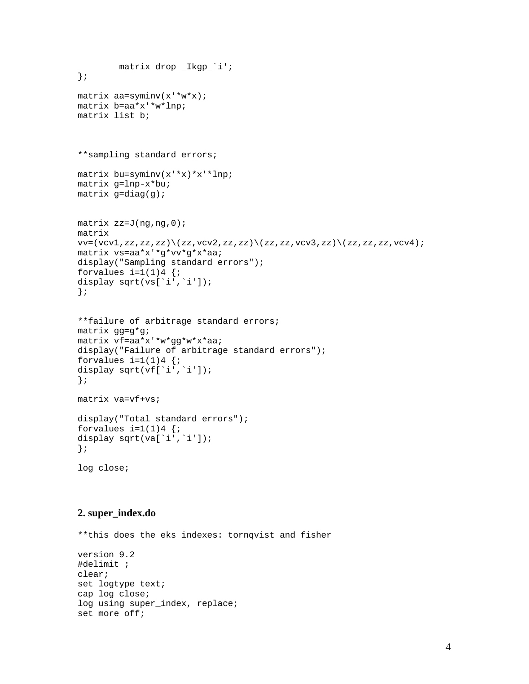```
 matrix drop _Ikgp_`i'; 
}; 
matrix aa=syminv(x'*w*x); 
matrix b=aa*x'*w*lnp; 
matrix list b; 
**sampling standard errors; 
matrix bu=syminv(x'*x)*x'*lnp; 
matrix g=lnp-x*bu; 
matrix g=diag(g);
matrix zz=J(ng,ng,0); 
matrix 
vv=(vcv1,zz,zz,zz)\ (zz,vcv2,zz,zz)\ (zz,zz,vcv3,zz)\ (zz,zz,zz,vcv4);matrix vs=aa*x'*g*vv*g*x*aa; 
display("Sampling standard errors");
forvalues i=1(1)4 {;
display sqrt(vs[`i',`i']);
}; 
**failure of arbitrage standard errors; 
matrix gg=g*g; 
matrix vf=aa*x'*w*gg*w*x*aa; 
display("Failure of arbitrage standard errors");
forvalues i=1(1)4 {;
display sqrt(vf[`i',`i']);
}; 
matrix va=vf+vs; 
display("Total standard errors"); 
forvalues i=1(1)4 {;
```

```
log close;
```
};

## **2. super\_index.do**

display sqrt(va[`i',`i']);

\*\*this does the eks indexes: tornqvist and fisher version 9.2 #delimit ; clear; set logtype text; cap log close; log using super\_index, replace; set more off;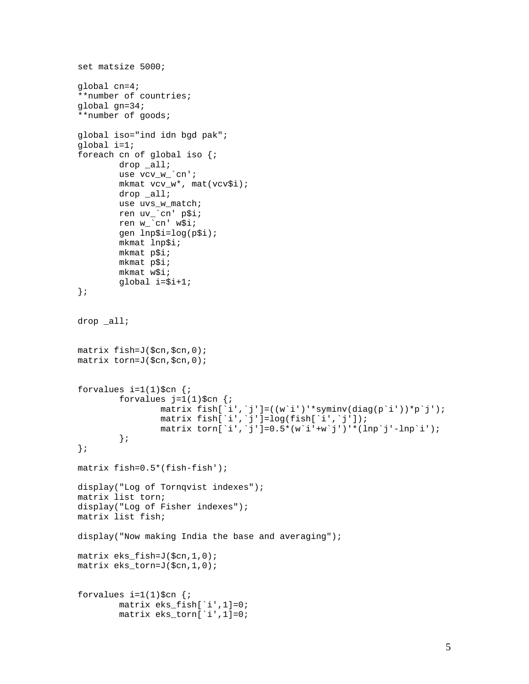```
set matsize 5000; 
global cn=4; 
**number of countries; 
global gn=34; 
**number of goods; 
global iso="ind idn bgd pak"; 
global i=1; 
foreach cn of global iso {; 
         drop _all; 
         use vcv_w_`cn'; 
        mkmat vcv_w*, mat(vcv$i);
         drop _all; 
         use uvs_w_match; 
ren uv_`cn' p$i;
ren w_`cn' w$i;
         gen lnp$i=log(p$i); 
         mkmat lnp$i; 
         mkmat p$i; 
         mkmat p$i; 
         mkmat w$i; 
         global i=$i+1; 
}; 
drop all;
matrix fish=J($cn,$cn,0); 
matrix torn=J($cn,$cn,0); 
forvalues i=1(1)\$cn \{i\}forvalues j=1(1)\$cn \{i\}matrix fish[`i',`j']=((w`i')'*syminv(diag(p`i'))*p`j');
 matrix fish[`i',`j']=log(fish[`i',`j']); 
matrix torn[\iota', \jota'] = 0.5*(w\iota' + w\jota')' * (1np\jota' - 1np\jota');
         }; 
}; 
matrix fish=0.5*(fish-fish'); 
display("Log of Tornqvist indexes");
matrix list torn; 
display("Log of Fisher indexes"); 
matrix list fish; 
display("Now making India the base and averaging"); 
matrix eks_fish=J($cn,1,0); 
matrix eks_torn=J($cn,1,0); 
forvalues i=1(1)\$cn \{i\} matrix eks_fish[`i',1]=0; 
         matrix eks_torn[`i',1]=0;
```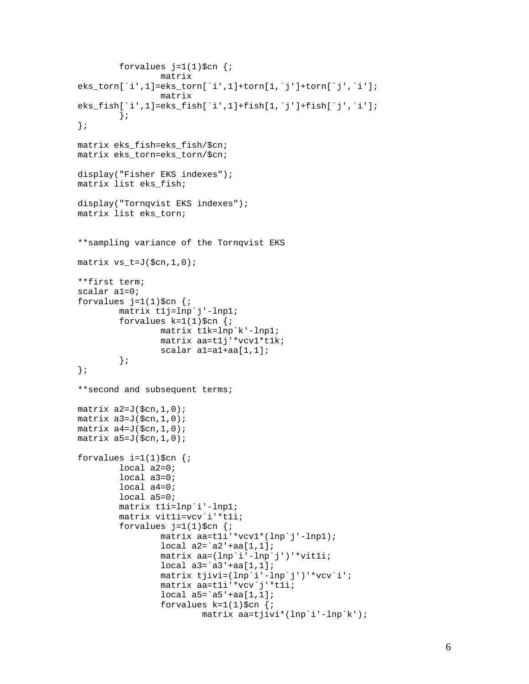```
forvalues j=1(1)\cn {;
                  matrix 
eks_torn[`i',1]=eks_torn[`i',1]+torn[1,`j']+torn[`j',`i']; 
                  matrix 
eks_fish[`i',1]=eks_fish[`i',1]+fish[1,`j']+fish[`j',`i']; 
          }; 
}; 
matrix eks_fish=eks_fish/$cn; 
matrix eks_torn=eks_torn/$cn; 
display("Fisher EKS indexes"); 
matrix list eks_fish; 
display("Tornqvist EKS indexes");
matrix list eks_torn; 
**sampling variance of the Tornqvist EKS 
matrix vs t=J(\text{Sen},1,0);**first term; 
scalar a1=0; 
forvalues j=1(1)\$cn \{i\} matrix t1j=lnp`j'-lnp1; 
        forvalues k=1(1)\$cn \{i\} matrix t1k=lnp`k'-lnp1; 
                  matrix aa=t1j'*vcv1*t1k; 
                 scalar al=a1+aa[1,1];
          }; 
}; 
**second and subsequent terms; 
matrix a2=J(\xi cn, 1, 0);
matrix a3=J(\xi cn, 1, 0);
matrix a4=J(\xi cn, 1, 0);
matrix a5=J(5cn,1,0);forvalues i=1(1)\$cn {;
         local a2=0; 
         local a3=0; 
         local a4=0; 
         local a5=0; 
         matrix t1i=lnp`i'-lnp1; 
         matrix vit1i=vcv`i'*t1i; 
        forvalues j=1(1)\$cn {;
                  matrix aa=t1i'*vcv1*(lnp`j'-lnp1); 
                 local a2='a2'+aa[1,1]; matrix aa=(lnp`i'-lnp`j')'*vit1i; 
                  local a3=`a3'+aa[1,1]; 
                  matrix tjivi=(lnp`i'-lnp`j')'*vcv`i'; 
                  matrix aa=t1i'*vcv`j'*t1i; 
                 local a5='a5'+aa[1,1];
                 forvalues k=1(1)\$cn \{i\} matrix aa=tjivi*(lnp`i'-lnp`k');
```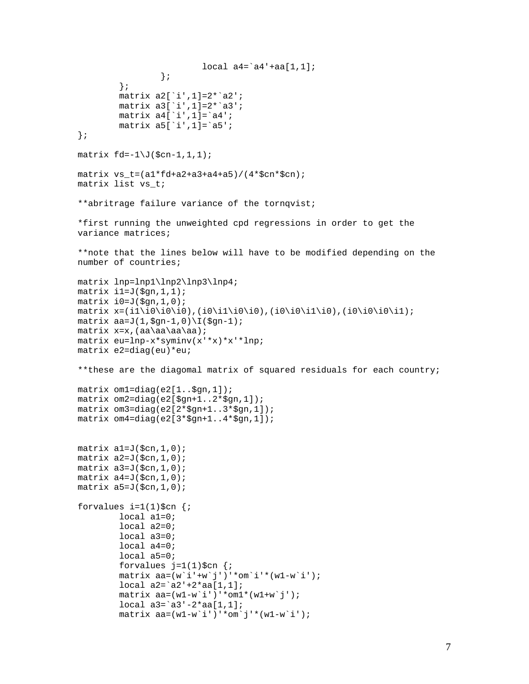```
local a4='a4'+aa[1,1]; }; 
          }; 
         matrix a2[`i',1]=2*`a2'; 
         matrix a3[`i',1]=2*`a3'; 
        matrix a4['i',1]=`a4';
        matrix a5['i',1]=`a5';
}; 
matrix fd=-1\J(\n$cn-1,1,1);matrix vs_t=(a1*fd+a2+a3+a4+a5)/(4*fcn*fcn);matrix list vs_t; 
**abritrage failure variance of the tornqvist; 
*first running the unweighted cpd regressions in order to get the 
variance matrices; 
**note that the lines below will have to be modified depending on the 
number of countries; 
matrix lnp=lnp1\lnp2\lnp3\lnp4; 
matrix il=J(\ngn,1,1);
matrix i0=J($gn,1,0); 
matrix x=(i1\i0\i0\i0),(i0\i1\i0\i0),(i0\i0\i1\i0),(i0\i0\i0\i1); 
matrix aa=J(1,\frac{2}{9}n-1,0)\I(\frac{2}{9}n-1);matrix x=x,(aa\aa\aa\aa); 
matrix eu=lnp-x*syminv(x'*x)*x'*lnp; 
matrix e2=diag(eu)*eu; 
**these are the diagomal matrix of squared residuals for each country; 
matrix om1=diag(e2[1..$gn,1]); 
matrix om2=diag(e2[$gn+1..2*$gn,1]); 
matrix om3=diag(e2[2*$gn+1..3*$gn,1]); 
matrix om4 = diag(e2[3 * \xi qn+1..4 * \xi qn,1]);matrix al=J(\text{Scn},1,0);matrix a2=J(\xi cn, 1, 0);
matrix a3=J($cn,1,0); 
matrix a4=J(\xi cn, 1, 0);matrix a5=J(\xi cn, 1, 0);
forvalues i=1(1)\‡cn \{i\} local a1=0; 
         local a2=0; 
         local a3=0; 
         local a4=0; 
         local a5=0; 
        forvalues j=1(1)\$cn \{i\}matrix aa=(w^i+w^j)'*om'i'*(w1-w'i');
        local a2 = a2' + 2*aa[1,1]; matrix aa=(w1-w`i')'*om1*(w1+w`j'); 
        local a3 = a3' - 2*aa[1,1]; matrix aa=(w1-w`i')'*om`j'*(w1-w`i');
```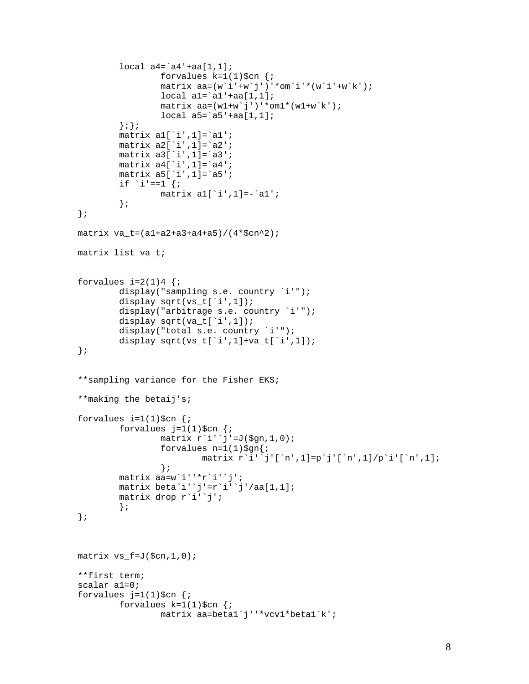```
local a4='a4'+aa[1,1];
                 forvalues k=1(1)\$cn {;
                 matrix aa=(w^i+w^j)''*omi'+(w^i+w^k);
                 local al='al'+aa[1,1];
                 matrix aa=(w1+w^j')''*om1*(w1+w^k');
                 local a5='a5'+aa[1,1]; };}; 
        matrix a1['i',1]=`a1';
        matrix a2['i',1]=`a2';
        matrix a3['i',1]=`a3';
         matrix a4[`i',1]=`a4'; 
        matrix a5['i',1]=`a5';
        if `i'==1 \{;
                 matrix a1[`i',1]=-`a1'; 
         }; 
}; 
matrix va_t=(a1+a2+a3+a4+a5)/(4*$cn^2); 
matrix list va_t; 
forvalues i=2(1)4 {;
        display("sampling s.e. country `i'");
        display sqrt(vs_t[`i',1]);
        display("arbitrage s.e. country `i'");
         display sqrt(va_t[`i',1]); 
         display("total s.e. country `i'"); 
         display sqrt(vs_t[`i',1]+va_t[`i',1]); 
}; 
**sampling variance for the Fisher EKS; 
**making the betaij's; 
forvalues i=1(1)\$cn {;
        forvalues j=1(1)\$cn \{i\}matrix r'i''j'=J(\text{\$gn,1,0)};
                 forvalues n=1(1)\$gn\{i matrix r`i'`j'[`n',1]=p`j'[`n',1]/p`i'[`n',1]; 
                  }; 
         matrix aa=w`i''*r`i'`j'; 
         matrix beta`i'`j'=r`i'`j'/aa[1,1]; 
         matrix drop r`i'`j'; 
         }; 
}; 
matrix vs_f=J($cn,1,0); 
**first term; 
scalar a1=0; 
forvalues j=1(1)\$cn \{i\}forvalues k=1(1)\$cn \{i\} matrix aa=beta1`j''*vcv1*beta1`k';
```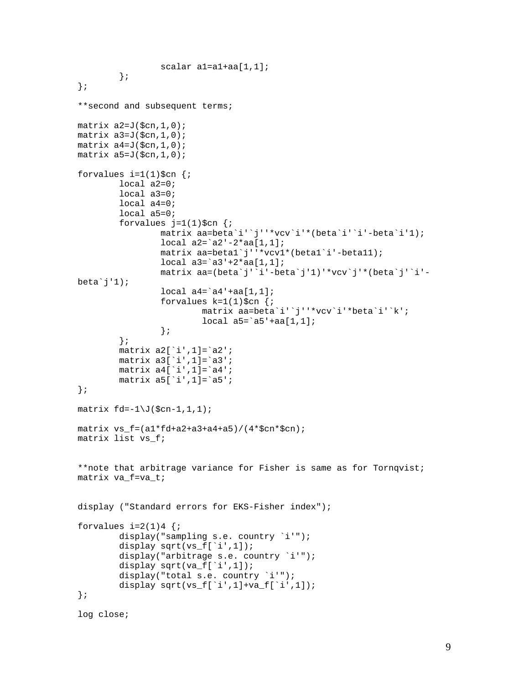```
 scalar a1=a1+aa[1,1]; 
         }; 
}; 
**second and subsequent terms; 
matrix a2=J(\xi cn, 1, 0);
matrix a3=J(\xi cn, 1, 0);
matrix a4=J(\xi cn, 1, 0);
matrix a5=J(\text{Scn},1,0);forvalues i=1(1)\$cn \{i\} local a2=0; 
         local a3=0; 
         local a4=0; 
         local a5=0; 
        forvalues j=1(1)\$cn \{i\} matrix aa=beta`i'`j''*vcv`i'*(beta`i'`i'-beta`i'1); 
                  local a2=`a2'-2*aa[1,1]; 
                  matrix aa=beta1`j''*vcv1*(beta1`i'-beta11); 
                 local a3='a3'+2*aa[1,1]; matrix aa=(beta`j'`i'-beta`j'1)'*vcv`j'*(beta`j'`i'-
beta\hat{j}''1);
                 local a4='a4'+aa[1,1];
                 forvalues k=1(1)\$cn \{i\} matrix aa=beta`i'`j''*vcv`i'*beta`i'`k'; 
                          local a5='a5'+aa[1,1]; }; 
         }; 
        matrix a2['i',1]=`a2';
         matrix a3[`i',1]=`a3'; 
         matrix a4[`i',1]=`a4'; 
        matrix a5['i',1]=`a5';
}; 
matrix\ fd=-1\J(\xi cn-1,1,1);matrix vs f=(a1*fd+a2+a3+a4+a5)/(4*§cn*§cn);matrix list vs_f; 
**note that arbitrage variance for Fisher is same as for Tornqvist; 
matrix va_f=va_t; 
display ("Standard errors for EKS-Fisher index"); 
forvalues i=2(1)4 {;
        display("sampling s.e. country `i'");
        display sqrt(vs_f[`i',1]);
        display("arbitrage s.e. country `i'");
        display sqrt(va_f[`i',1]);
        display("total s.e. country `i'");
        display sqrt(vs f['i',1]+va f['i',1]);
};
```

```
log close;
```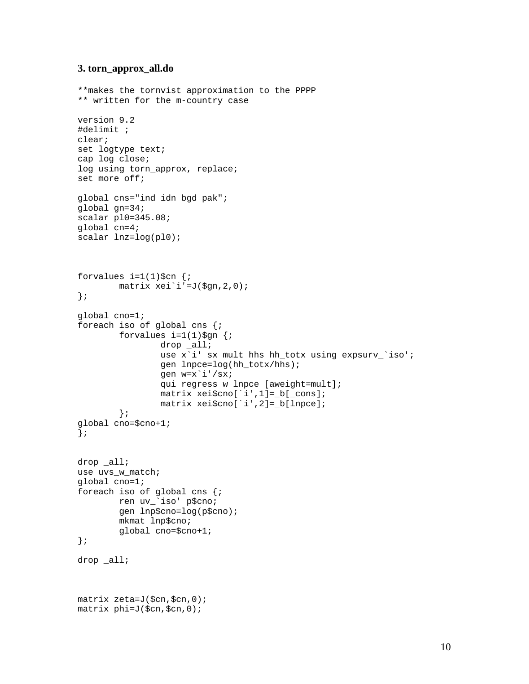### **3. torn\_approx\_all.do**

```
**makes the tornvist approximation to the PPPP 
** written for the m-country case 
version 9.2 
#delimit ; 
clear; 
set logtype text; 
cap log close; 
log using torn_approx, replace;
set more off; 
global cns="ind idn bgd pak"; 
global gn=34; 
scalar pl0=345.08; 
global cn=4; 
scalar lnz=log(pl0); 
forvalues i=1(1)\$cn {;
         matrix xei`i'=J($gn,2,0); 
}; 
global cno=1; 
foreach iso of global cns {; 
        forvalues i=1(1)\$gn {;
                  drop _all; 
                  use x`i' sx mult hhs hh_totx using expsurv_`iso'; 
                  gen lnpce=log(hh_totx/hhs); 
                  gen w=x`i'/sx; 
                  qui regress w lnpce [aweight=mult]; 
                  matrix xei$cno[`i',1]=_b[_cons]; 
                  matrix xei$cno[`i',2]=_b[lnpce]; 
          }; 
global cno=$cno+1; 
}; 
drop all;
use uvs w match;
global cno=1; 
foreach iso of global cns {; 
         ren uv_`iso' p$cno; 
         gen lnp$cno=log(p$cno); 
         mkmat lnp$cno; 
         global cno=$cno+1; 
}; 
drop _all; 
matrix zeta=J($cn,$cn,0); 
matrix phi=J($cn,$cn,0);
```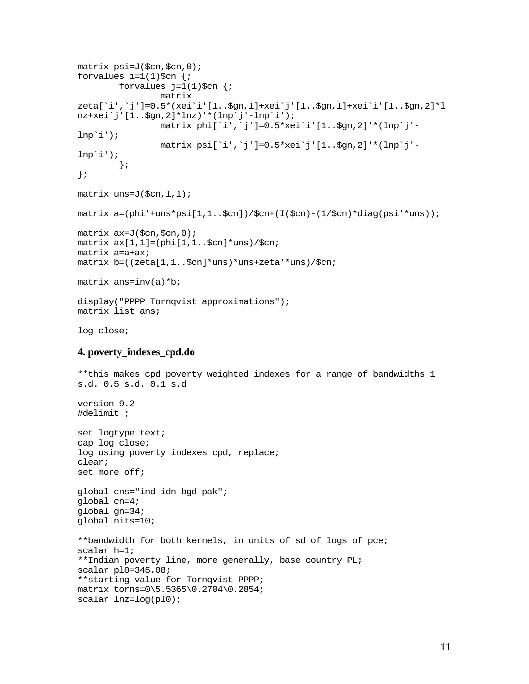```
matrix psi=J($cn,$cn,0); 
forvalues i=1(1)\$cn {;
        forvalues j=1(1)\$cn {;
                  matrix 
zeta[`i',`j']=0.5*(xei`i'[1..$gn,1]+xei`j'[1..$gn,1]+xei`i'[1..$gn,2]*l
nz+xei`j'[1..$gn,2]*lnz)'*(lnp`j'-lnp`i'); 
                  matrix phi[`i',`j']=0.5*xei`i'[1..$gn,2]'*(lnp`j'-
lnp<sup>\iota</sup>);
                  matrix psi[`i',`j']=0.5*xei`j'[1..$gn,2]'*(lnp`j'-
lnp<sup>\iota</sup>);
         }; 
}; 
matrix uns=J($cn,1,1); 
matrix a=(phi' + uns *psi[1,1..,5cn])/5cn+(I(5cn)-(1/5cn)*diag(psi' * uns));matrix ax=J($cn,$cn,0); 
matrix ax[1,1]=(phi[1,1..$cn]*uns)/$cn; 
matrix a=a+ax; 
matrix b=((zeta[1,1..$cn]*uns)*uns+zeta'*uns)/$cn; 
matrix ans=inv(a)*b;
display("PPPP Tornqvist approximations");
matrix list ans; 
log close; 
4. poverty_indexes_cpd.do
**this makes cpd poverty weighted indexes for a range of bandwidths 1 
s.d. 0.5 s.d. 0.1 s.d 
version 9.2 
#delimit ; 
set logtype text; 
cap log close; 
log using poverty_indexes_cpd, replace; 
clear; 
set more off; 
global cns="ind idn bgd pak"; 
global cn=4; 
global gn=34; 
global nits=10; 
**bandwidth for both kernels, in units of sd of logs of pce; 
scalar h=1; 
**Indian poverty line, more generally, base country PL; 
scalar pl0=345.08; 
**starting value for Tornqvist PPPP; 
matrix torns=0\5.5365\0.2704\0.2854; 
scalar lnz=log(pl0);
```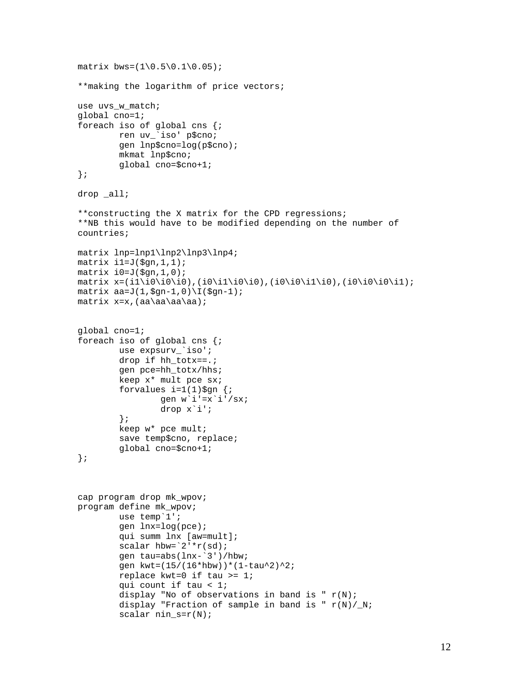```
matrix bws = (1 \ 0.5 \ 0.1 \ 0.05);
**making the logarithm of price vectors; 
use uvs_w_match; 
global cno=1; 
foreach iso of global cns {; 
         ren uv_`iso' p$cno; 
          gen lnp$cno=log(p$cno); 
          mkmat lnp$cno; 
          global cno=$cno+1; 
}; 
drop _all; 
**constructing the X matrix for the CPD regressions; 
**NB this would have to be modified depending on the number of 
countries; 
matrix lnp=lnp1\lnp2\lnp3\lnp4; 
matrix il=J(\xiqn,1, 1);
matrix i0=J(\xi gn,1,0);matrix x=(i1\i0\ii0\ii0\ii0\ii0\ii0\ii0\ii0\ii1\ii0),(i0\i0\i1\i0),(i0\i0\i1);
matrix aa=J(1,\frac{2}{9}n-1,0)\I(\frac{2}{9}n-1);matrix x=x,(aa\aa\aa\aa); 
global cno=1; 
foreach iso of global cns {; 
         use expsurv_`iso'; 
          drop if hh_totx==.; 
          gen pce=hh_totx/hhs; 
          keep x* mult pce sx; 
         forvalues i=1(1)\$gn \{i\} gen w`i'=x`i'/sx; 
                  drop x`i'; 
          }; 
          keep w* pce mult; 
          save temp$cno, replace; 
          global cno=$cno+1; 
}; 
cap program drop mk_wpov; 
program define mk_wpov; 
         use temp`1'; 
          gen lnx=log(pce); 
          qui summ lnx [aw=mult]; 
         scalar hbw=`2'*r(sd);
          gen tau=abs(lnx-`3')/hbw; 
         gen kwt=(15/(16*hbw))*(1-tau^2)^2;
          replace kwt=0 if tau >= 1; 
          qui count if tau < 1; 
         display "No of observations in band is "r(N);
         display "Fraction of sample in band is "r(N)/N;
         scalar nin_s=r(N);
```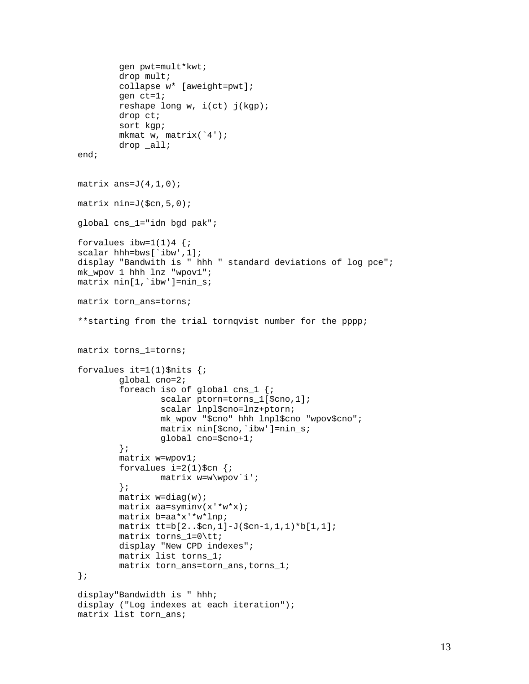```
 gen pwt=mult*kwt; 
         drop mult; 
         collapse w* [aweight=pwt]; 
         gen ct=1; 
         reshape long w, i(ct) j(kgp); 
         drop ct; 
         sort kgp; 
         mkmat w, matrix(`4'); 
         drop _all; 
end; 
matrix ans=J(4,1,0);matrix nin=J($cn,5,0); 
global cns_1="idn bgd pak"; 
forvalues ibw=1(1)4 {;
scalar hhh=bws[`ibw',1];
display "Bandwith is " hhh " standard deviations of log pce"; 
mk_wpov 1 hhh lnz "wpov1"; 
matrix nin[1,`ibw']=nin_s; 
matrix torn ans=torns;
**starting from the trial tornqvist number for the pppp; 
matrix torns_1=torns; 
forvalues it=1(1)\$nits \{i\} global cno=2; 
         foreach iso of global cns_1 {; 
                  scalar ptorn=torns_1[$cno,1]; 
                  scalar lnpl$cno=lnz+ptorn; 
                  mk_wpov "$cno" hhh lnpl$cno "wpov$cno"; 
                  matrix nin[$cno,`ibw']=nin_s; 
                  global cno=$cno+1; 
         }; 
         matrix w=wpov1; 
        forvalues i=2(1)\$cn \{i\}matrix w=w\wpov`i';
         }; 
        matrix w=diag(w);
         matrix aa=syminv(x'*w*x); 
         matrix b=aa*x'*w*lnp; 
         matrix tt=b[2..$cn,1]-J($cn-1,1,1)*b[1,1]; 
         matrix torns_1=0\tt; 
        display "New CPD indexes";
         matrix list torns_1; 
         matrix torn_ans=torn_ans,torns_1; 
}; 
display"Bandwidth is " hhh; 
display ("Log indexes at each iteration"); 
matrix list torn_ans;
```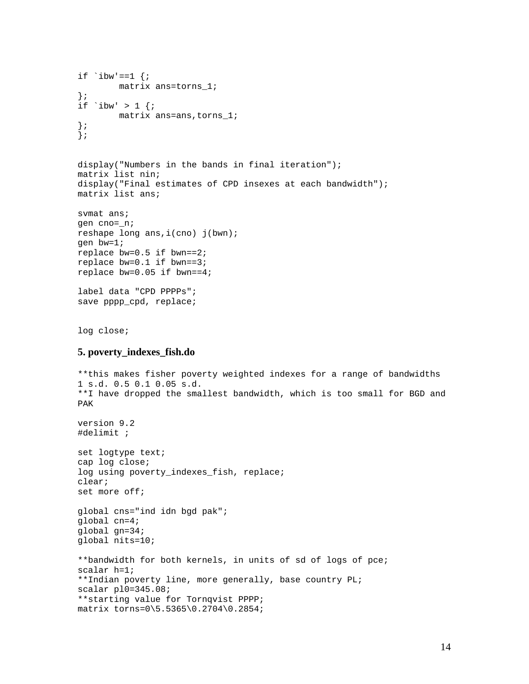```
if \iota ibw'==1 {;
         matrix ans=torns_1; 
}; 
if `ibw' > 1 {;
        matrix ans=ans, torns 1;
}; 
}; 
display("Numbers in the bands in final iteration"); 
matrix list nin; 
display("Final estimates of CPD insexes at each bandwidth"); 
matrix list ans; 
svmat ans; 
gen cno=_n; 
reshape long ans,i(cno) j(bwn); 
gen bw=1; 
replace bw=0.5 if bwn==2; 
replace bw=0.1 if bwn==3; 
replace bw=0.05 if bwn==4; 
label data "CPD PPPPs";
save pppp_cpd, replace;
log close; 
5. poverty_indexes_fish.do 
**this makes fisher poverty weighted indexes for a range of bandwidths 
1 s.d. 0.5 0.1 0.05 s.d. 
**I have dropped the smallest bandwidth, which is too small for BGD and 
PAK 
version 9.2 
#delimit ; 
set logtype text; 
cap log close; 
log using poverty_indexes_fish, replace; 
clear; 
set more off; 
global cns="ind idn bgd pak"; 
global cn=4; 
global gn=34; 
global nits=10; 
**bandwidth for both kernels, in units of sd of logs of pce; 
scalar h=1; 
**Indian poverty line, more generally, base country PL; 
scalar pl0=345.08; 
**starting value for Tornqvist PPPP; 
matrix torns=0\5.5365\0.2704\0.2854;
```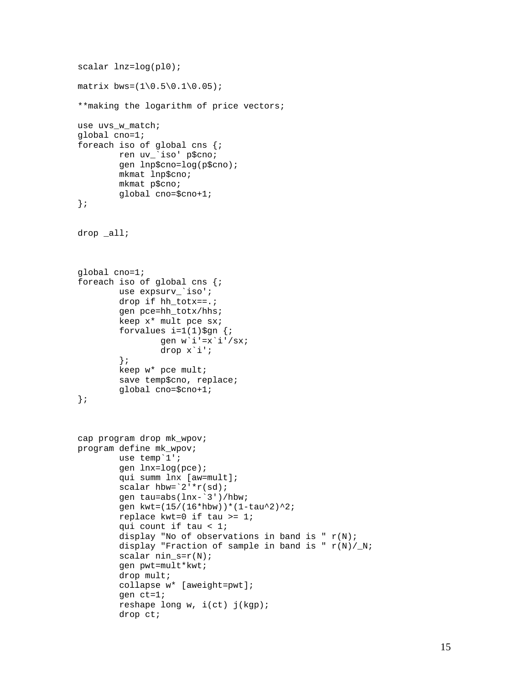```
scalar lnz=log(pl0); 
matrix bws = (1 \ 0.5 \ 0.1 \ 0.05);
**making the logarithm of price vectors; 
use uvs w match;
global cno=1; 
foreach iso of global cns {; 
         ren uv_`iso' p$cno; 
         gen lnp$cno=log(p$cno); 
         mkmat lnp$cno; 
         mkmat p$cno; 
         global cno=$cno+1; 
}; 
drop _all; 
global cno=1; 
foreach iso of global cns {; 
         use expsurv_`iso'; 
         drop if hh_totx==.; 
         gen pce=hh_totx/hhs; 
         keep x* mult pce sx; 
        forvalues i=1(1)\$gn {;
                 gen w'i'=x'i'/sx;
                  drop x`i'; 
         }; 
         keep w* pce mult; 
         save temp$cno, replace; 
         global cno=$cno+1; 
}; 
cap program drop mk_wpov; 
program define mk_wpov; 
         use temp`1'; 
         gen lnx=log(pce); 
         qui summ lnx [aw=mult]; 
        scalar hbw=`2'*r(sd);
         gen tau=abs(lnx-`3')/hbw; 
        gen kwt=(15/(16*hbw))*(1-tau^2)^2;
         replace kwt=0 if tau >= 1; 
         qui count if tau < 1; 
        display "No of observations in band is "r(N);
        display "Fraction of sample in band is "r(N)/N;
        scalar nin_s=r(N); gen pwt=mult*kwt; 
         drop mult; 
         collapse w* [aweight=pwt]; 
         gen ct=1; 
         reshape long w, i(ct) j(kgp); 
         drop ct;
```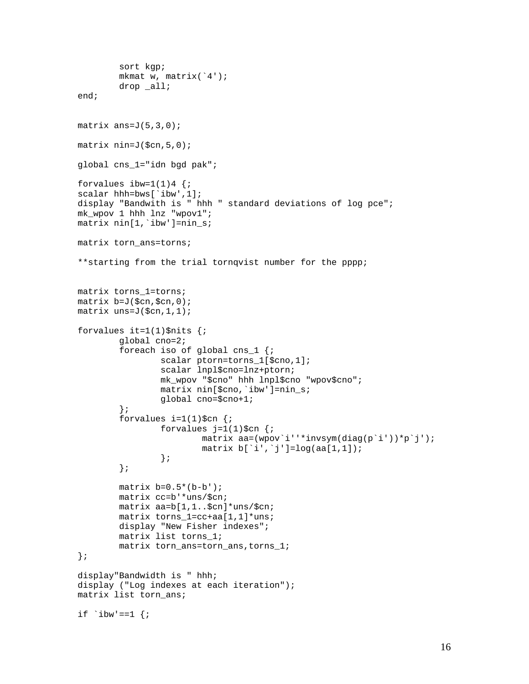```
 sort kgp; 
         mkmat w, matrix(`4'); 
         drop _all; 
end; 
matrix ans=J(5,3,0);matrix nin=J(5cn, 5, 0);global cns_1="idn bgd pak"; 
forvalues ibw=1(1)4 {;
scalar hhh=bws[`ibw',1]; 
display "Bandwith is " hhh " standard deviations of log pce"; 
mk_wpov 1 hhh lnz "wpov1"; 
matrix nin[1,`ibw']=nin_s; 
matrix torn_ans=torns; 
**starting from the trial tornqvist number for the pppp; 
matrix torns_1=torns; 
matrix b=J($cn,$cn,0); 
matrix uns=J($cn,1,1); 
forvalues it=1(1)$nits \{i\} global cno=2; 
         foreach iso of global cns_1 {; 
                  scalar ptorn=torns_1[$cno,1]; 
                  scalar lnpl$cno=lnz+ptorn; 
                  mk_wpov "$cno" hhh lnpl$cno "wpov$cno"; 
                  matrix nin[$cno,`ibw']=nin_s; 
                  global cno=$cno+1; 
         }; 
        forvalues i=1(1)\$cn {;
                 forvalues j=1(1)\$cn {;
                           matrix aa=(wpov`i''*invsym(diag(p`i'))*p`j'); 
                          matrix b['i', 'j'] = log(aa[1,1]); }; 
         }; 
        matrix b=0.5*(b-b');
         matrix cc=b'*uns/$cn; 
         matrix aa=b[1,1..$cn]*uns/$cn; 
         matrix torns_1=cc+aa[1,1]*uns; 
         display "New Fisher indexes"; 
         matrix list torns_1; 
         matrix torn_ans=torn_ans,torns_1; 
}; 
display"Bandwidth is " hhh; 
display ("Log indexes at each iteration"); 
matrix list torn_ans; 
if `ibw'==1 \{;
```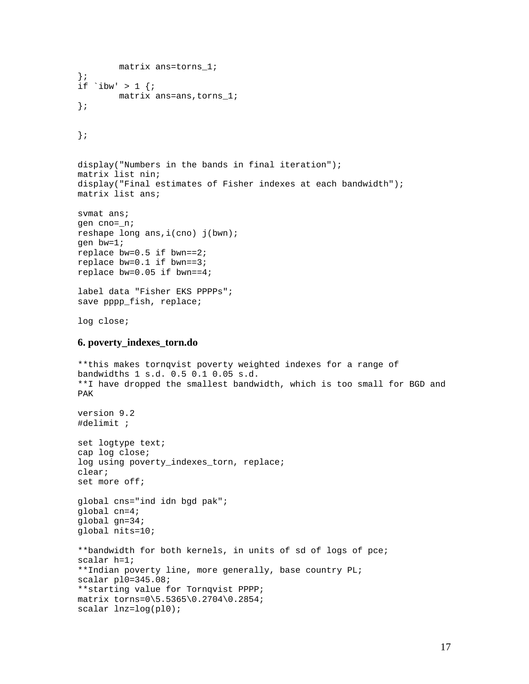```
 matrix ans=torns_1; 
}; 
if \iota ibw' > 1 {;
         matrix ans=ans,torns_1; 
}; 
}; 
display("Numbers in the bands in final iteration"); 
matrix list nin; 
display("Final estimates of Fisher indexes at each bandwidth"); 
matrix list ans; 
svmat ans; 
gen cno=_n; 
reshape long ans,i(cno) j(bwn); 
gen bw=1; 
replace bw=0.5 if bwn==2; 
replace bw=0.1 if bwn==3; 
replace bw=0.05 if bwn==4; 
label data "Fisher EKS PPPPs"; 
save pppp_fish, replace;
log close; 
6. poverty_indexes_torn.do 
**this makes tornqvist poverty weighted indexes for a range of 
bandwidths 1 s.d. 0.5 0.1 0.05 s.d. 
**I have dropped the smallest bandwidth, which is too small for BGD and 
PAK 
version 9.2 
#delimit ; 
set logtype text; 
cap log close; 
log using poverty_indexes_torn, replace;
clear; 
set more off; 
global cns="ind idn bgd pak"; 
global cn=4; 
global gn=34; 
global nits=10; 
**bandwidth for both kernels, in units of sd of logs of pce; 
scalar h=1; 
**Indian poverty line, more generally, base country PL; 
scalar pl0=345.08; 
**starting value for Tornqvist PPPP; 
matrix torns=0\5.5365\0.2704\0.2854; 
scalar lnz=log(pl0);
```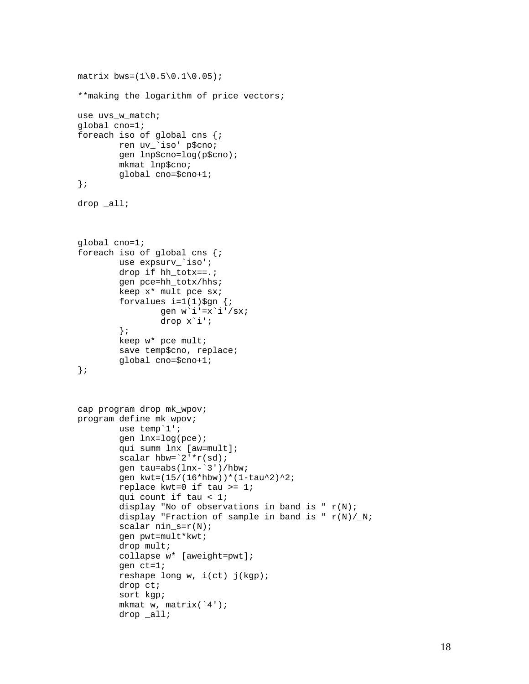```
matrix bws = (1 \ 0.5 \ 0.1 \ 0.05);
**making the logarithm of price vectors; 
use uvs w match;
global cno=1; 
foreach iso of global cns {; 
         ren uv_`iso' p$cno; 
         gen lnp$cno=log(p$cno); 
         mkmat lnp$cno; 
         global cno=$cno+1; 
}; 
drop _all; 
global cno=1; 
foreach iso of global cns {; 
        use expsurv `iso';
         drop if hh_totx==.; 
         gen pce=hh_totx/hhs; 
         keep x* mult pce sx; 
        forvalues i=1(1)\§gn {;
                 gen w'i'=x'i'/sx;
                  drop x`i'; 
         }; 
         keep w* pce mult; 
         save temp$cno, replace; 
         global cno=$cno+1; 
}; 
cap program drop mk_wpov; 
program define mk_wpov; 
         use temp`1'; 
         gen lnx=log(pce); 
         qui summ lnx [aw=mult]; 
        scalar hbw='2'*r(sd); gen tau=abs(lnx-`3')/hbw; 
        gen kwt=(15/(16*hbw))*(1-tau^2)^2;
         replace kwt=0 if tau >= 1; 
         qui count if tau < 1; 
        display "No of observations in band is "r(N);
        display "Fraction of sample in band is "r(N)/N;
        scalar nin s=r(N); gen pwt=mult*kwt; 
         drop mult; 
         collapse w* [aweight=pwt]; 
         gen ct=1; 
         reshape long w, i(ct) j(kgp); 
         drop ct; 
         sort kgp; 
         mkmat w, matrix(`4'); 
         drop _all;
```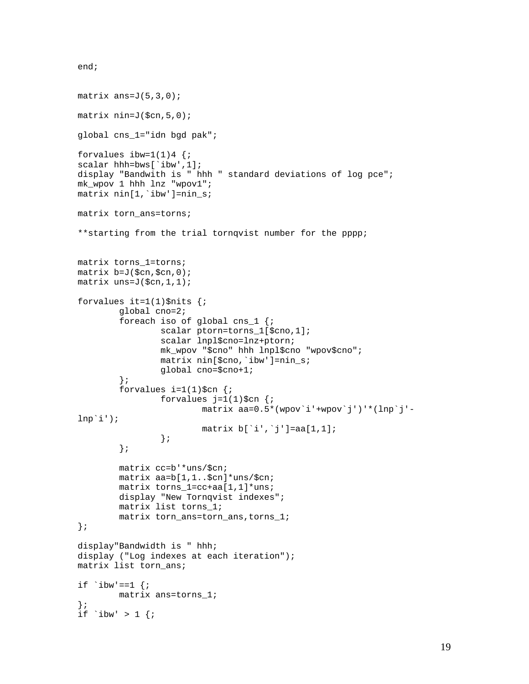```
end;
```

```
matrix ans=J(5,3,0);matrix nin=J($cn, 5, 0);
global cns_1="idn bgd pak"; 
forvalues ibw=1(1)4 {;
scalar hhh=bws[`ibw',1];
display "Bandwith is " hhh " standard deviations of log pce"; 
mk_wpov 1 hhh lnz "wpov1"; 
matrix nin[1,`ibw']=nin_s; 
matrix torn_ans=torns; 
**starting from the trial tornqvist number for the pppp; 
matrix torns_1=torns; 
matrix b=J($cn,$cn,0); 
matrix uns=J($cn,1, 1);
forvalues it=1(1)$nits \{i\} global cno=2; 
         foreach iso of global cns_1 {; 
                  scalar ptorn=torns_1[$cno,1]; 
                  scalar lnpl$cno=lnz+ptorn; 
                  mk_wpov "$cno" hhh lnpl$cno "wpov$cno"; 
                  matrix nin[$cno,`ibw']=nin_s; 
                  global cno=$cno+1; 
          }; 
        forvalues i=1(1)\$cn \{i\}forvalues j=1(1)\$cn \{i\} matrix aa=0.5*(wpov`i'+wpov`j')'*(lnp`j'-
lnp<sup>\iota</sup>);
                          matrix b['i', 'j'] = aa[1,1]; }; 
          }; 
         matrix cc=b'*uns/$cn; 
         matrix aa=b[1,1..$cn]*uns/$cn; 
         matrix torns_1=cc+aa[1,1]*uns; 
        display "New Tornqvist indexes";
         matrix list torns_1; 
         matrix torn_ans=torn_ans,torns_1; 
}; 
display"Bandwidth is " hhh; 
display ("Log indexes at each iteration"); 
matrix list torn_ans; 
if \iota ibw'==1 {;
         matrix ans=torns_1; 
}; 
if `ibw' > 1 {;
```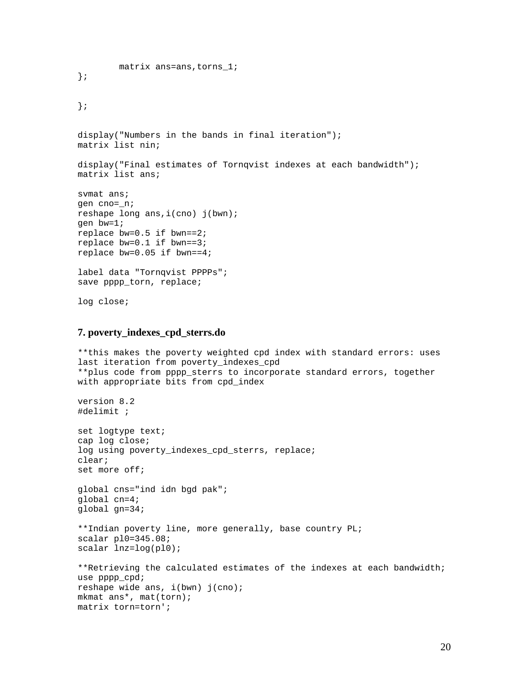```
 matrix ans=ans,torns_1; 
}; 
}; 
display("Numbers in the bands in final iteration"); 
matrix list nin; 
display("Final estimates of Tornqvist indexes at each bandwidth"); 
matrix list ans; 
svmat ans; 
gen cno=_n; 
reshape long ans,i(cno) j(bwn); 
gen bw=1; 
replace bw=0.5 if bwn==2; 
replace bw=0.1 if bwn==3; 
replace bw=0.05 if bwn==4; 
label data "Tornqvist PPPPs"; 
save pppp_torn, replace; 
log close;
```
## **7. poverty\_indexes\_cpd\_sterrs.do**

```
**this makes the poverty weighted cpd index with standard errors: uses 
last iteration from poverty indexes cpd
**plus code from pppp_sterrs to incorporate standard errors, together 
with appropriate bits from cpd_index 
version 8.2 
#delimit ; 
set logtype text; 
cap log close; 
log using poverty_indexes_cpd_sterrs, replace; 
clear; 
set more off; 
global cns="ind idn bgd pak"; 
global cn=4; 
global gn=34; 
**Indian poverty line, more generally, base country PL; 
scalar pl0=345.08; 
scalar lnz=log(pl0); 
**Retrieving the calculated estimates of the indexes at each bandwidth; 
use pppp_cpd; 
reshape wide ans, i(bwn) j(cno); 
mkmat ans*, mat(torn); 
matrix torn=torn';
```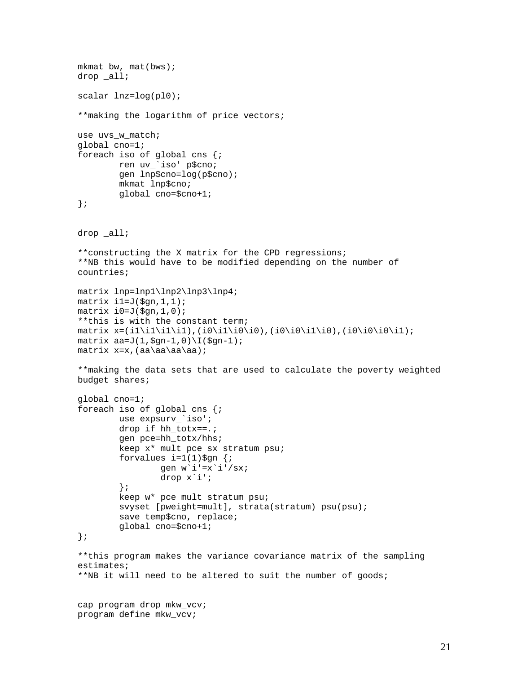```
mkmat bw, mat(bws);
drop _all; 
scalar lnz=log(pl0); 
**making the logarithm of price vectors; 
use uvs_w_match; 
global cno=1; 
foreach iso of global cns {; 
         ren uv_`iso' p$cno; 
         gen lnp$cno=log(p$cno); 
         mkmat lnp$cno; 
         global cno=$cno+1; 
}; 
drop _all; 
**constructing the X matrix for the CPD regressions; 
**NB this would have to be modified depending on the number of 
countries; 
matrix lnp=lnp1\lnp2\lnp3\lnp4; 
matrix il=J($gn, 1, 1);
matrix i0=J(\xi gn,1,0);**this is with the constant term; 
matrix x=(i1\i1\i1\i1),(i0\i1\i0\i0),(i0\i0\i1\i0),(i0\i0\i0\i1);
matrix aa=J(1,\frac{2}{9}n-1,0)\I(\frac{2}{9}n-1);matrix x=x,(aa\aa\aa\aa); 
**making the data sets that are used to calculate the poverty weighted 
budget shares; 
global cno=1; 
foreach iso of global cns {; 
         use expsurv_`iso'; 
         drop if hh_totx==.; 
         gen pce=hh_totx/hhs; 
         keep x* mult pce sx stratum psu; 
        forvalues i=1(1)\§gn {;
                 gen w'i'=x'i'/sx;
                  drop x`i'; 
         }; 
         keep w* pce mult stratum psu; 
         svyset [pweight=mult], strata(stratum) psu(psu); 
         save temp$cno, replace; 
         global cno=$cno+1; 
}; 
**this program makes the variance covariance matrix of the sampling 
estimates; 
**NB it will need to be altered to suit the number of goods; 
cap program drop mkw_vcv; 
program define mkw_vcv;
```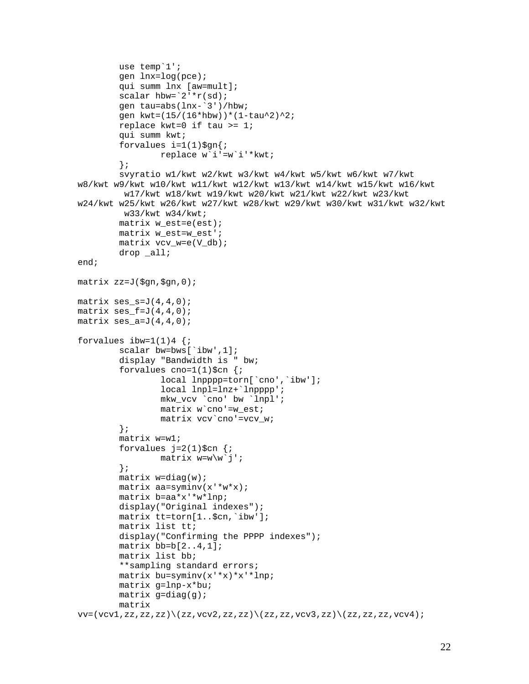```
 use temp`1'; 
         gen lnx=log(pce); 
         qui summ lnx [aw=mult]; 
        scalar hbw=`2'*r(sd);
         gen tau=abs(lnx-`3')/hbw; 
         gen kwt=(15/(16*hbw))*(1-tau^2)^2; 
         replace kwt=0 if tau >= 1; 
         qui summ kwt; 
        forvalues i=1(1)\ replace w`i'=w`i'*kwt; 
          }; 
         svyratio w1/kwt w2/kwt w3/kwt w4/kwt w5/kwt w6/kwt w7/kwt 
w8/kwt w9/kwt w10/kwt w11/kwt w12/kwt w13/kwt w14/kwt w15/kwt w16/kwt 
          w17/kwt w18/kwt w19/kwt w20/kwt w21/kwt w22/kwt w23/kwt 
w24/kwt w25/kwt w26/kwt w27/kwt w28/kwt w29/kwt w30/kwt w31/kwt w32/kwt 
          w33/kwt w34/kwt; 
        matrix w est=e(est);
         matrix w_est=w_est'; 
         matrix vcv_w=e(V_db); 
         drop _all; 
end; 
matrix zz=J($gn,$gn,0); 
matrix ses_s=J(4,4,0);matrix ses_f=J(4,4,0);matrix ses a=J(4,4,0);forvalues ibw=1(1)4 {;
        scalar bw=bws[`ibw',1];
         display "Bandwidth is " bw; 
         forvalues cno=1(1)\$cn {;
                 local lnpppp=torn['cno', 'ibw'];
                  local lnpl=lnz+`lnpppp'; 
                  mkw_vcv `cno' bw `lnpl'; 
                  matrix w`cno'=w_est; 
                  matrix vcv`cno'=vcv_w; 
          }; 
         matrix w=w1; 
         forvalues i=2(1)\$cn \{i\}matrix w=w\wedge w^j;
          }; 
        matrix w=diag(w);
         matrix aa=syminv(x'*w*x); 
         matrix b=aa*x'*w*lnp; 
         display("Original indexes"); 
         matrix tt=torn[1..$cn,`ibw']; 
         matrix list tt; 
        display("Confirming the PPPP indexes");
        matrix bb=b[2..4,1];
         matrix list bb; 
          **sampling standard errors; 
         matrix bu=syminv(x'*x)*x'*lnp; 
         matrix g=lnp-x*bu; 
        matrix g=diag(g);
         matrix 
v = (vcv1, zz, zz, zz)\ (zz,vcv2,zz,zz)\ (zz,zz,zz) (zz,zz,vcv3,zz)\ (zz,zz,zz,vcv4);
```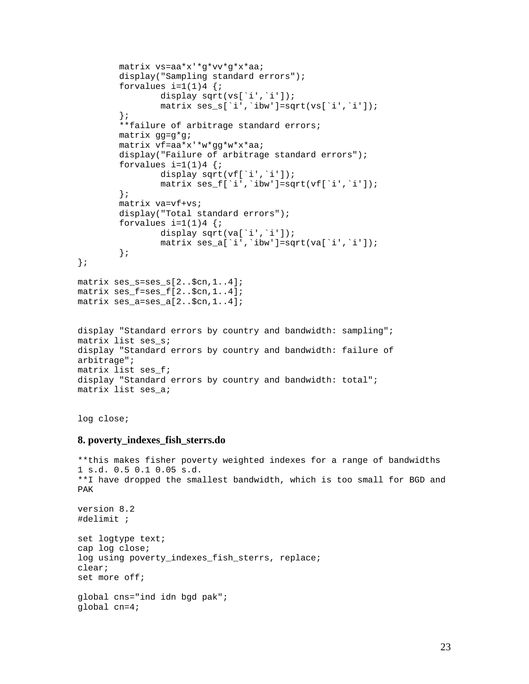```
 matrix vs=aa*x'*g*vv*g*x*aa; 
        display("Sampling standard errors");
        forvalues i=1(1)4 {;
                 display sqrt(vs[`i',`i']);
                 matrix ses_s[`i',`ibw']=sqrt(vs[`i',`i']); 
         }; 
         **failure of arbitrage standard errors; 
         matrix gg=g*g; 
         matrix vf=aa*x'*w*gg*w*x*aa; 
        display("Failure of arbitrage standard errors");
        forvalues i=1(1)4 {;
                display sqrt(vf[`i',`i']);
                 matrix ses_f[`i',`ibw']=sqrt(vf[`i',`i']); 
         }; 
         matrix va=vf+vs; 
         display("Total standard errors"); 
        forvalues i=1(1)4 {;
                display sqrt(va[`i',`i']);
                  matrix ses_a[`i',`ibw']=sqrt(va[`i',`i']); 
         }; 
}; 
matrix ses_s=ses_s[2..$cn,1..4]; 
matrix ses_f=ses_f[2..$cn,1..4]; 
matrix ses_a=ses_a[2..$cn,1..4]; 
display "Standard errors by country and bandwidth: sampling"; 
matrix list ses_s; 
display "Standard errors by country and bandwidth: failure of 
arbitrage"; 
matrix list ses_f; 
display "Standard errors by country and bandwidth: total"; 
matrix list ses_a;
```
log close;

## **8. poverty\_indexes\_fish\_sterrs.do**

```
**this makes fisher poverty weighted indexes for a range of bandwidths 
1 s.d. 0.5 0.1 0.05 s.d. 
**I have dropped the smallest bandwidth, which is too small for BGD and 
PAK 
version 8.2 
#delimit ; 
set logtype text; 
cap log close; 
log using poverty_indexes_fish_sterrs, replace; 
clear; 
set more off; 
global cns="ind idn bgd pak"; 
global cn=4;
```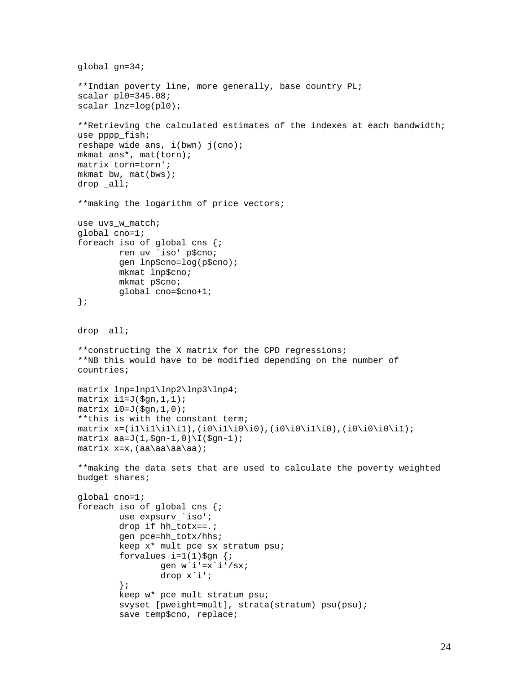```
global gn=34; 
**Indian poverty line, more generally, base country PL; 
scalar pl0=345.08; 
scalar lnz=log(pl0); 
**Retrieving the calculated estimates of the indexes at each bandwidth; 
use pppp_fish; 
reshape wide ans, i(bwn) j(cno); 
mkmat ans*, mat(torn); 
matrix torn=torn'; 
mkmat bw, mat(bws);
drop _all; 
**making the logarithm of price vectors; 
use uvs_w_match; 
global cno=1; 
foreach iso of global cns {; 
         ren uv_`iso' p$cno; 
         gen lnp$cno=log(p$cno); 
         mkmat lnp$cno; 
         mkmat p$cno; 
         global cno=$cno+1; 
}; 
drop _all; 
**constructing the X matrix for the CPD regressions; 
**NB this would have to be modified depending on the number of 
countries; 
matrix lnp=lnp1\lnp2\lnp3\lnp4; 
matrix il=J(\ngn,1,1);
matrix i0=J(\xi qn,1,0);**this is with the constant term; 
matrix x=(i1\i1\ii1\ii),(i0\ii0\ii0\ii0\ii1\ii0),(i0\ii0\ii0\ii0\ii0\ii1;
matrix aa=J(1,\frac{9}{9}n-1,0)\I(\frac{9}{9}n-1);matrix x=x, (aa\aa\aa\aa);
**making the data sets that are used to calculate the poverty weighted 
budget shares; 
global cno=1; 
foreach iso of global cns {; 
         use expsurv_`iso'; 
        drop if hh totx==.;
         gen pce=hh_totx/hhs; 
         keep x* mult pce sx stratum psu; 
        forvalues i=1(1)\$gn \{i\}gen w'i'=x`i'/sx;
                  drop x`i'; 
          }; 
         keep w* pce mult stratum psu; 
         svyset [pweight=mult], strata(stratum) psu(psu); 
         save temp$cno, replace;
```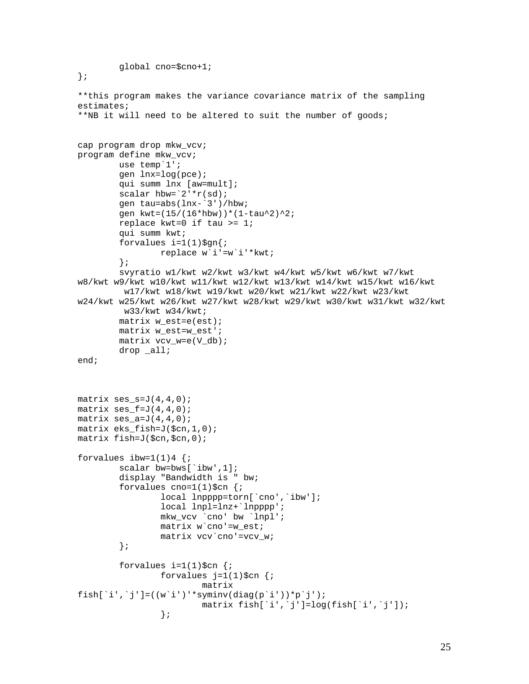```
 global cno=$cno+1; 
}; 
**this program makes the variance covariance matrix of the sampling 
estimates; 
**NB it will need to be altered to suit the number of goods; 
cap program drop mkw_vcv; 
program define mkw_vcv; 
         use temp`1'; 
         gen lnx=log(pce); 
         qui summ lnx [aw=mult]; 
        scalar hbw=`2'*r(sd);
         gen tau=abs(lnx-`3')/hbw; 
         gen kwt=(15/(16*hbw))*(1-tau^2)^2; 
         replace kwt=0 if tau >= 1; 
         qui summ kwt; 
        forvalues i=1(1)\ replace w`i'=w`i'*kwt; 
         }; 
         svyratio w1/kwt w2/kwt w3/kwt w4/kwt w5/kwt w6/kwt w7/kwt 
w8/kwt w9/kwt w10/kwt w11/kwt w12/kwt w13/kwt w14/kwt w15/kwt w16/kwt 
          w17/kwt w18/kwt w19/kwt w20/kwt w21/kwt w22/kwt w23/kwt 
w24/kwt w25/kwt w26/kwt w27/kwt w28/kwt w29/kwt w30/kwt w31/kwt w32/kwt 
          w33/kwt w34/kwt; 
        matrix w est=e(est);
         matrix w_est=w_est'; 
         matrix vcv_w=e(V_db); 
         drop _all; 
end; 
matrix ses_s = J(4,4,0);matrix ses_f=J(4,4,0);matrix ses a=J(4,4,0);matrix eks_fish=J($cn,1,0); 
matrix fish=J($cn,$cn,0); 
forvalues ibw=1(1)4 {;
        scalar bw=bws[`ibw',1];
         display "Bandwidth is " bw; 
        forvalues cno=1(1)\$cn \{i\}local lnpppp=torn[`cno',`ibw'];
                  local lnpl=lnz+`lnpppp'; 
                 mkw_vcv `cno' bw `lnpl'; 
                matrix w cno'=w est;
                 matrix vcv`cno'=vcv_w; 
         }; 
        forvalues i=1(1)\$cn \{i\}forvalues j=1(1)\‡cn \{i\} matrix 
fish[`i',`j']=((w`i')'*syminv(diag(p`i'))*p`j');
                 matrix fish['i', 'j'] = log(fish['i', 'j']);
 };
```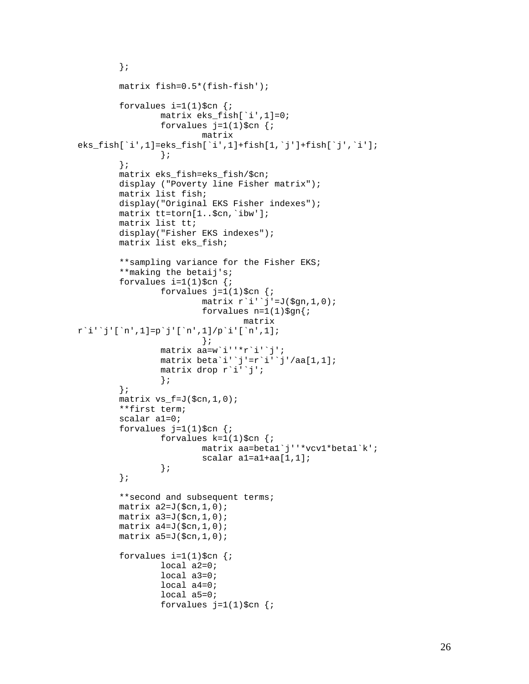```
 }; 
         matrix fish=0.5*(fish-fish'); 
        forvalues i=1(1)\$cn \{i\}matrix eks fish[`i',1]=0;
                 forvalues j=1(1)\$cn {;
                           matrix 
eks_fish[`i',1]=eks_fish[`i',1]+fish[1,`j']+fish[`j',`i']; 
 }; 
          }; 
         matrix eks_fish=eks_fish/$cn; 
         display ("Poverty line Fisher matrix"); 
         matrix list fish; 
         display("Original EKS Fisher indexes"); 
         matrix tt=torn[1..$cn,`ibw']; 
         matrix list tt; 
        display("Fisher EKS indexes");
         matrix list eks_fish; 
          **sampling variance for the Fisher EKS; 
          **making the betaij's; 
        forvalues i=1(1)\$cn \{i\}forvalues j=1(1)\$cn \{i\}matrix r'i''j'=J(\text{\$gn,1,0)};
                          forvalues n=1(1)\§gn\{i\} matrix 
r`i'`j'[`n',1]=p`j'[`n',1]/p`i'[`n',1]; 
\} ;
                  matrix aa=w`i''*r`i'`j'; 
                  matrix beta`i'`j'=r`i'`j'/aa[1,1]; 
                  matrix drop r`i'`j'; 
                  }; 
          }; 
        matrix vs_f = J(\xi cn, 1, 0);
          **first term; 
         scalar a1=0; 
        forvalues j=1(1)\$cn \{i\}forvalues k=1(1)\$cn {;
                           matrix aa=beta1`j''*vcv1*beta1`k'; 
                          scalar al=a1+aa[1,1];
                  }; 
         }; 
          **second and subsequent terms; 
        matrix a2=J(\xi cn, 1, 0);
        matrix a3=J(\xi cn, 1, 0);
        matrix a4=J(\text{Scn},1,0); matrix a5=J($cn,1,0); 
        forvalues i=1(1)\$cn \{i\} local a2=0; 
                  local a3=0; 
                  local a4=0; 
                  local a5=0; 
                 forvalues j=1(1)\‡cn \{i\}
```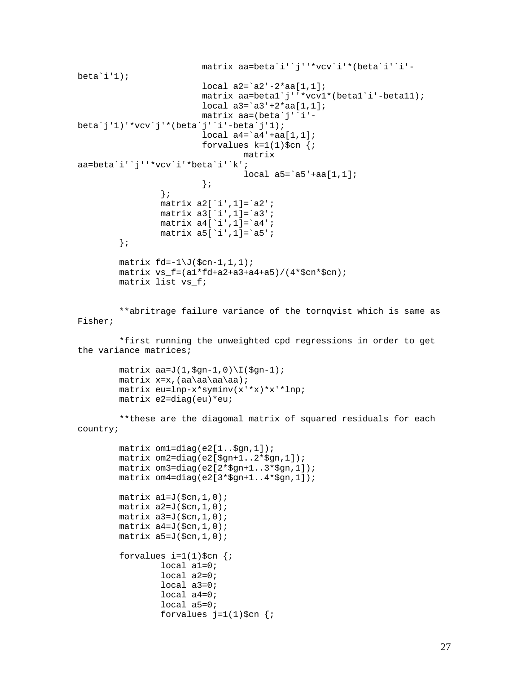```
 matrix aa=beta`i'`j''*vcv`i'*(beta`i'`i'-
beta'i'1);
                           local a2=`a2'-2*aa[1,1]; 
                           matrix aa=beta1`j''*vcv1*(beta1`i'-beta11); 
                          local a3='a3'+2*aa[1,1]; matrix aa=(beta`j'`i'-
beta`j'1)'*vcv`j'*(beta`j'`i'-beta`j'1);
                           local a4=`a4'+aa[1,1]; 
                          forvalues k=1(1)\$cn {;
                                   matrix 
aa=beta`i'`j''*vcv`i'*beta`i'`k'; 
                                   local a5=`a5'+aa[1,1]; 
\} ;
                  }; 
                  matrix a2[`i',1]=`a2'; 
                  matrix a3[`i',1]=`a3'; 
                  matrix a4[`i',1]=`a4'; 
                 matrix a5['i',1]=`a5';
         }; 
        matrix fd=-1\J(\xi cn-1,1,1);matrix \ vs_f=(a1*fd+a2+a3+a4+a5)/(4*fcn*§cn); matrix list vs_f; 
         **abritrage failure variance of the tornqvist which is same as 
Fisher; 
         *first running the unweighted cpd regressions in order to get 
the variance matrices; 
        matrix aa=J(1,\frac{2}{9}n-1,0)\I(\frac{2}{9}n-1);matrix x=x, (aa\aa\aa\aa);
         matrix eu=lnp-x*syminv(x'*x)*x'*lnp; 
         matrix e2=diag(eu)*eu; 
         **these are the diagomal matrix of squared residuals for each 
country; 
         matrix om1=diag(e2[1..$gn,1]); 
         matrix om2=diag(e2[$gn+1..2*$gn,1]); 
         matrix om3=diag(e2[2*$gn+1..3*$gn,1]); 
         matrix om4=diag(e2[3*$gn+1..4*$gn,1]); 
        matrix al=J(\xi cn, 1, 0);
        matrix a2=J(\xi cn, 1, 0);
        matrix a3=J(\xi cn, 1, 0);
        matrix a4=J(\text{Scn},1,0); matrix a5=J($cn,1,0); 
        forvalues i=1(1)\$cn {;
                  local a1=0; 
                  local a2=0; 
                  local a3=0; 
                  local a4=0; 
                  local a5=0; 
                 forvalues j=1(1)\$cn \{i\}
```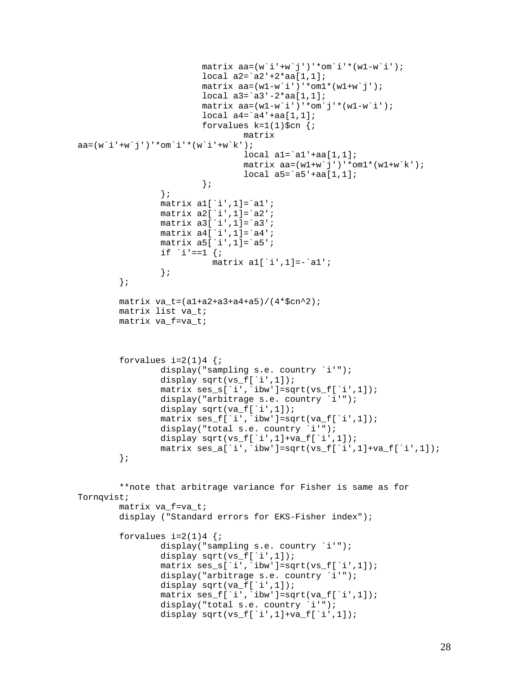```
matrix aa=(w^i+v^j)'*om'i'*(w1-w'i');
                         local a2=`a2'+2*aa[1,1]; 
                        matrix aa=(w1-w^i'')'*om1*(w1+w^j');
                        local a3='a3'-2*aa[1,1];matrix aa=(w1-w^i'')'*om'j'*(w1-w'i');
                        local a4='a4'+aa[1,1];
                        forvalues k=1(1)\$cn {;
                                 matrix 
aa=(w'1'+w'j')'*om`i'*(w`i'+w`k');
                                 local al='al'+aa[1,1];
                                matrix aa=(w1+w^j')''*om1*(w1+w^k);
                                local a5='a5'+aa[1,1];\} ;
                 }; 
                 matrix a1[`i',1]=`a1'; 
                matrix a2['i',1]=`a2';
                 matrix a3[`i',1]=`a3'; 
                 matrix a4[`i',1]=`a4'; 
                matrix a5['i',1]=`a5';
                if `i'==1 \{;
                          matrix a1['i',1]=-'a1';
 }; 
         }; 
         matrix va_t=(a1+a2+a3+a4+a5)/(4*$cn^2); 
         matrix list va_t; 
         matrix va_f=va_t; 
        forvalues i=2(1)4 {;
                display("sampling s.e. country `i'");
                display sqrt(vs_f[`i',1]);
                 matrix ses_s[`i',`ibw']=sqrt(vs_f[`i',1]); 
                 display("arbitrage s.e. country `i'"); 
                display sqrt(va_f[`i',1]);
                 matrix ses_f[`i',`ibw']=sqrt(va_f[`i',1]); 
                 display("total s.e. country `i'"); 
                display sqrt(vs_f[`i',1]+va_f[`i',1]);
                matrix ses_a['i', 'ibw'] = sqrt(vs_f['i', 1] + va_f['i', 1]);
         }; 
         **note that arbitrage variance for Fisher is same as for 
Tornqvist; 
         matrix va_f=va_t; 
         display ("Standard errors for EKS-Fisher index"); 
        forvalues i=2(1)4 {;
                display("sampling s.e. country `i'");
                display sqrt(vs_f[`i',1]);
                 matrix ses_s[`i',`ibw']=sqrt(vs_f[`i',1]); 
                display("arbitrage s.e. country `i'");
                display sqrt(va f[`i',1]);
                matrix ses f['i', 'ibw'] = sqrt(va f['i', 1]); display("total s.e. country `i'"); 
                display sqrt(vs_f[`i',1]+va_f[`i',1]);
```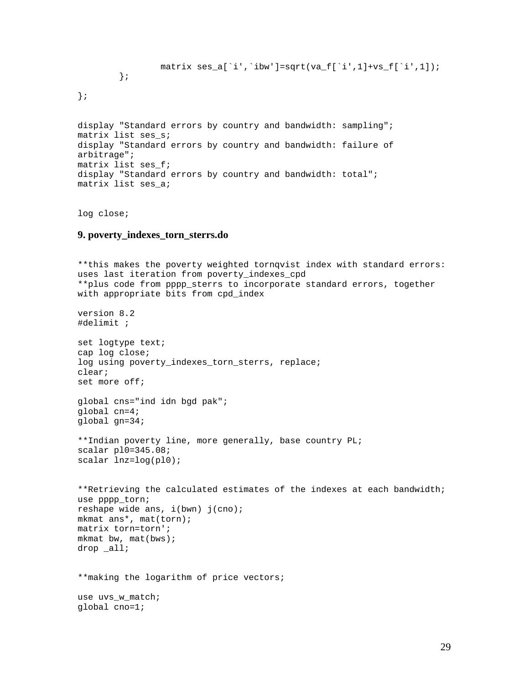```
 matrix ses_a[`i',`ibw']=sqrt(va_f[`i',1]+vs_f[`i',1]); 
          }; 
};
```
display "Standard errors by country and bandwidth: sampling"; matrix list ses\_s; display "Standard errors by country and bandwidth: failure of arbitrage"; matrix list ses\_f; display "Standard errors by country and bandwidth: total"; matrix list ses\_a;

log close;

## **9. poverty\_indexes\_torn\_sterrs.do**

```
**this makes the poverty weighted tornqvist index with standard errors: 
uses last iteration from poverty_indexes_cpd 
**plus code from pppp_sterrs to incorporate standard errors, together 
with appropriate bits from cpd_index 
version 8.2 
#delimit ; 
set logtype text; 
cap log close; 
log using poverty_indexes_torn_sterrs, replace; 
clear; 
set more off; 
global cns="ind idn bgd pak"; 
global cn=4; 
global gn=34; 
**Indian poverty line, more generally, base country PL; 
scalar pl0=345.08; 
scalar lnz=log(pl0); 
**Retrieving the calculated estimates of the indexes at each bandwidth; 
use pppp torn;
reshape wide ans, i(bwn) j(cno); 
mkmat ans*, mat(torn); 
matrix torn=torn'; 
mkmat bw, mat(bws);
drop _all; 
**making the logarithm of price vectors; 
use uvs_w_match; 
global cno=1;
```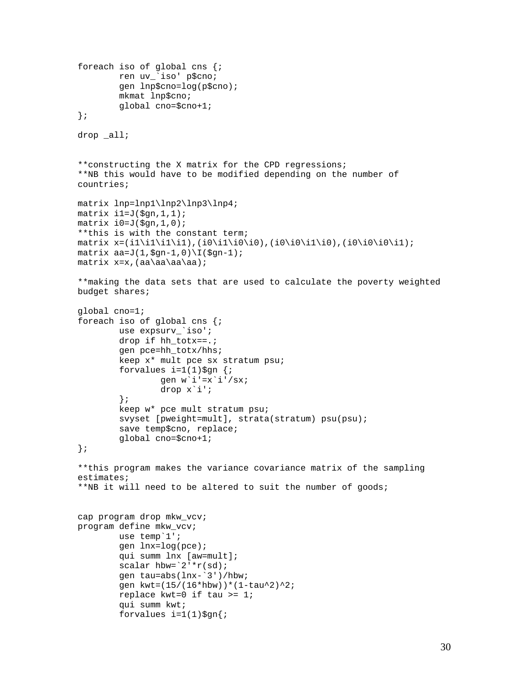```
foreach iso of global cns {; 
         ren uv_`iso' p$cno; 
         gen lnp$cno=log(p$cno); 
         mkmat lnp$cno; 
         global cno=$cno+1; 
}; 
drop _all; 
**constructing the X matrix for the CPD regressions; 
**NB this would have to be modified depending on the number of 
countries; 
matrix lnp=lnp1\lnp2\lnp3\lnp4; 
matrix il=J($gn, 1, 1);
matrix i0=J(\xi qn,1,0);**this is with the constant term; 
matrix x=(i1\i1\i1\i1),(i0\i1\i0\i0),(i0\i0\i1\i0),(i0\i0\i0\i1);
matrix aa=J(1,\frac{2}{9}n-1,0)\I(\frac{2}{9}n-1);matrix x=x,(aa\aa\aa\aa); 
**making the data sets that are used to calculate the poverty weighted 
budget shares; 
global cno=1; 
foreach iso of global cns {; 
        use expsurv `iso';
         drop if hh_totx==.; 
         gen pce=hh_totx/hhs; 
         keep x* mult pce sx stratum psu; 
        forvalues i=1(1)\$gn {;
                 gen w'i'=x`i'/sx;
                  drop x`i'; 
         }; 
         keep w* pce mult stratum psu; 
         svyset [pweight=mult], strata(stratum) psu(psu); 
         save temp$cno, replace; 
         global cno=$cno+1; 
}; 
**this program makes the variance covariance matrix of the sampling 
estimates; 
**NB it will need to be altered to suit the number of goods; 
cap program drop mkw_vcv; 
program define mkw_vcv; 
         use temp`1'; 
         gen lnx=log(pce); 
         qui summ lnx [aw=mult]; 
        scalar hbw=`2'*r(sd);
         gen tau=abs(lnx-`3')/hbw; 
         gen kwt=(15/(16*hbw))*(1-tau^2)^2; 
         replace kwt=0 if tau >= 1; 
         qui summ kwt; 
        forvalues i=1(1)\
```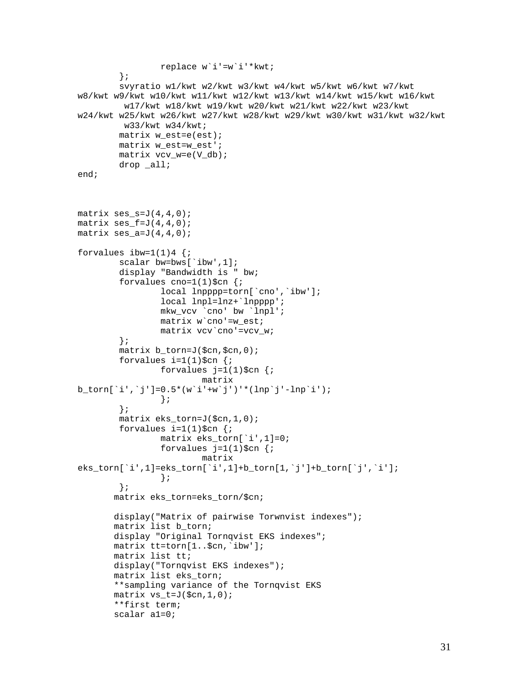```
 replace w`i'=w`i'*kwt; 
         }; 
         svyratio w1/kwt w2/kwt w3/kwt w4/kwt w5/kwt w6/kwt w7/kwt 
w8/kwt w9/kwt w10/kwt w11/kwt w12/kwt w13/kwt w14/kwt w15/kwt w16/kwt 
          w17/kwt w18/kwt w19/kwt w20/kwt w21/kwt w22/kwt w23/kwt 
w24/kwt w25/kwt w26/kwt w27/kwt w28/kwt w29/kwt w30/kwt w31/kwt w32/kwt 
          w33/kwt w34/kwt; 
         matrix w_est=e(est); 
         matrix w_est=w_est'; 
         matrix vcv_w=e(V_db); 
        drop all;
end; 
matrix ses_s = J(4, 4, 0);
matrix ses f = J(4,4,0);matrix ses_a=J(4,4,0);forvalues ibw=1(1)4 {;
         scalar bw=bws[`ibw',1]; 
         display "Bandwidth is " bw; 
        forvalues cno=1(1)\$cn \{i\} local lnpppp=torn[`cno',`ibw']; 
                  local lnpl=lnz+`lnpppp'; 
                  mkw_vcv `cno' bw `lnpl'; 
                 matrix w cno'=w est;
                  matrix vcv`cno'=vcv_w; 
         }; 
         matrix b_torn=J($cn,$cn,0); 
        forvalues i=1(1)\$cn {;
                 forvalues j=1(1)\$cn {;
                           matrix 
b_torn[`i',`j']=0.5*(w`i'+w`j')'*(lnp`j'-lnp`i'); 
                  }; 
         }; 
         matrix eks_torn=J($cn,1,0); 
        forvalues i=1(1)\$cn {;
                  matrix eks_torn[`i',1]=0; 
                 forvalues j=1(1)\$cn {;
                           matrix 
eks_torn[`i',1]=eks_torn[`i',1]+b_torn[1,`j']+b_torn[`j',`i']; 
                  }; 
         }; 
        matrix eks_torn=eks_torn/$cn; 
        display("Matrix of pairwise Torwnvist indexes"); 
       matrix list b torn;
       display "Original Tornqvist EKS indexes";
        matrix tt=torn[1..$cn,`ibw']; 
        matrix list tt; 
        display("Tornqvist EKS indexes"); 
        matrix list eks_torn; 
        **sampling variance of the Tornqvist EKS 
       matrix vs t=J(\xi cn,1,0); **first term; 
        scalar a1=0;
```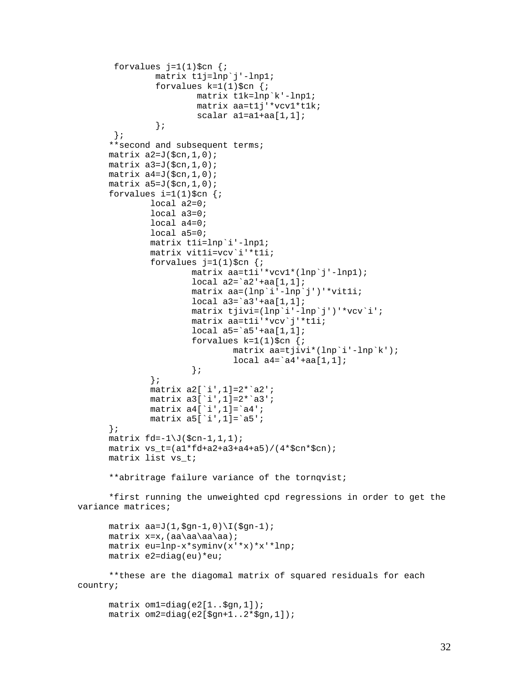```
forvalues j=1(1)\$cn {;
                 matrix t1j=lnp`j'-lnp1; 
                forvalues k=1(1)\$cn \{i\} matrix t1k=lnp`k'-lnp1; 
                         matrix aa=t1j'*vcv1*t1k; 
                         scalar a1=a1+aa[1,1]; 
 }; 
        }; 
       **second and subsequent terms; 
      matrix a2=J(\text{Scn},1,0);matrix a3=J(\xi cn, 1, 0);
      matrix a4=J(\xi cn, 1, 0);
      matrix a5=J(\xi cn, 1, 0);
      forvalues i=1(1)\$cn {;
               local a2=0; 
               local a3=0; 
               local a4=0; 
               local a5=0; 
               matrix t1i=lnp`i'-lnp1; 
               matrix vit1i=vcv`i'*t1i; 
              forvalues i=1(1)\$cn \{i\} matrix aa=t1i'*vcv1*(lnp`j'-lnp1); 
                       local a2='a2'+aa[1,1]; matrix aa=(lnp`i'-lnp`j')'*vit1i; 
                        local a3=`a3'+aa[1,1]; 
                        matrix tjivi=(lnp`i'-lnp`j')'*vcv`i'; 
                        matrix aa=t1i'*vcv`j'*t1i; 
                       local a5='a5'+aa[1,1];forvalues k=1(1)\$cn \{i\} matrix aa=tjivi*(lnp`i'-lnp`k'); 
                       local \ a4='a4'+aa[1,1]; }; 
               }; 
               matrix a2[`i',1]=2*`a2'; 
               matrix a3[`i',1]=2*`a3'; 
              matrix a4['i',1]=`a4';
              matrix a5['i',1]=`a5';
       }; 
      matrix fd=-1\J(\xi cn-1,1,1);matrix vs t=(a1*fd+a2+a3+a4+a5)/(4*§cn*§cn); matrix list vs_t; 
       **abritrage failure variance of the tornqvist; 
       *first running the unweighted cpd regressions in order to get the 
variance matrices; 
      matrix aa=J(1,\frac{9}{9}n-1,0)\I(\frac{9}{9}n-1); matrix x=x,(aa\aa\aa\aa); 
       matrix eu=lnp-x*syminv(x'*x)*x'*lnp; 
       matrix e2=diag(eu)*eu; 
       **these are the diagomal matrix of squared residuals for each 
country; 
       matrix om1=diag(e2[1..$gn,1]);
```

```
 matrix om2=diag(e2[$gn+1..2*$gn,1]);
```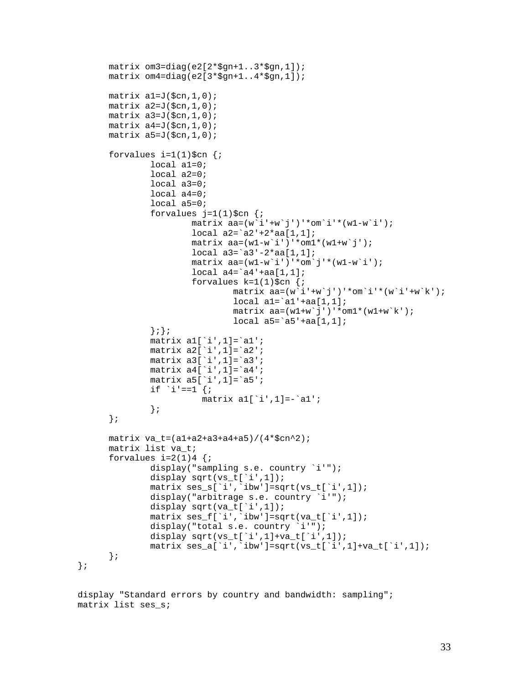```
 matrix om3=diag(e2[2*$gn+1..3*$gn,1]); 
 matrix om4=diag(e2[3*$gn+1..4*$gn,1]); 
matrix a1=J(\frac{5}{3}cn, 1, 0);
matrix a2=J(\xi cn, 1, 0);
matrix a3=J(\xi cn, 1, 0);
matrix a4=J(\xi cn, 1, 0);
matrix a5=J(\xi cn, 1, 0);
forvalues i=1(1)\$cn \{i\}local a1=0; local a2=0; 
         local a3=0; 
         local a4=0; 
         local a5=0; 
        forvalues j=1(1)\$cn \{i\}matrix aa=(w' i'+w'j')'*om'i'*(w1-w'i');
                  local a2=`a2'+2*aa[1,1]; 
                 matrix aa=(w1-w^i'')'*om1*(w1+w^j');
                 local a3='a3'-2*aa[1,1];matrix aa=(w1-w^i)'*om'j'*(w1-w'i');
                 local a4='a4'+aa[1,1];forvalues k=1(1)\$cn \{i\}matrix aa=(w^i+w^j)')'*omi'*(w^i+w^k);
                          local al='al'+aa[1,1];matrix aa=(w1+w^j')''*om1*(w1+w^k);
                          local a5='a5'+aa[1,1];
         };}; 
        matrix a1['i',1]=`a1';
         matrix a2[`i',1]=`a2'; 
         matrix a3[`i',1]=`a3'; 
         matrix a4[`i',1]=`a4'; 
         matrix a5[`i',1]=`a5'; 
        if i' = -1 {;
                    matrix a1[`i',1]=-`a1'; 
         }; 
 }; 
matrix va t=(a1+a2+a3+a4+a5)/(4*5cn^2); matrix list va_t; 
forvalues i=2(1)4 {;
         display("sampling s.e. country `i'"); 
        display sqrt(vs_t[`i',1]);
         matrix ses_s[`i',`ibw']=sqrt(vs_t[`i',1]); 
         display("arbitrage s.e. country `i'"); 
         display sqrt(va_t[`i',1]); 
         matrix ses_f[`i',`ibw']=sqrt(va_t[`i',1]); 
        display("total s.e. country `i'");
        display sqrt(vs_t[`i',1]+va_t[`i',1]);
         matrix ses_a[`i',`ibw']=sqrt(vs_t[`i',1]+va_t[`i',1]); 
 };
```
display "Standard errors by country and bandwidth: sampling"; matrix list ses\_s;

};